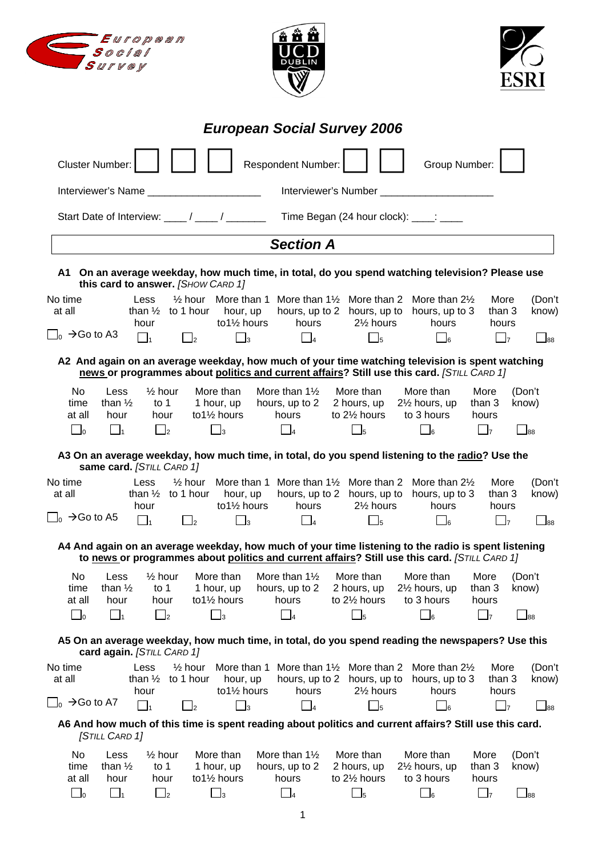| <b>European Social Survey 2006</b><br><b>Respondent Number:</b><br>Group Number:<br><b>Cluster Number:</b><br>Interviewer's Name<br>Interviewer's Number ________________________<br>Start Date of Interview: ____/ ____/<br>Time Began (24 hour clock): ____: ____<br><b>Section A</b><br>A1 On an average weekday, how much time, in total, do you spend watching television? Please use<br>this card to answer. [SHOW CARD 1]<br>$\frac{1}{2}$ hour More than 1 More than 1 $\frac{1}{2}$ More than 2 More than 2 $\frac{1}{2}$<br>No time<br>Less<br>More<br>at all<br>than $\frac{1}{2}$ to 1 hour hour, up<br>hours, up to 2 hours, up to hours, up to 3<br>than 3<br>to $1\frac{1}{2}$ hours<br>$2\frac{1}{2}$ hours<br>hours<br>hours<br>hour<br>hours<br>$\vert$ <sub>0</sub> $\rightarrow$ Go to A3<br>$\Box$<br>$\Box_3$<br>$\Box$ 4<br>$\Box$<br>$\Box_5$<br>$\Box_6$<br>$\Box$<br>A2 And again on an average weekday, how much of your time watching television is spent watching<br>news or programmes about politics and current affairs? Still use this card. [STILL CARD 1]<br><b>No</b><br>Less<br>$\frac{1}{2}$ hour<br>More than<br>More than $1\frac{1}{2}$<br>More than<br>More than<br>More<br>(Don't<br>than $\frac{1}{2}$<br>21/ <sub>2</sub> hours, up<br>time<br>to $1$<br>1 hour, up<br>hours, up to 2<br>2 hours, up<br>than 3<br>know)<br>at all<br>hour<br>to $1\frac{1}{2}$ hours<br>hours<br>to $2\frac{1}{2}$ hours<br>to 3 hours<br>hour<br>hours<br>$\square$<br>$\Box$ <sub>2</sub><br>$\Box_4$<br>$\Box$<br>$\Box_5$<br>$\bigsqcup_{88}$<br>$\Box$ 1<br>$\Box_3$<br>$\Box$ 6<br>A3 On an average weekday, how much time, in total, do you spend listening to the radio? Use the<br>same card. [STILL CARD 1]<br>More than 1<br>More than $1\frac{1}{2}$<br>More than 2<br>More<br>Less<br>$\frac{1}{2}$ hour<br>More than $2\frac{1}{2}$<br>at all<br>than $\frac{1}{2}$<br>to 1 hour<br>hours, up to 2 hours, up to<br>than 3<br>hour, up<br>hours, up to 3<br>to11/2 hours<br>hours<br>21/ <sub>2</sub> hours<br>hours<br>hour<br>hours<br>$\rightarrow$ Go to A5<br>$\Box_1$<br>$\Box_3$<br>$\Box$<br>$\Box_4$<br>$\Box_5$<br>$\Box$ 6<br>$\Box$<br>$\Box$ 88<br>A4 And again on an average weekday, how much of your time listening to the radio is spent listening<br>to news or programmes about politics and current affairs? Still use this card. (STILL CARD 1)<br>More than 11/2<br>No<br>Less<br>$\frac{1}{2}$ hour<br>More than<br>More than<br>More than<br>More<br>(Don't<br>to $1$<br>1 hour, up<br>hours, up to 2<br>2 hours, up<br>21/ <sub>2</sub> hours, up<br>time<br>than $\frac{1}{2}$<br>than 3<br>know)<br>to11/2 hours<br>hours<br>to 21/2 hours<br>to 3 hours<br>at all<br>hour<br>hour<br>hours<br>$\Box$ o<br>$\square$<br>$\Box_1$<br>$\Box_5$<br>$\Box_3$<br>$\vert$ <sub>4</sub><br>$\Box$<br>$\bigsqcup_{88}$<br>$\mathbf{I}$<br>A5 On an average weekday, how much time, in total, do you spend reading the newspapers? Use this<br>card again. [STILL CARD 1]<br>No time<br>Less<br>$\frac{1}{2}$ hour<br>More than 1 More than 11/2 More than 2<br>More<br>More than $2\frac{1}{2}$<br>than $\frac{1}{2}$<br>to 1 hour<br>hour, up<br>hours, up to 2<br>hours, up to<br>hours, up to 3<br>than 3<br>at all<br>to11/2 hours<br>hours<br>21/ <sub>2</sub> hours<br>hour<br>hours<br>hours<br>$\Box_0 \rightarrow$ Go to A7<br>$\Box_3$<br>$\Box_1$<br>$\Box_4$<br>$\Box_5$<br>$\Box$ 7<br>$\Box$ <sub>2</sub><br>$\Box$ 6<br>$\Box$ 88<br>A6 And how much of this time is spent reading about politics and current affairs? Still use this card.<br>[STILL CARD 1]<br>No<br>$\frac{1}{2}$ hour<br>More than<br>More than $1\frac{1}{2}$<br>More than<br>More than<br>More<br>Less<br>(Don't<br>hours, up to 2<br>to $1$<br>1 hour, up<br>2 hours, up<br>21/ <sub>2</sub> hours, up<br>than 3<br>time<br>than $\frac{1}{2}$<br>know)<br>hours<br>to 21/2 hours<br>to 3 hours<br>at all<br>hour<br>hour<br>to $1\frac{1}{2}$ hours<br>hours<br>$\Box$ o<br>$\Box$ <sub>2</sub><br>$\Box$<br>$\Box_4$<br>$\Box$ 5<br>$\Box_1$<br>$\Box_6$<br>$\mathsf{I}_3$<br>$\Box$ <sub>88</sub> |         | European<br>Social<br>Survey |  | ãÑ<br>DUBLIN |  |  |                                |
|---------------------------------------------------------------------------------------------------------------------------------------------------------------------------------------------------------------------------------------------------------------------------------------------------------------------------------------------------------------------------------------------------------------------------------------------------------------------------------------------------------------------------------------------------------------------------------------------------------------------------------------------------------------------------------------------------------------------------------------------------------------------------------------------------------------------------------------------------------------------------------------------------------------------------------------------------------------------------------------------------------------------------------------------------------------------------------------------------------------------------------------------------------------------------------------------------------------------------------------------------------------------------------------------------------------------------------------------------------------------------------------------------------------------------------------------------------------------------------------------------------------------------------------------------------------------------------------------------------------------------------------------------------------------------------------------------------------------------------------------------------------------------------------------------------------------------------------------------------------------------------------------------------------------------------------------------------------------------------------------------------------------------------------------------------------------------------------------------------------------------------------------------------------------------------------------------------------------------------------------------------------------------------------------------------------------------------------------------------------------------------------------------------------------------------------------------------------------------------------------------------------------------------------------------------------------------------------------------------------------------------------------------------------------------------------------------------------------------------------------------------------------------------------------------------------------------------------------------------------------------------------------------------------------------------------------------------------------------------------------------------------------------------------------------------------------------------------------------------------------------------------------------------------------------------------------------------------------------------------------------------------------------------------------------------------------------------------------------------------------------------------------------------------------------------------------------------------------------------------------------------------------------------------------------------------------------------------------------------------------------------------------------------------------------------------------------------------------------------------------------------------------------------------------------------------------------------------------------------------------------------------------------------------------------------------------------------------------------------------------------------------------------------------------------------------------------------------------------------------------------------------------------------|---------|------------------------------|--|--------------|--|--|--------------------------------|
|                                                                                                                                                                                                                                                                                                                                                                                                                                                                                                                                                                                                                                                                                                                                                                                                                                                                                                                                                                                                                                                                                                                                                                                                                                                                                                                                                                                                                                                                                                                                                                                                                                                                                                                                                                                                                                                                                                                                                                                                                                                                                                                                                                                                                                                                                                                                                                                                                                                                                                                                                                                                                                                                                                                                                                                                                                                                                                                                                                                                                                                                                                                                                                                                                                                                                                                                                                                                                                                                                                                                                                                                                                                                                                                                                                                                                                                                                                                                                                                                                                                                                                                                                         |         |                              |  |              |  |  |                                |
|                                                                                                                                                                                                                                                                                                                                                                                                                                                                                                                                                                                                                                                                                                                                                                                                                                                                                                                                                                                                                                                                                                                                                                                                                                                                                                                                                                                                                                                                                                                                                                                                                                                                                                                                                                                                                                                                                                                                                                                                                                                                                                                                                                                                                                                                                                                                                                                                                                                                                                                                                                                                                                                                                                                                                                                                                                                                                                                                                                                                                                                                                                                                                                                                                                                                                                                                                                                                                                                                                                                                                                                                                                                                                                                                                                                                                                                                                                                                                                                                                                                                                                                                                         |         |                              |  |              |  |  |                                |
|                                                                                                                                                                                                                                                                                                                                                                                                                                                                                                                                                                                                                                                                                                                                                                                                                                                                                                                                                                                                                                                                                                                                                                                                                                                                                                                                                                                                                                                                                                                                                                                                                                                                                                                                                                                                                                                                                                                                                                                                                                                                                                                                                                                                                                                                                                                                                                                                                                                                                                                                                                                                                                                                                                                                                                                                                                                                                                                                                                                                                                                                                                                                                                                                                                                                                                                                                                                                                                                                                                                                                                                                                                                                                                                                                                                                                                                                                                                                                                                                                                                                                                                                                         |         |                              |  |              |  |  |                                |
|                                                                                                                                                                                                                                                                                                                                                                                                                                                                                                                                                                                                                                                                                                                                                                                                                                                                                                                                                                                                                                                                                                                                                                                                                                                                                                                                                                                                                                                                                                                                                                                                                                                                                                                                                                                                                                                                                                                                                                                                                                                                                                                                                                                                                                                                                                                                                                                                                                                                                                                                                                                                                                                                                                                                                                                                                                                                                                                                                                                                                                                                                                                                                                                                                                                                                                                                                                                                                                                                                                                                                                                                                                                                                                                                                                                                                                                                                                                                                                                                                                                                                                                                                         |         |                              |  |              |  |  |                                |
|                                                                                                                                                                                                                                                                                                                                                                                                                                                                                                                                                                                                                                                                                                                                                                                                                                                                                                                                                                                                                                                                                                                                                                                                                                                                                                                                                                                                                                                                                                                                                                                                                                                                                                                                                                                                                                                                                                                                                                                                                                                                                                                                                                                                                                                                                                                                                                                                                                                                                                                                                                                                                                                                                                                                                                                                                                                                                                                                                                                                                                                                                                                                                                                                                                                                                                                                                                                                                                                                                                                                                                                                                                                                                                                                                                                                                                                                                                                                                                                                                                                                                                                                                         |         |                              |  |              |  |  |                                |
|                                                                                                                                                                                                                                                                                                                                                                                                                                                                                                                                                                                                                                                                                                                                                                                                                                                                                                                                                                                                                                                                                                                                                                                                                                                                                                                                                                                                                                                                                                                                                                                                                                                                                                                                                                                                                                                                                                                                                                                                                                                                                                                                                                                                                                                                                                                                                                                                                                                                                                                                                                                                                                                                                                                                                                                                                                                                                                                                                                                                                                                                                                                                                                                                                                                                                                                                                                                                                                                                                                                                                                                                                                                                                                                                                                                                                                                                                                                                                                                                                                                                                                                                                         |         |                              |  |              |  |  |                                |
|                                                                                                                                                                                                                                                                                                                                                                                                                                                                                                                                                                                                                                                                                                                                                                                                                                                                                                                                                                                                                                                                                                                                                                                                                                                                                                                                                                                                                                                                                                                                                                                                                                                                                                                                                                                                                                                                                                                                                                                                                                                                                                                                                                                                                                                                                                                                                                                                                                                                                                                                                                                                                                                                                                                                                                                                                                                                                                                                                                                                                                                                                                                                                                                                                                                                                                                                                                                                                                                                                                                                                                                                                                                                                                                                                                                                                                                                                                                                                                                                                                                                                                                                                         |         |                              |  |              |  |  | (Don't<br>know)<br>$\sqcup$ 88 |
|                                                                                                                                                                                                                                                                                                                                                                                                                                                                                                                                                                                                                                                                                                                                                                                                                                                                                                                                                                                                                                                                                                                                                                                                                                                                                                                                                                                                                                                                                                                                                                                                                                                                                                                                                                                                                                                                                                                                                                                                                                                                                                                                                                                                                                                                                                                                                                                                                                                                                                                                                                                                                                                                                                                                                                                                                                                                                                                                                                                                                                                                                                                                                                                                                                                                                                                                                                                                                                                                                                                                                                                                                                                                                                                                                                                                                                                                                                                                                                                                                                                                                                                                                         |         |                              |  |              |  |  |                                |
|                                                                                                                                                                                                                                                                                                                                                                                                                                                                                                                                                                                                                                                                                                                                                                                                                                                                                                                                                                                                                                                                                                                                                                                                                                                                                                                                                                                                                                                                                                                                                                                                                                                                                                                                                                                                                                                                                                                                                                                                                                                                                                                                                                                                                                                                                                                                                                                                                                                                                                                                                                                                                                                                                                                                                                                                                                                                                                                                                                                                                                                                                                                                                                                                                                                                                                                                                                                                                                                                                                                                                                                                                                                                                                                                                                                                                                                                                                                                                                                                                                                                                                                                                         |         |                              |  |              |  |  |                                |
|                                                                                                                                                                                                                                                                                                                                                                                                                                                                                                                                                                                                                                                                                                                                                                                                                                                                                                                                                                                                                                                                                                                                                                                                                                                                                                                                                                                                                                                                                                                                                                                                                                                                                                                                                                                                                                                                                                                                                                                                                                                                                                                                                                                                                                                                                                                                                                                                                                                                                                                                                                                                                                                                                                                                                                                                                                                                                                                                                                                                                                                                                                                                                                                                                                                                                                                                                                                                                                                                                                                                                                                                                                                                                                                                                                                                                                                                                                                                                                                                                                                                                                                                                         |         |                              |  |              |  |  |                                |
|                                                                                                                                                                                                                                                                                                                                                                                                                                                                                                                                                                                                                                                                                                                                                                                                                                                                                                                                                                                                                                                                                                                                                                                                                                                                                                                                                                                                                                                                                                                                                                                                                                                                                                                                                                                                                                                                                                                                                                                                                                                                                                                                                                                                                                                                                                                                                                                                                                                                                                                                                                                                                                                                                                                                                                                                                                                                                                                                                                                                                                                                                                                                                                                                                                                                                                                                                                                                                                                                                                                                                                                                                                                                                                                                                                                                                                                                                                                                                                                                                                                                                                                                                         | No time |                              |  |              |  |  | (Don't<br>know)                |
|                                                                                                                                                                                                                                                                                                                                                                                                                                                                                                                                                                                                                                                                                                                                                                                                                                                                                                                                                                                                                                                                                                                                                                                                                                                                                                                                                                                                                                                                                                                                                                                                                                                                                                                                                                                                                                                                                                                                                                                                                                                                                                                                                                                                                                                                                                                                                                                                                                                                                                                                                                                                                                                                                                                                                                                                                                                                                                                                                                                                                                                                                                                                                                                                                                                                                                                                                                                                                                                                                                                                                                                                                                                                                                                                                                                                                                                                                                                                                                                                                                                                                                                                                         |         |                              |  |              |  |  |                                |
|                                                                                                                                                                                                                                                                                                                                                                                                                                                                                                                                                                                                                                                                                                                                                                                                                                                                                                                                                                                                                                                                                                                                                                                                                                                                                                                                                                                                                                                                                                                                                                                                                                                                                                                                                                                                                                                                                                                                                                                                                                                                                                                                                                                                                                                                                                                                                                                                                                                                                                                                                                                                                                                                                                                                                                                                                                                                                                                                                                                                                                                                                                                                                                                                                                                                                                                                                                                                                                                                                                                                                                                                                                                                                                                                                                                                                                                                                                                                                                                                                                                                                                                                                         |         |                              |  |              |  |  |                                |
|                                                                                                                                                                                                                                                                                                                                                                                                                                                                                                                                                                                                                                                                                                                                                                                                                                                                                                                                                                                                                                                                                                                                                                                                                                                                                                                                                                                                                                                                                                                                                                                                                                                                                                                                                                                                                                                                                                                                                                                                                                                                                                                                                                                                                                                                                                                                                                                                                                                                                                                                                                                                                                                                                                                                                                                                                                                                                                                                                                                                                                                                                                                                                                                                                                                                                                                                                                                                                                                                                                                                                                                                                                                                                                                                                                                                                                                                                                                                                                                                                                                                                                                                                         |         |                              |  |              |  |  |                                |
|                                                                                                                                                                                                                                                                                                                                                                                                                                                                                                                                                                                                                                                                                                                                                                                                                                                                                                                                                                                                                                                                                                                                                                                                                                                                                                                                                                                                                                                                                                                                                                                                                                                                                                                                                                                                                                                                                                                                                                                                                                                                                                                                                                                                                                                                                                                                                                                                                                                                                                                                                                                                                                                                                                                                                                                                                                                                                                                                                                                                                                                                                                                                                                                                                                                                                                                                                                                                                                                                                                                                                                                                                                                                                                                                                                                                                                                                                                                                                                                                                                                                                                                                                         |         |                              |  |              |  |  |                                |
|                                                                                                                                                                                                                                                                                                                                                                                                                                                                                                                                                                                                                                                                                                                                                                                                                                                                                                                                                                                                                                                                                                                                                                                                                                                                                                                                                                                                                                                                                                                                                                                                                                                                                                                                                                                                                                                                                                                                                                                                                                                                                                                                                                                                                                                                                                                                                                                                                                                                                                                                                                                                                                                                                                                                                                                                                                                                                                                                                                                                                                                                                                                                                                                                                                                                                                                                                                                                                                                                                                                                                                                                                                                                                                                                                                                                                                                                                                                                                                                                                                                                                                                                                         |         |                              |  |              |  |  | (Don't<br>know)                |
|                                                                                                                                                                                                                                                                                                                                                                                                                                                                                                                                                                                                                                                                                                                                                                                                                                                                                                                                                                                                                                                                                                                                                                                                                                                                                                                                                                                                                                                                                                                                                                                                                                                                                                                                                                                                                                                                                                                                                                                                                                                                                                                                                                                                                                                                                                                                                                                                                                                                                                                                                                                                                                                                                                                                                                                                                                                                                                                                                                                                                                                                                                                                                                                                                                                                                                                                                                                                                                                                                                                                                                                                                                                                                                                                                                                                                                                                                                                                                                                                                                                                                                                                                         |         |                              |  |              |  |  |                                |
|                                                                                                                                                                                                                                                                                                                                                                                                                                                                                                                                                                                                                                                                                                                                                                                                                                                                                                                                                                                                                                                                                                                                                                                                                                                                                                                                                                                                                                                                                                                                                                                                                                                                                                                                                                                                                                                                                                                                                                                                                                                                                                                                                                                                                                                                                                                                                                                                                                                                                                                                                                                                                                                                                                                                                                                                                                                                                                                                                                                                                                                                                                                                                                                                                                                                                                                                                                                                                                                                                                                                                                                                                                                                                                                                                                                                                                                                                                                                                                                                                                                                                                                                                         |         |                              |  |              |  |  |                                |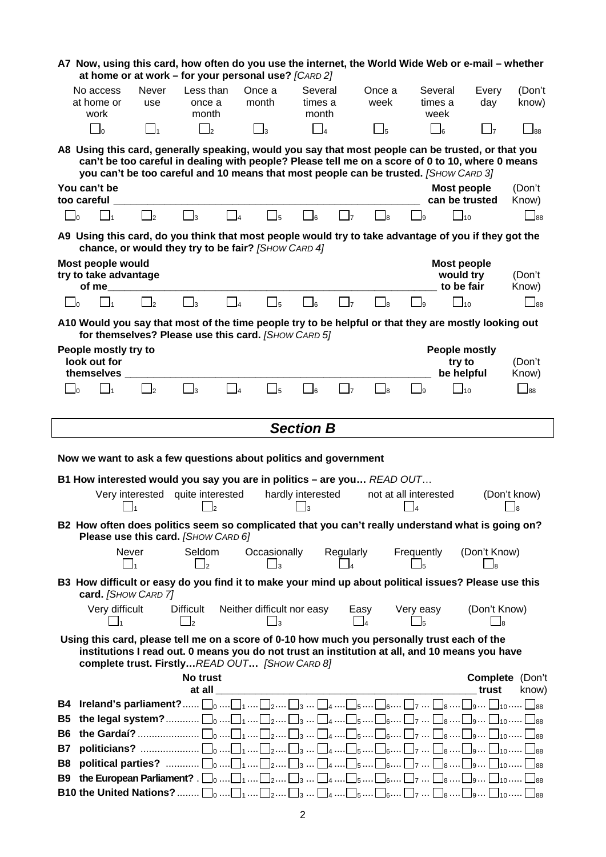|                |                                                     |                            | A7 Now, using this card, how often do you use the internet, the World Wide Web or e-mail – whether<br>at home or at work - for your personal use? [CARD 2]                                                                                                                                     |                                                   |                            |                             |                  |                       |                             |                                               |                    |                             |
|----------------|-----------------------------------------------------|----------------------------|------------------------------------------------------------------------------------------------------------------------------------------------------------------------------------------------------------------------------------------------------------------------------------------------|---------------------------------------------------|----------------------------|-----------------------------|------------------|-----------------------|-----------------------------|-----------------------------------------------|--------------------|-----------------------------|
|                | No access<br>at home or<br>work                     | Never<br>use               | Less than<br>once a<br>month                                                                                                                                                                                                                                                                   |                                                   | Once a<br>month            | Several<br>times a<br>month |                  | Once a<br>week        |                             | Several<br>times a<br>week                    | Every<br>day       | (Don't<br>know)             |
|                | $\bigcup_{0}$                                       | $\mathbf{l}_1$             | $\Box$ <sub>2</sub>                                                                                                                                                                                                                                                                            |                                                   | $\Box$ 3                   | $\bigcap_{4}$               |                  | $\Box_5$              |                             | $\Box$ 6                                      | $\Box$ 7           | $\Box$ 88                   |
|                |                                                     |                            | A8 Using this card, generally speaking, would you say that most people can be trusted, or that you<br>can't be too careful in dealing with people? Please tell me on a score of 0 to 10, where 0 means<br>you can't be too careful and 10 means that most people can be trusted. [SHOW CARD 3] |                                                   |                            |                             |                  |                       |                             |                                               |                    |                             |
|                | You can't be<br>too careful                         |                            |                                                                                                                                                                                                                                                                                                |                                                   |                            |                             |                  |                       |                             | Most people<br>can be trusted                 |                    | (Don't<br>Know)             |
| J٥             | $\mathbf{I}_1$                                      | $\mathbf{I}_2$             | $\Box$ 3                                                                                                                                                                                                                                                                                       | $\overline{4}$                                    | $\overline{\phantom{0}}$ 5 | 6اــ                        | $\mathbf{I}$     |                       | l9                          | $\Box$ 10                                     |                    | $\overline{\phantom{1}}$ 88 |
|                |                                                     |                            | A9 Using this card, do you think that most people would try to take advantage of you if they got the<br>chance, or would they try to be fair? [SHOW CARD 4]                                                                                                                                    |                                                   |                            |                             |                  |                       |                             |                                               |                    |                             |
|                | Most people would<br>try to take advantage<br>of me |                            |                                                                                                                                                                                                                                                                                                |                                                   |                            |                             |                  |                       |                             | <b>Most people</b><br>would try<br>to be fair |                    | (Don't<br>Know)             |
| - Io           | $\mathbf{I}$                                        | $\overline{\phantom{0}}$ 2 | $\vert$ <sub>3</sub>                                                                                                                                                                                                                                                                           | $\begin{array}{ c c c }\n\hline\n&4\n\end{array}$ | $\Box$                     | $\sqcap$ <sub>6</sub>       | $\mathbf{J}$     | $\mathbb{I}_{8}$      | - Is                        | $\Box$ 10                                     |                    | $\Box$ 88                   |
|                |                                                     |                            | A10 Would you say that most of the time people try to be helpful or that they are mostly looking out<br>for themselves? Please use this card. [SHOW CARD 5]                                                                                                                                    |                                                   |                            |                             |                  |                       |                             |                                               |                    |                             |
|                | People mostly try to<br>look out for                |                            |                                                                                                                                                                                                                                                                                                |                                                   |                            |                             |                  |                       |                             | <b>People mostly</b><br>try to                |                    | (Don't                      |
|                | themselves                                          |                            |                                                                                                                                                                                                                                                                                                |                                                   |                            |                             |                  |                       |                             | be helpful                                    |                    | Know)                       |
| $\Box$ o       | $\mathbf{I}_1$                                      | $\Box$ 2                   | $\Box$ 3                                                                                                                                                                                                                                                                                       | $ _4$                                             | $\Box$ <sub>5</sub>        | $\Box$ 6                    | $\Box$ 7         | $\Box_8$              | $\Box$ 9                    | $\Box$ 10                                     |                    | $\overline{\phantom{0}}$ 88 |
|                |                                                     |                            |                                                                                                                                                                                                                                                                                                |                                                   |                            | <b>Section B</b>            |                  |                       |                             |                                               |                    |                             |
|                |                                                     |                            |                                                                                                                                                                                                                                                                                                |                                                   |                            |                             |                  |                       |                             |                                               |                    |                             |
|                |                                                     |                            |                                                                                                                                                                                                                                                                                                |                                                   |                            |                             |                  |                       |                             |                                               |                    |                             |
|                |                                                     |                            | Now we want to ask a few questions about politics and government                                                                                                                                                                                                                               |                                                   |                            |                             |                  |                       |                             |                                               |                    |                             |
|                |                                                     |                            | B1 How interested would you say you are in politics - are you READ OUT                                                                                                                                                                                                                         |                                                   |                            |                             |                  |                       |                             |                                               |                    |                             |
|                |                                                     |                            | Very interested quite interested<br>l2                                                                                                                                                                                                                                                         |                                                   |                            | hardly interested<br>l3     |                  | not at all interested | l4                          |                                               |                    | (Don't know)<br>l8          |
|                |                                                     |                            | B2 How often does politics seem so complicated that you can't really understand what is going on?<br>Please use this card. [SHOW CARD 6]                                                                                                                                                       |                                                   |                            |                             |                  |                       |                             |                                               |                    |                             |
|                | Never                                               | ┛1                         | Seldom<br>$\overline{\phantom{a}}$ 2                                                                                                                                                                                                                                                           |                                                   | Occasionally<br>Jз         |                             | Regularly        |                       | Frequently                  |                                               | (Don't Know)<br>lя |                             |
|                | card. [SHOW CARD 7]                                 |                            | B3 How difficult or easy do you find it to make your mind up about political issues? Please use this                                                                                                                                                                                           |                                                   |                            |                             |                  |                       |                             |                                               |                    |                             |
|                | Very difficult<br>$\Box$ 1                          |                            | Difficult<br>$\sqcup$ <sub>2</sub>                                                                                                                                                                                                                                                             |                                                   | Jз                         | Neither difficult nor easy  | Easy<br>$\Box_4$ |                       | Very easy<br>$\mathsf{l}_5$ |                                               | (Don't Know)<br>Jя |                             |
|                |                                                     |                            | Using this card, please tell me on a score of 0-10 how much you personally trust each of the<br>institutions I read out. 0 means you do not trust an institution at all, and 10 means you have<br>complete trust. FirstlyREAD OUT [SHOW CARD 8]                                                |                                                   |                            |                             |                  |                       |                             |                                               |                    |                             |
|                |                                                     |                            | No trust                                                                                                                                                                                                                                                                                       |                                                   |                            |                             |                  |                       |                             |                                               | Complete (Don't    |                             |
|                |                                                     |                            | at all<br><b>B4 Ireland's parliament?</b> $\Box_0$ $\Box_1$ $\Box_2$ $\Box_3$ $\Box_4$ $\Box_5$ $\Box_6$ $\Box_8$ $\Box_9$ $\Box_{10}$ $\Box_{88}$                                                                                                                                             |                                                   |                            |                             |                  |                       |                             |                                               | trust              | know)                       |
| <b>B5</b>      |                                                     |                            | the legal system? $\Box_0$ $\Box_1$ $\Box_2$ $\Box_3$ $\Box_4$ $\Box_6$ $\Box_7$ $\Box_8$ $\Box_9$ $\Box_{80}$ $\Box_{88}$                                                                                                                                                                     |                                                   |                            |                             |                  |                       |                             |                                               |                    |                             |
| B <sub>6</sub> |                                                     |                            |                                                                                                                                                                                                                                                                                                |                                                   |                            |                             |                  |                       |                             |                                               |                    |                             |
| <b>B7</b>      |                                                     |                            |                                                                                                                                                                                                                                                                                                |                                                   |                            |                             |                  |                       |                             |                                               |                    |                             |
| B8             |                                                     |                            |                                                                                                                                                                                                                                                                                                |                                                   |                            |                             |                  |                       |                             |                                               |                    |                             |
| <b>B</b> 9     |                                                     |                            | the European Parliament? . $\Box_0$ $\Box_1$ $\Box_2$ $\Box_3$ $\Box_4$ $\Box_5$ $\Box_6$ $\Box_8$ $\Box_9$ $\Box_{10}$ $\Box_{88}$<br><b>B10 the United Nations?</b> $\Box_0$ $\Box_1$ $\Box_2$ $\Box_3$ $\Box_4$ $\Box_6$ $\Box_7$ $\Box_8$ $\Box_9$ $\Box_{80}$ $\Box_{88}$                 |                                                   |                            |                             |                  |                       |                             |                                               |                    |                             |

2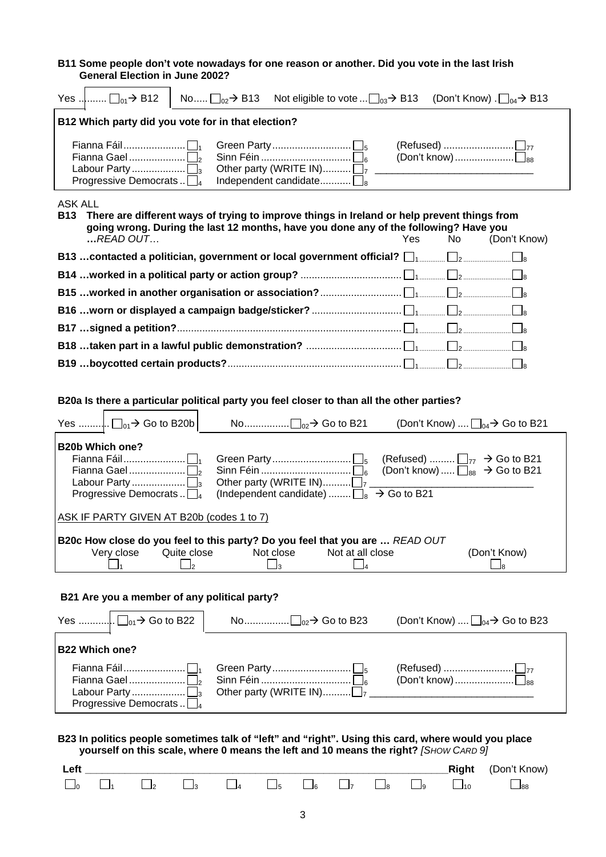#### **B11 Some people don't vote nowadays for one reason or another. Did you vote in the last Irish General Election in June 2002?**

| Yes $\ldots$ $\Box_{01}$ $\rightarrow$ B12<br>No $\Box_{02}$ $\rightarrow$ B13<br>Not eligible to vote $\Box_{03}$ $\rightarrow$ B13 (Don't Know). $\Box_{04}$ $\rightarrow$ B13                                                                                       |
|------------------------------------------------------------------------------------------------------------------------------------------------------------------------------------------------------------------------------------------------------------------------|
| B12 Which party did you vote for in that election?                                                                                                                                                                                                                     |
| $\overline{\text{[Don't know]}\dots}\dots\dots\dots\dots\dots\dots\dots\dots\dots\dots\dots\dots\dots}$<br>Other party (WRITE IN) $\Box$<br>Progressive Democrats $\Box_4$<br>Independent candidate $\square_8$                                                        |
| <b>ASK ALL</b><br>There are different ways of trying to improve things in Ireland or help prevent things from<br><b>B13</b><br>going wrong. During the last 12 months, have you done any of the following? Have you<br>$$ READ OUT<br>Yes<br><b>No</b><br>(Don't Know) |
|                                                                                                                                                                                                                                                                        |
|                                                                                                                                                                                                                                                                        |
|                                                                                                                                                                                                                                                                        |
|                                                                                                                                                                                                                                                                        |
|                                                                                                                                                                                                                                                                        |
|                                                                                                                                                                                                                                                                        |
|                                                                                                                                                                                                                                                                        |
| B20a Is there a particular political party you feel closer to than all the other parties?                                                                                                                                                                              |
| (Don't Know) $\Box_{04}$ $\rightarrow$ Go to B21                                                                                                                                                                                                                       |
| <b>B20b Which one?</b><br>(Refused) $\Box_{77} \rightarrow$ Go to B21<br>(Don't know) $\Box_{88} \rightarrow$ Go to B21<br>Other party (WRITE IN) $\Box$ 7                                                                                                             |
| (Independent candidate) $\Box_8 \rightarrow$ Go to B21<br>Progressive Democrats $\Box_4$                                                                                                                                                                               |
| ASK IF PARTY GIVEN AT B20b (codes 1 to 7)                                                                                                                                                                                                                              |
| B20c How close do you feel to this party? Do you feel that you are  READ OUT<br>Very close<br>(Don't Know)<br>Quite close<br>Not at all close<br>Not close<br>$\vert_4$<br>l2<br>$\Box$ 3<br>lя                                                                        |
| B21 Are you a member of any political party?                                                                                                                                                                                                                           |
| (Don't Know) $\Box_{04}$ Go to B23                                                                                                                                                                                                                                     |
| <b>B22 Which one?</b>                                                                                                                                                                                                                                                  |
| Fianna Gael<br>Other party (WRITE IN) $\Box$<br>Progressive Democrats                                                                                                                                                                                                  |
| B23 In politics people sometimes talk of "left" and "right". Using this card, where would you place<br>yourself on this scale, where 0 means the left and 10 means the right? [SHOW CARD 9]                                                                            |
| Left<br>Right<br>(Don't Know)<br>$\Box_4$<br>$\Box_5$<br>$\Box$ <sub>2</sub><br>$\Box_6$<br>$\Box$<br>$\Box$ <sub>10</sub><br>$\Box_3$<br>$\Box$ 8<br>$\Box$ 88<br>ول                                                                                                  |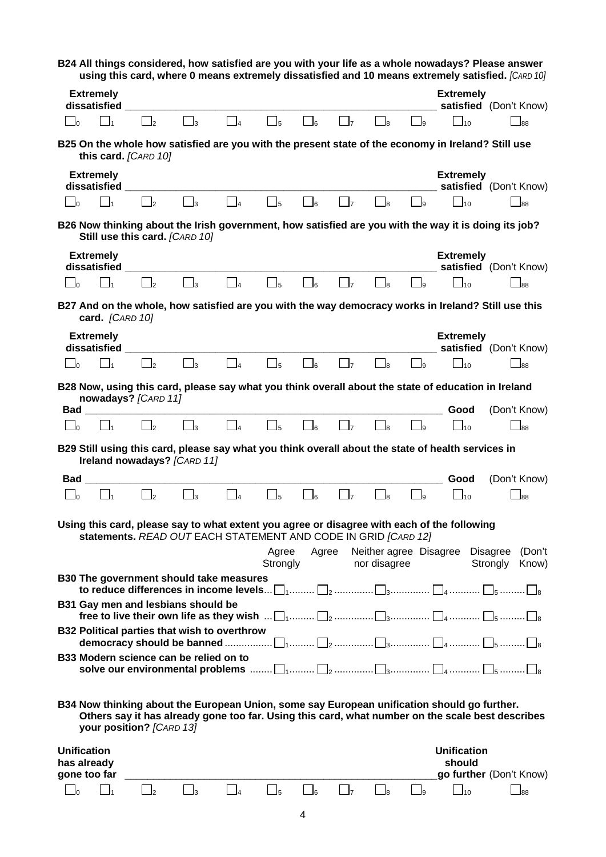|                                                   |                   |                                                     |                                         |                                                                |                |                            |                              |                              |                                        |                                       |                                                                                                      | B24 All things considered, how satisfied are you with your life as a whole nowadays? Please answer<br>using this card, where 0 means extremely dissatisfied and 10 means extremely satisfied. [CARD 10] |
|---------------------------------------------------|-------------------|-----------------------------------------------------|-----------------------------------------|----------------------------------------------------------------|----------------|----------------------------|------------------------------|------------------------------|----------------------------------------|---------------------------------------|------------------------------------------------------------------------------------------------------|---------------------------------------------------------------------------------------------------------------------------------------------------------------------------------------------------------|
|                                                   |                   | <b>Extremely</b><br>dissatisfied                    |                                         |                                                                |                |                            |                              |                              |                                        |                                       | <b>Extremely</b>                                                                                     | satisfied (Don't Know)                                                                                                                                                                                  |
| $\Box$ 0                                          |                   | $\prod_{1}$                                         | $\vert \cdot \vert_2$                   | $\Box$ <sub>3</sub>                                            | $\Box$         | $\Box$ <sub>5</sub>        | $\overline{\phantom{a}}\,$   | $\vert \ \vert_7$            | $\Box$ 8                               | $\begin{vmatrix} 1 & 1 \end{vmatrix}$ | $\Box$ 10                                                                                            | 188                                                                                                                                                                                                     |
|                                                   |                   | this card. [CARD 10]                                |                                         |                                                                |                |                            |                              |                              |                                        |                                       | B25 On the whole how satisfied are you with the present state of the economy in Ireland? Still use   |                                                                                                                                                                                                         |
|                                                   |                   | <b>Extremely</b>                                    |                                         |                                                                |                |                            |                              |                              |                                        |                                       | <b>Extremely</b>                                                                                     | satisfied (Don't Know)                                                                                                                                                                                  |
| ∟ا                                                |                   | $\Box$ 1                                            | $\overline{\phantom{a}}$                | $\Box_3$                                                       | $\Box_4$       | $\Box_5$                   | $\bigcup_{6}$                | $\Box$ 7                     | $\Box$ <sub>8</sub>                    | $\bigcup_{9}$                         | $\overline{\phantom{0}}$ 10                                                                          | $\Box$ 88                                                                                                                                                                                               |
|                                                   |                   |                                                     | Still use this card. [CARD 10]          |                                                                |                |                            |                              |                              |                                        |                                       | B26 Now thinking about the Irish government, how satisfied are you with the way it is doing its job? |                                                                                                                                                                                                         |
|                                                   |                   | <b>Extremely</b><br>dissatisfied                    |                                         |                                                                |                |                            |                              |                              |                                        |                                       | <b>Extremely</b>                                                                                     | satisfied (Don't Know)                                                                                                                                                                                  |
| $\Box$                                            |                   | $\Box_1$                                            | $\Box$ <sub>2</sub>                     | $\square_3$                                                    | $\Box_4$       | $\Box_5$                   | $\Box_6$                     | $\vert \ \vert_7$            | $\Box$ <sub>8</sub>                    | $\Box$ 9                              | $\Box$ 10                                                                                            | $\Box$ 88                                                                                                                                                                                               |
|                                                   |                   |                                                     |                                         |                                                                |                |                            |                              |                              |                                        |                                       |                                                                                                      | B27 And on the whole, how satisfied are you with the way democracy works in Ireland? Still use this                                                                                                     |
|                                                   |                   | card. [CARD 10]<br><b>Extremely</b><br>dissatisfied |                                         |                                                                |                |                            |                              |                              |                                        |                                       | <b>Extremely</b>                                                                                     | satisfied (Don't Know)                                                                                                                                                                                  |
| $\overline{a}$                                    |                   | l l1                                                | $\vert \cdot \vert_2$                   | $\vert \vert_3$                                                | $\vert$ 4      | $\overline{\phantom{0}}$ 5 | $\vert$ $\vert$ <sub>6</sub> | $\vert$ $\vert$ <sub>7</sub> | $\Box$                                 | - Is                                  | 10 <sub>0</sub>                                                                                      | 188                                                                                                                                                                                                     |
|                                                   |                   |                                                     | nowadays? [CARD 11]                     |                                                                |                |                            |                              |                              |                                        |                                       | B28 Now, using this card, please say what you think overall about the state of education in Ireland  |                                                                                                                                                                                                         |
| $\mathsf{L}_{\mathsf{D}}$                         | $\mathsf{Bad} \_$ | $\Box_1$                                            | $\begin{bmatrix} 1 \\ -2 \end{bmatrix}$ | $\mathbf{I}_3$                                                 |                | $\Box_5$                   | $\Box_6$                     | $\Box$                       | $\Box$                                 | $\Box$ 9                              | Good<br>$\Box$ <sub>10</sub>                                                                         | (Don't Know)<br>$\Box$ 88                                                                                                                                                                               |
|                                                   |                   |                                                     |                                         |                                                                |                |                            |                              |                              |                                        |                                       | B29 Still using this card, please say what you think overall about the state of health services in   |                                                                                                                                                                                                         |
|                                                   |                   |                                                     |                                         | Ireland nowadays? [CARD 11]                                    |                |                            |                              |                              |                                        |                                       |                                                                                                      |                                                                                                                                                                                                         |
| Bad                                               |                   |                                                     |                                         |                                                                |                |                            |                              |                              |                                        |                                       | Good                                                                                                 | (Don't Know)                                                                                                                                                                                            |
| $\Box$ o                                          |                   | $\Box$ 1                                            | $\mathbf{I}$                            | $\Box$ 3                                                       | $\Box$ 4       | $\overline{\phantom{0}}$ 5 | _l6                          | $\overline{7}$               | $\Box$ 8                               | ول                                    | $-110$                                                                                               | 88ـ                                                                                                                                                                                                     |
|                                                   |                   |                                                     |                                         | statements. READ OUT EACH STATEMENT AND CODE IN GRID [CARD 12] |                |                            |                              |                              |                                        |                                       | Using this card, please say to what extent you agree or disagree with each of the following          |                                                                                                                                                                                                         |
|                                                   |                   |                                                     |                                         |                                                                |                | Agree<br>Strongly          | Agree                        |                              | Neither agree Disagree<br>nor disagree |                                       |                                                                                                      | <b>Disagree</b><br>(Don't<br>Strongly<br>Know)                                                                                                                                                          |
|                                                   |                   |                                                     |                                         | <b>B30 The government should take measures</b>                 |                |                            |                              |                              |                                        |                                       |                                                                                                      |                                                                                                                                                                                                         |
|                                                   |                   |                                                     |                                         | B31 Gay men and lesbians should be                             |                |                            |                              |                              |                                        |                                       |                                                                                                      |                                                                                                                                                                                                         |
|                                                   |                   |                                                     |                                         | B32 Political parties that wish to overthrow                   |                |                            |                              |                              |                                        |                                       |                                                                                                      |                                                                                                                                                                                                         |
|                                                   |                   |                                                     |                                         | B33 Modern science can be relied on to                         |                |                            |                              |                              |                                        |                                       |                                                                                                      |                                                                                                                                                                                                         |
|                                                   |                   |                                                     | your position? [CARD 13]                |                                                                |                |                            |                              |                              |                                        |                                       | B34 Now thinking about the European Union, some say European unification should go further.          | Others say it has already gone too far. Using this card, what number on the scale best describes                                                                                                        |
| <b>Unification</b><br>has already<br>gone too far |                   |                                                     |                                         |                                                                |                |                            |                              |                              |                                        |                                       | <b>Unification</b><br>should                                                                         | go further (Don't Know)                                                                                                                                                                                 |
| $\Box$ o                                          |                   | $\Box_1$                                            | $\overline{\phantom{0}}$ 2              | $\Box_3$                                                       | $\overline{4}$ | $\Box_5$                   | $\Box_6$                     | $\Box$ 7                     | $\Box$ 8                               | $\Box$                                | $\Box$ 10                                                                                            | $\Box$ 88                                                                                                                                                                                               |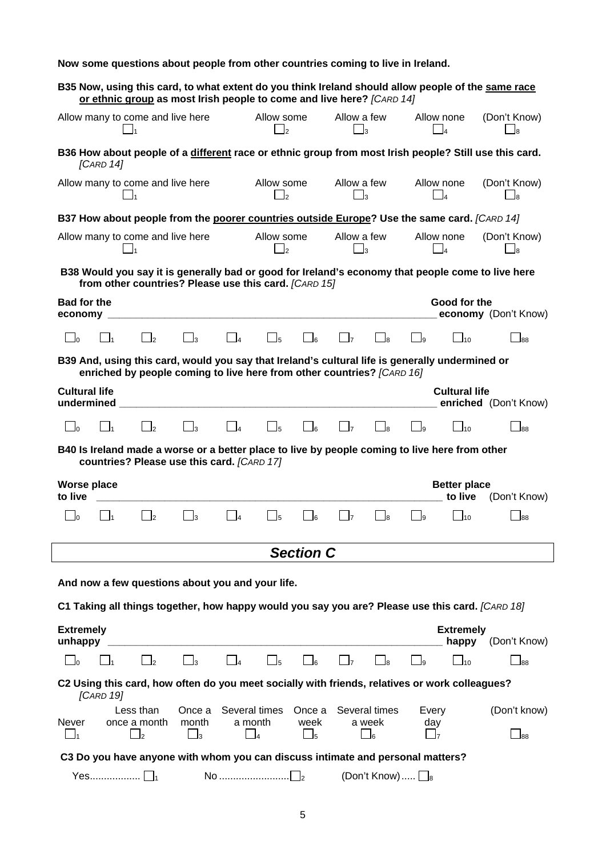|                                                                                                                                                                             |                     |          |                                           |                              |      | Now some questions about people from other countries coming to live in Ireland. |          |     |                                        |                       |
|-----------------------------------------------------------------------------------------------------------------------------------------------------------------------------|---------------------|----------|-------------------------------------------|------------------------------|------|---------------------------------------------------------------------------------|----------|-----|----------------------------------------|-----------------------|
| B35 Now, using this card, to what extent do you think Ireland should allow people of the same race<br>or ethnic group as most Irish people to come and live here? [CARD 14] |                     |          |                                           |                              |      |                                                                                 |          |     |                                        |                       |
| Allow many to come and live here                                                                                                                                            |                     |          |                                           | Allow some<br>J2             |      | Allow a few                                                                     | Jз       |     | Allow none<br>$\overline{\phantom{a}}$ | (Don't Know)          |
| B36 How about people of a different race or ethnic group from most Irish people? Still use this card.<br>[CARD 14]                                                          |                     |          |                                           |                              |      |                                                                                 |          |     |                                        |                       |
| Allow many to come and live here                                                                                                                                            | $\overline{1}$      |          |                                           | Allow some<br>l2             |      | Allow a few                                                                     | lз       |     | Allow none<br>l4                       | (Don't Know)<br>l8    |
| B37 How about people from the poorer countries outside Europe? Use the same card. [CARD 14]                                                                                 |                     |          |                                           |                              |      |                                                                                 |          |     |                                        |                       |
| Allow many to come and live here                                                                                                                                            |                     |          |                                           | Allow some<br>$\mathsf{I}_2$ |      | Allow a few<br>$\Box$ 3                                                         |          |     | Allow none<br>$\overline{A}$           | (Don't Know)          |
| B38 Would you say it is generally bad or good for Ireland's economy that people come to live here<br>from other countries? Please use this card. [CARD 15]                  |                     |          |                                           |                              |      |                                                                                 |          |     |                                        |                       |
| <b>Bad for the</b>                                                                                                                                                          |                     |          |                                           |                              |      |                                                                                 |          |     | Good for the                           |                       |
| economy                                                                                                                                                                     |                     |          |                                           |                              |      |                                                                                 |          |     |                                        | economy (Don't Know)  |
| $\mathsf{l}_\mathsf{\_1}$<br>J٥                                                                                                                                             | $\Box$ <sub>2</sub> | $\Box_3$ | $\begin{array}{ c c } \hline \end{array}$ | $\mathbb{I}_5$               | _  6 | $\mathsf{I}$                                                                    | $\Box$ 8 | _l9 | $\Box$ 10                              | 88l                   |
| B39 And, using this card, would you say that Ireland's cultural life is generally undermined or<br>enriched by people coming to live here from other countries? [CARD 16]   |                     |          |                                           |                              |      |                                                                                 |          |     |                                        |                       |
| <b>Cultural life</b><br>undermined                                                                                                                                          |                     |          |                                           |                              |      |                                                                                 |          |     | <b>Cultural life</b>                   | enriched (Don't Know) |
| $\Box$ 1<br>٦o                                                                                                                                                              | $\Box$              | $\Box$ 3 | $\overline{A}$                            | $\Box$ 5                     |      | $\mathsf{I}$                                                                    | ⊥la      | -la | $\Box$ 10                              | 88                    |
| B40 Is Ireland made a worse or a better place to live by people coming to live here from other<br>countries? Please use this card. [CARD 17]                                |                     |          |                                           |                              |      |                                                                                 |          |     |                                        |                       |

**to live \_\_\_\_\_\_\_\_\_\_\_\_\_\_\_\_\_\_\_\_\_\_\_\_\_\_\_\_\_\_\_\_\_\_\_\_\_\_\_\_\_\_\_\_\_\_\_\_\_\_\_\_\_\_\_\_\_\_\_\_\_ to live** (Don't Know) 0 LJ1 LJ2 LJ3 LJ4 LJ5 LJ6 LJ7 LJ8 LJ9 LJ10 LJ88 *Section C*  **And now a few questions about you and your life. C1 Taking all things together, how happy would you say you are? Please use this card.** *[CARD 18]* **Extremely Extremely unhappy \_\_\_\_\_\_\_\_\_\_\_\_\_\_\_\_\_\_\_\_\_\_\_\_\_\_\_\_\_\_\_\_\_\_\_\_\_\_\_\_\_\_\_\_\_\_\_\_\_\_\_\_\_\_\_\_\_\_\_ happy** (Don't Know) 0 LJ1 LJ2 LJ3 LJ4 LJ5 LJ6 LJ7 LJ8 LJ9 LJ10 LJ88 **C2 Using this card, how often do you meet socially with friends, relatives or work colleagues?**  *[CARD 19]* Less than Once a Several times Once a Several times Every (Don't know) Never once a month month a month week a week day 1 2 3 4 5 6 7 88  **C3 Do you have anyone with whom you can discuss intimate and personal matters?**  Yes.................. 1 No ......................... 2 (Don't Know)..... <sup>8</sup>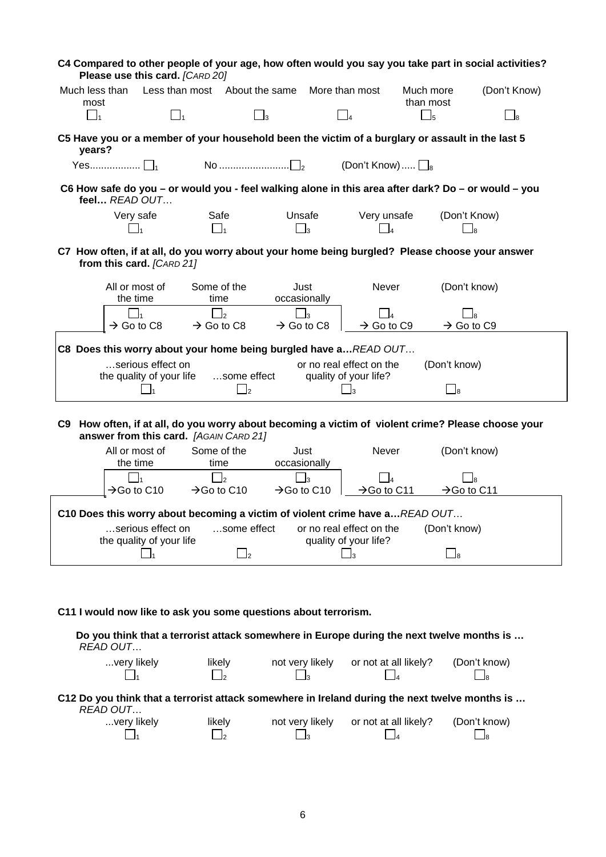|                  | Please use this card. [CARD 20]               | C4 Compared to other people of your age, how often would you say you take part in social activities?                                         |             |                         |                                                   |                                  |                         |              |
|------------------|-----------------------------------------------|----------------------------------------------------------------------------------------------------------------------------------------------|-------------|-------------------------|---------------------------------------------------|----------------------------------|-------------------------|--------------|
| Much less than   |                                               | Less than most About the same                                                                                                                |             |                         | More than most                                    | Much more                        |                         | (Don't Know) |
| most<br>$\Box_1$ | $\Box_1$                                      |                                                                                                                                              | $\square_3$ |                         | $\Box$ 4                                          | than most<br>$\Box$ <sub>5</sub> |                         | $\Box$ 8     |
|                  |                                               |                                                                                                                                              |             |                         |                                                   |                                  |                         |              |
| years?           |                                               | C5 Have you or a member of your household been the victim of a burglary or assault in the last 5                                             |             |                         |                                                   |                                  |                         |              |
|                  |                                               | No $\ldots$ $\ldots$ $\ldots$                                                                                                                |             |                         | (Don't Know) $\Box$ <sub>8</sub>                  |                                  |                         |              |
|                  | feel READ OUT                                 | C6 How safe do you - or would you - feel walking alone in this area after dark? Do - or would - you                                          |             |                         |                                                   |                                  |                         |              |
|                  | Very safe                                     | Safe                                                                                                                                         |             | Unsafe                  | Very unsafe                                       |                                  | (Don't Know)            |              |
|                  | $\mathbf{I}_1$                                | $\Box_1$                                                                                                                                     |             | $\Box_3$                | $\overline{A}$                                    |                                  | Jя                      |              |
|                  | from this card. [CARD 21]                     | C7 How often, if at all, do you worry about your home being burgled? Please choose your answer                                               |             |                         |                                                   |                                  |                         |              |
|                  | All or most of<br>the time                    | Some of the<br>time                                                                                                                          |             | Just<br>occasionally    | Never                                             |                                  | (Don't know)            |              |
|                  |                                               | <sub>2</sub>                                                                                                                                 |             | $\overline{\mathbf{3}}$ |                                                   |                                  | lя                      |              |
|                  | $\rightarrow$ Go to C8                        | $\rightarrow$ Go to C8                                                                                                                       |             | $\rightarrow$ Go to C8  | $\rightarrow$ Go to C9                            |                                  | $\rightarrow$ Go to C9  |              |
|                  |                                               | C8 Does this worry about your home being burgled have a READ OUT                                                                             |             |                         |                                                   |                                  |                         |              |
|                  | serious effect on                             |                                                                                                                                              |             |                         | or no real effect on the                          |                                  | (Don't know)            |              |
|                  | the quality of your life<br>$\Box$ 1          | some effect<br>$\mathsf{I}_2$                                                                                                                |             |                         | quality of your life?<br>$\mathbf{I}_3$           |                                  | $\Box$                  |              |
|                  |                                               |                                                                                                                                              |             |                         |                                                   |                                  |                         |              |
|                  |                                               | C9 How often, if at all, do you worry about becoming a victim of violent crime? Please choose your<br>answer from this card. [AGAIN CARD 21] |             |                         |                                                   |                                  |                         |              |
|                  | All or most of<br>the time                    | Some of the<br>time                                                                                                                          |             | Just<br>occasionally    | Never                                             |                                  | (Don't know)            |              |
|                  |                                               | $\mathsf{I}_2$                                                                                                                               |             | $\mathsf{I}_3$          |                                                   |                                  | l8                      |              |
|                  | $\rightarrow$ Go to C10                       | $\rightarrow$ Go to C10                                                                                                                      |             | $\rightarrow$ Go to C10 | $\rightarrow$ Go to C11                           |                                  | $\rightarrow$ Go to C11 |              |
|                  |                                               | C10 Does this worry about becoming a victim of violent crime have a READ OUT                                                                 |             |                         |                                                   |                                  |                         |              |
|                  | serious effect on<br>the quality of your life | some effect                                                                                                                                  |             |                         | or no real effect on the<br>quality of your life? |                                  | (Don't know)            |              |
|                  | $\mathsf{I}_1$                                | $\Box$                                                                                                                                       |             |                         | $\perp$ 3                                         |                                  | $\Box$                  |              |
|                  |                                               |                                                                                                                                              |             |                         |                                                   |                                  |                         |              |

#### **C11 I would now like to ask you some questions about terrorism.**

 **Do you think that a terrorist attack somewhere in Europe during the next twelve months is …**  *READ OUT*…

| wery likely | likely | not very likely | or not at all likely? | (Don't know) |
|-------------|--------|-----------------|-----------------------|--------------|
|             | ٠I     |                 |                       | - Is         |

**C12 Do you think that a terrorist attack somewhere in Ireland during the next twelve months is …**  *READ OUT*…

| wery likely | likely | not very likely | or not at all likely? | (Don't know) |
|-------------|--------|-----------------|-----------------------|--------------|
|             | ിറ     |                 |                       |              |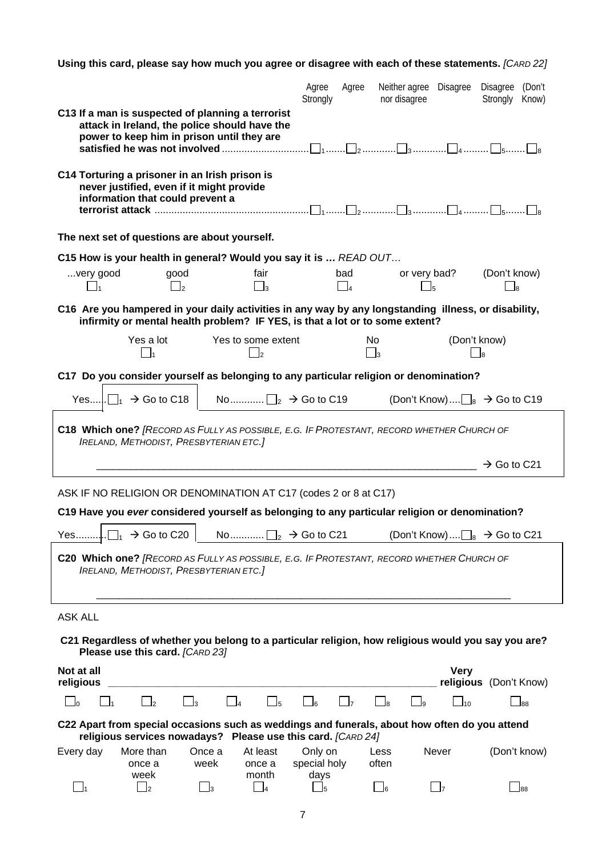**Using this card, please say how much you agree or disagree with each of these statements.** *[CARD 22]*

|                                                                                                                                                                                      |                                | Agree<br>Strongly               | Agree                            | Neither agree Disagree Disagree (Don't<br>nor disagree |                          | Strongly                | Know)           |
|--------------------------------------------------------------------------------------------------------------------------------------------------------------------------------------|--------------------------------|---------------------------------|----------------------------------|--------------------------------------------------------|--------------------------|-------------------------|-----------------|
| C13 If a man is suspected of planning a terrorist<br>attack in Ireland, the police should have the<br>power to keep him in prison until they are                                     |                                |                                 |                                  |                                                        |                          |                         |                 |
|                                                                                                                                                                                      |                                |                                 |                                  |                                                        |                          |                         |                 |
| C14 Torturing a prisoner in an Irish prison is<br>never justified, even if it might provide<br>information that could prevent a                                                      |                                |                                 |                                  |                                                        |                          |                         |                 |
| The next set of questions are about yourself.                                                                                                                                        |                                |                                 |                                  |                                                        |                          |                         |                 |
| C15 How is your health in general? Would you say it is  READ OUT                                                                                                                     |                                |                                 |                                  |                                                        |                          |                         |                 |
| good<br>very good<br>$\Box$ <sub>2</sub>                                                                                                                                             | fair<br>$\Box_3$               |                                 | bad<br>$\Box$ 4                  | or very bad?<br>J5                                     |                          | (Don't know)<br>_ls     |                 |
| C16 Are you hampered in your daily activities in any way by any longstanding illness, or disability,<br>infirmity or mental health problem? IF YES, is that a lot or to some extent? |                                |                                 |                                  |                                                        |                          |                         |                 |
| Yes a lot<br>$\Box_1$                                                                                                                                                                | Yes to some extent<br>$\Box_2$ |                                 | <b>No</b><br>$\Box$ <sub>3</sub> |                                                        | (Don't know)<br>$\Box$ s |                         |                 |
| C17 Do you consider yourself as belonging to any particular religion or denomination?                                                                                                |                                |                                 |                                  |                                                        |                          |                         |                 |
| Yes $\Box_1 \rightarrow$ Go to C18   No $\Box_2 \rightarrow$ Go to C19                                                                                                               |                                |                                 |                                  | (Don't Know) $\Box_8 \rightarrow$ Go to C19            |                          |                         |                 |
| C18 Which one? [RECORD AS FULLY AS POSSIBLE, E.G. IF PROTESTANT, RECORD WHETHER CHURCH OF<br><b>IRELAND, METHODIST, PRESBYTERIAN ETC.]</b>                                           |                                |                                 |                                  |                                                        |                          |                         |                 |
|                                                                                                                                                                                      |                                |                                 |                                  |                                                        |                          | $\rightarrow$ Go to C21 |                 |
| ASK IF NO RELIGION OR DENOMINATION AT C17 (codes 2 or 8 at C17)                                                                                                                      |                                |                                 |                                  |                                                        |                          |                         |                 |
| C19 Have you ever considered yourself as belonging to any particular religion or denomination?                                                                                       |                                |                                 |                                  |                                                        |                          |                         |                 |
|                                                                                                                                                                                      |                                |                                 |                                  |                                                        |                          |                         |                 |
| C20 Which one? [RECORD AS FULLY AS POSSIBLE, E.G. IF PROTESTANT, RECORD WHETHER CHURCH OF<br><b>IRELAND, METHODIST, PRESBYTERIAN ETC.]</b>                                           |                                |                                 |                                  |                                                        |                          |                         |                 |
|                                                                                                                                                                                      |                                |                                 |                                  |                                                        |                          |                         |                 |
| <b>ASK ALL</b>                                                                                                                                                                       |                                |                                 |                                  |                                                        |                          |                         |                 |
| C21 Regardless of whether you belong to a particular religion, how religious would you say you are?<br>Please use this card. [CARD 23]                                               |                                |                                 |                                  |                                                        |                          |                         |                 |
| Not at all                                                                                                                                                                           |                                |                                 |                                  |                                                        | <b>Very</b>              |                         |                 |
| religious<br>$\Box$ 3<br>$_{\rm l2}$<br>- In                                                                                                                                         | $\Box_5$                       | _]6                             | $\Box$ 7                         | $\vert$ $\vert_8$<br>l9                                | $\Box$ 10                | religious (Don't Know)  | $\mathsf{I}$ 88 |
| C22 Apart from special occasions such as weddings and funerals, about how often do you attend<br>religious services nowadays? Please use this card. [CARD 24]                        |                                |                                 |                                  |                                                        |                          |                         |                 |
| Every day<br>More than<br>Once a<br>once a<br>week<br>week                                                                                                                           | At least<br>once a<br>month    | Only on<br>special holy<br>days |                                  | Less<br>often                                          | Never                    |                         | (Don't know)    |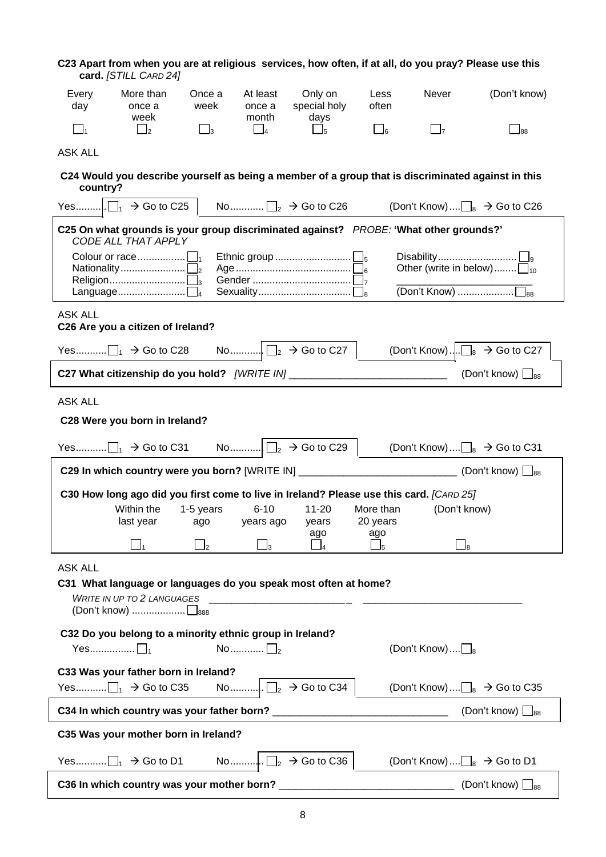| C23 Apart from when you are at religious services, how often, if at all, do you pray? Please use this | card. [STILL CARD 24]       |                        |                             |                                   |                                            |                          |                                                                                                      |
|-------------------------------------------------------------------------------------------------------|-----------------------------|------------------------|-----------------------------|-----------------------------------|--------------------------------------------|--------------------------|------------------------------------------------------------------------------------------------------|
| Every<br>day                                                                                          | More than<br>once a<br>week | Once a<br>week         | At least<br>once a<br>month | Only on<br>special holy<br>days   | Less<br>often                              | Never                    | (Don't know)                                                                                         |
| $\Box_1$                                                                                              | $\Box$ <sub>2</sub>         | $\Box_3$               | $\Box$ 4                    | $\Box_5$                          | $\Box_6$                                   | $\Box$ 7                 | $\overline{\phantom{0}}$ 88                                                                          |
| <b>ASK ALL</b>                                                                                        |                             |                        |                             |                                   |                                            |                          |                                                                                                      |
| country?                                                                                              |                             |                        |                             |                                   |                                            |                          | C24 Would you describe yourself as being a member of a group that is discriminated against in this   |
| Yes $\Box_1 \rightarrow$ Go to C25                                                                    |                             |                        |                             | No $\Box_2 \rightarrow$ Go to C26 |                                            |                          | (Don't Know) $\Box_8 \rightarrow$ Go to C26                                                          |
| C25 On what grounds is your group discriminated against? PROBE: 'What other grounds?'                 | CODE ALL THAT APPLY         |                        |                             |                                   |                                            |                          |                                                                                                      |
|                                                                                                       |                             |                        |                             |                                   |                                            |                          | Other (write in below) $\Box_{10}$                                                                   |
| <b>ASK ALL</b><br>C26 Are you a citizen of Ireland?                                                   |                             |                        |                             |                                   |                                            |                          |                                                                                                      |
|                                                                                                       |                             |                        |                             |                                   |                                            |                          | (Don't Know) $\Box$ <sub>8</sub> $\rightarrow$ Go to C27                                             |
| C27 What citizenship do you hold? [WRITE IN] ______________________________                           |                             |                        |                             |                                   |                                            |                          | (Don't know) $\Box_{88}$                                                                             |
| <b>ASK ALL</b>                                                                                        |                             |                        |                             |                                   |                                            |                          |                                                                                                      |
| C28 Were you born in Ireland?                                                                         |                             |                        |                             |                                   |                                            |                          |                                                                                                      |
|                                                                                                       |                             |                        |                             |                                   |                                            |                          | (Don't Know) $\Box_8 \rightarrow$ Go to C31                                                          |
|                                                                                                       |                             |                        |                             |                                   |                                            |                          | C29 In which country were you born? [WRITE IN] _____________________________(Don't know) $\Box_{88}$ |
| C30 How long ago did you first come to live in Ireland? Please use this card. [CARD 25]               |                             |                        |                             |                                   |                                            |                          |                                                                                                      |
|                                                                                                       | Within the<br>last year     | 1-5 years<br>ago       | $6 - 10$<br>years ago       | $11 - 20$<br>years                | More than<br>20 years                      | (Don't know)             |                                                                                                      |
|                                                                                                       |                             | $\Box$ <sub>2</sub>    | $\mathbf{I}_3$              | ago                               | ago<br>$\mathsf{\underline{\mathsf{J}}}_5$ | $\Box$ 8                 |                                                                                                      |
| <b>ASK ALL</b>                                                                                        |                             |                        |                             |                                   |                                            |                          |                                                                                                      |
| C31 What language or languages do you speak most often at home?                                       |                             |                        |                             |                                   |                                            |                          |                                                                                                      |
|                                                                                                       |                             |                        |                             | WRITE IN UP TO 2 LANGUAGES        |                                            |                          |                                                                                                      |
| C32 Do you belong to a minority ethnic group in Ireland?                                              |                             |                        |                             |                                   |                                            |                          |                                                                                                      |
| Yes $\Box_1$                                                                                          |                             | No $\Box$ <sub>2</sub> |                             |                                   |                                            | (Don't Know) $\square_8$ |                                                                                                      |
| C33 Was your father born in Ireland?                                                                  |                             |                        |                             |                                   |                                            |                          | (Don't Know) $\Box_8 \rightarrow$ Go to C35                                                          |
|                                                                                                       |                             |                        |                             |                                   |                                            |                          | (Don't know) $\Box_{88}$                                                                             |
| C35 Was your mother born in Ireland?                                                                  |                             |                        |                             |                                   |                                            |                          |                                                                                                      |
|                                                                                                       |                             |                        |                             |                                   |                                            |                          | (Don't Know) $\Box_8 \rightarrow$ Go to D1                                                           |
| C36 In which country was your mother born? _                                                          |                             |                        |                             |                                   |                                            |                          | (Don't know) $\Box_{88}$                                                                             |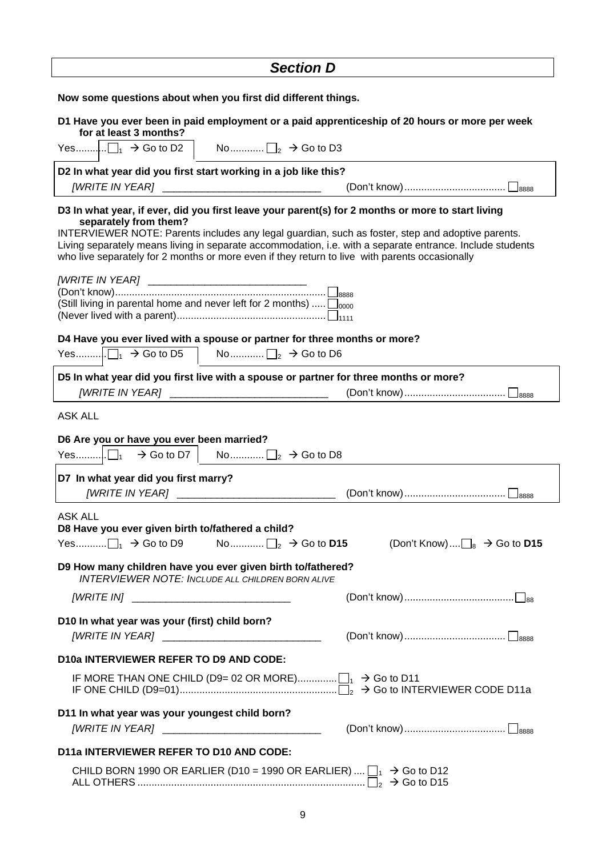| <b>Section D</b>                                                                                                                                                                                                                                                                                                                          |
|-------------------------------------------------------------------------------------------------------------------------------------------------------------------------------------------------------------------------------------------------------------------------------------------------------------------------------------------|
| Now some questions about when you first did different things.                                                                                                                                                                                                                                                                             |
| D1 Have you ever been in paid employment or a paid apprenticeship of 20 hours or more per week<br>for at least 3 months?                                                                                                                                                                                                                  |
| Yes $\Box_1 \rightarrow$ Go to D2 $\Box$ No $\Box_2 \rightarrow$ Go to D3                                                                                                                                                                                                                                                                 |
| D2 In what year did you first start working in a job like this?<br>[WRITE IN YEAR] ___________________________________                                                                                                                                                                                                                    |
| D3 In what year, if ever, did you first leave your parent(s) for 2 months or more to start living                                                                                                                                                                                                                                         |
| separately from them?<br>INTERVIEWER NOTE: Parents includes any legal guardian, such as foster, step and adoptive parents.<br>Living separately means living in separate accommodation, i.e. with a separate entrance. Include students<br>who live separately for 2 months or more even if they return to live with parents occasionally |
| [WRITE IN YEAR] _____________________________<br>(Still living in parental home and never left for 2 months) $\Box_{0000}$                                                                                                                                                                                                                |
| D4 Have you ever lived with a spouse or partner for three months or more?                                                                                                                                                                                                                                                                 |
|                                                                                                                                                                                                                                                                                                                                           |
| D5 In what year did you first live with a spouse or partner for three months or more?                                                                                                                                                                                                                                                     |
| <b>ASK ALL</b>                                                                                                                                                                                                                                                                                                                            |
| D6 Are you or have you ever been married?                                                                                                                                                                                                                                                                                                 |
| D7 In what year did you first marry?                                                                                                                                                                                                                                                                                                      |
| <b>[WRITE IN YEAR]</b><br>$-8888$                                                                                                                                                                                                                                                                                                         |
| <b>ASK ALL</b><br>D8 Have you ever given birth to/fathered a child?                                                                                                                                                                                                                                                                       |
| D9 How many children have you ever given birth to/fathered?                                                                                                                                                                                                                                                                               |
| <b>INTERVIEWER NOTE: INCLUDE ALL CHILDREN BORN ALIVE</b>                                                                                                                                                                                                                                                                                  |
| [WRITE IN] _________________________________                                                                                                                                                                                                                                                                                              |
| D10 In what year was your (first) child born?                                                                                                                                                                                                                                                                                             |
| <b>D10a INTERVIEWER REFER TO D9 AND CODE:</b>                                                                                                                                                                                                                                                                                             |
|                                                                                                                                                                                                                                                                                                                                           |
| D11 In what year was your youngest child born?                                                                                                                                                                                                                                                                                            |
| <b>D11a INTERVIEWER REFER TO D10 AND CODE:</b>                                                                                                                                                                                                                                                                                            |
| CHILD BORN 1990 OR EARLIER (D10 = 1990 OR EARLIER) $\Box_1 \rightarrow$ Go to D12                                                                                                                                                                                                                                                         |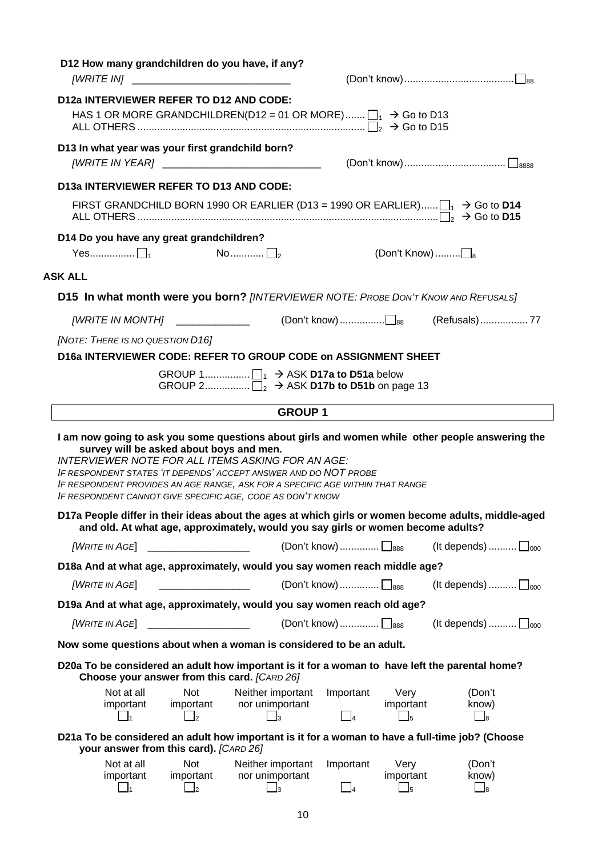| D12 How many grandchildren do you have, if any?<br>[WRITE IN] _________________________________                                                                                                                                                                                                                                                      |                                                                      |                                                                          |                           |
|------------------------------------------------------------------------------------------------------------------------------------------------------------------------------------------------------------------------------------------------------------------------------------------------------------------------------------------------------|----------------------------------------------------------------------|--------------------------------------------------------------------------|---------------------------|
| <b>D12a INTERVIEWER REFER TO D12 AND CODE:</b><br>HAS 1 OR MORE GRANDCHILDREN(D12 = 01 OR MORE) $\Box_1 \rightarrow$ Go to D13                                                                                                                                                                                                                       |                                                                      |                                                                          |                           |
| D13 In what year was your first grandchild born?                                                                                                                                                                                                                                                                                                     |                                                                      |                                                                          |                           |
| D13a INTERVIEWER REFER TO D13 AND CODE:                                                                                                                                                                                                                                                                                                              |                                                                      |                                                                          |                           |
| FIRST GRANDCHILD BORN 1990 OR EARLIER (D13 = 1990 OR EARLIER) $\Box_1 \rightarrow$ Go to D14                                                                                                                                                                                                                                                         |                                                                      |                                                                          |                           |
| D14 Do you have any great grandchildren?                                                                                                                                                                                                                                                                                                             |                                                                      |                                                                          |                           |
|                                                                                                                                                                                                                                                                                                                                                      |                                                                      | (Don't Know) $\square_8$                                                 |                           |
| <b>ASK ALL</b>                                                                                                                                                                                                                                                                                                                                       |                                                                      |                                                                          |                           |
| D15 In what month were you born? [INTERVIEWER NOTE: PROBE DON'T KNOW AND REFUSALS]                                                                                                                                                                                                                                                                   |                                                                      |                                                                          |                           |
|                                                                                                                                                                                                                                                                                                                                                      |                                                                      |                                                                          |                           |
| [NOTE: THERE IS NO QUESTION D16]                                                                                                                                                                                                                                                                                                                     |                                                                      |                                                                          |                           |
| D16a INTERVIEWER CODE: REFER TO GROUP CODE on ASSIGNMENT SHEET                                                                                                                                                                                                                                                                                       |                                                                      |                                                                          |                           |
|                                                                                                                                                                                                                                                                                                                                                      | GROUP 2 $\Box_2 \rightarrow$ ASK D17b to D51b on page 13             |                                                                          |                           |
|                                                                                                                                                                                                                                                                                                                                                      |                                                                      |                                                                          |                           |
| I am now going to ask you some questions about girls and women while other people answering the                                                                                                                                                                                                                                                      | <b>GROUP1</b>                                                        |                                                                          |                           |
| survey will be asked about boys and men.<br><b>INTERVIEWER NOTE FOR ALL ITEMS ASKING FOR AN AGE:</b><br>IF RESPONDENT STATES 'IT DEPENDS' ACCEPT ANSWER AND DO NOT PROBE<br>IF RESPONDENT PROVIDES AN AGE RANGE, ASK FOR A SPECIFIC AGE WITHIN THAT RANGE<br>IF RESPONDENT CANNOT GIVE SPECIFIC AGE, CODE AS DON'T KNOW                              |                                                                      |                                                                          |                           |
| D17a People differ in their ideas about the ages at which girls or women become adults, middle-aged<br>and old. At what age, approximately, would you say girls or women become adults?                                                                                                                                                              |                                                                      |                                                                          |                           |
| $[u]$ $[WEITE IN AGE]$ $\qquad \qquad \qquad$ $[Don't know)$ $\Box$                                                                                                                                                                                                                                                                                  |                                                                      |                                                                          | (It depends) $\Box_{000}$ |
| D18a And at what age, approximately, would you say women reach middle age?                                                                                                                                                                                                                                                                           |                                                                      |                                                                          |                           |
| <u> 2000 - Jan James James Barnett, politik eta politik eta politik eta politik eta politik eta politik eta poli</u><br>[WRITE IN AGE]                                                                                                                                                                                                               | (Don't know) $\Box$ <sub>888</sub>                                   |                                                                          | (It depends) $\Box_{000}$ |
| D19a And at what age, approximately, would you say women reach old age?                                                                                                                                                                                                                                                                              |                                                                      |                                                                          |                           |
| [WRITE IN AGE]<br>$\overline{a}$ , and the contract of the contract of $\overline{a}$ , $\overline{a}$ , $\overline{a}$ , $\overline{a}$ , $\overline{a}$ , $\overline{a}$ , $\overline{a}$ , $\overline{a}$ , $\overline{a}$ , $\overline{a}$ , $\overline{a}$ , $\overline{a}$ , $\overline{a}$ , $\overline{a}$ , $\overline{a}$ , $\overline{a}$ | (Don't know) $\Box_{888}$                                            |                                                                          | (It depends) $\Box_{000}$ |
| Now some questions about when a woman is considered to be an adult.                                                                                                                                                                                                                                                                                  |                                                                      |                                                                          |                           |
| D20a To be considered an adult how important is it for a woman to have left the parental home?                                                                                                                                                                                                                                                       |                                                                      |                                                                          |                           |
| Choose your answer from this card. [CARD 26]<br>Not at all<br><b>Not</b><br>important<br>important<br>$\Box$ <sub>2</sub><br>$\vert \ \vert_1$                                                                                                                                                                                                       | Neither important<br>nor unimportant<br>$\vert$ $\vert$ <sub>3</sub> | Important<br>Very<br>important<br>$\Box$ 5<br>$\overline{\phantom{0}}$ 4 | (Don't<br>know)<br>$\Box$ |
| D21a To be considered an adult how important is it for a woman to have a full-time job? (Choose<br>your answer from this card). [CARD 26]                                                                                                                                                                                                            |                                                                      |                                                                          |                           |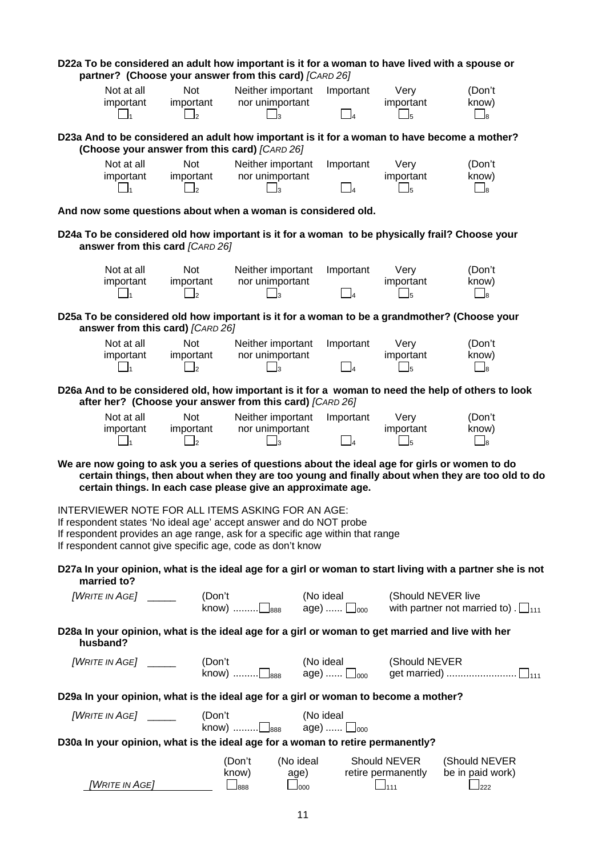| D22a To be considered an adult how important is it for a woman to have lived with a spouse or                                                                                                                                                                                                                         | partner? (Choose your answer from this card) [CARD 26]                                                                                       |                                                                                      |                             |                                     |                                                                                                           |  |  |  |
|-----------------------------------------------------------------------------------------------------------------------------------------------------------------------------------------------------------------------------------------------------------------------------------------------------------------------|----------------------------------------------------------------------------------------------------------------------------------------------|--------------------------------------------------------------------------------------|-----------------------------|-------------------------------------|-----------------------------------------------------------------------------------------------------------|--|--|--|
| Not at all<br>important                                                                                                                                                                                                                                                                                               | <b>Not</b><br>important<br>$\Box$                                                                                                            | Neither important<br>nor unimportant                                                 | Important<br>14             | Very<br>important<br>$\Box$ 5       | (Don't<br>know)<br>$\Box$ 8                                                                               |  |  |  |
|                                                                                                                                                                                                                                                                                                                       | D23a And to be considered an adult how important is it for a woman to have become a mother?<br>(Choose your answer from this card) [CARD 26] |                                                                                      |                             |                                     |                                                                                                           |  |  |  |
| Not at all<br>important                                                                                                                                                                                                                                                                                               | Not<br>important<br>$\mathbf{I}_2$                                                                                                           | Neither important<br>nor unimportant<br>$\overline{3}$                               | Important<br>$\overline{4}$ | Very<br>important<br>l5             | (Don't<br>know)<br>$\sqcup_{\scriptscriptstyle{8}}$                                                       |  |  |  |
| And now some questions about when a woman is considered old.                                                                                                                                                                                                                                                          |                                                                                                                                              |                                                                                      |                             |                                     |                                                                                                           |  |  |  |
| D24a To be considered old how important is it for a woman to be physically frail? Choose your                                                                                                                                                                                                                         | answer from this card [CARD 26]                                                                                                              |                                                                                      |                             |                                     |                                                                                                           |  |  |  |
| Not at all<br>important<br>$\mathbf{l}_1$                                                                                                                                                                                                                                                                             | <b>Not</b><br>important<br>$\mathsf{I}_2$                                                                                                    | Neither important<br>nor unimportant<br>lз                                           | Important<br>$\overline{A}$ | Very<br>important<br>$\overline{5}$ | (Don't<br>know)<br>$\Box$ 8                                                                               |  |  |  |
| D25a To be considered old how important is it for a woman to be a grandmother? (Choose your                                                                                                                                                                                                                           | answer from this card) [CARD 26]                                                                                                             |                                                                                      |                             |                                     |                                                                                                           |  |  |  |
| Not at all<br>important<br>- 11                                                                                                                                                                                                                                                                                       | <b>Not</b><br>important<br>$\mathsf{r}$                                                                                                      | Neither important<br>nor unimportant<br>$\overline{\mathbf{3}}$                      | Important<br>$\overline{4}$ | Very<br>important<br>lҕ             | (Don't<br>know)<br>$\Box$ 8                                                                               |  |  |  |
| D26a And to be considered old, how important is it for a woman to need the help of others to look                                                                                                                                                                                                                     | after her? (Choose your answer from this card) [CARD 26]                                                                                     |                                                                                      |                             |                                     |                                                                                                           |  |  |  |
| Not at all<br>important                                                                                                                                                                                                                                                                                               | <b>Not</b><br>important<br>$\Box$                                                                                                            | Neither important<br>nor unimportant<br>$\overline{\mathbf{3}}$                      | Important<br>$\overline{a}$ | Very<br>important<br>lҕ             | (Don't<br>know)<br>$\Box$ 8                                                                               |  |  |  |
| We are now going to ask you a series of questions about the ideal age for girls or women to do                                                                                                                                                                                                                        | certain things. In each case please give an approximate age.                                                                                 |                                                                                      |                             |                                     | certain things, then about when they are too young and finally about when they are too old to do          |  |  |  |
| INTERVIEWER NOTE FOR ALL ITEMS ASKING FOR AN AGE:<br>If respondent states 'No ideal age' accept answer and do NOT probe<br>If respondent provides an age range, ask for a specific age within that range<br>If respondent cannot give specific age, code as don't know                                                |                                                                                                                                              |                                                                                      |                             |                                     |                                                                                                           |  |  |  |
| married to?                                                                                                                                                                                                                                                                                                           |                                                                                                                                              |                                                                                      |                             |                                     | D27a In your opinion, what is the ideal age for a girl or woman to start living with a partner she is not |  |  |  |
| $[u]$ $[WEITE \t{IN} \t{AGE}]$ $\qquad \qquad$ $[Don't$ $\qquad \qquad$ $[0.888 \t{A99}]$ $\qquad \qquad$ $[0.888 \t{A99}]$ $\qquad \qquad$ $[0.888 \t{A99}]$ $\qquad \qquad$ $[0.888 \t{A99}]$ $\qquad \qquad$ $[0.888 \t{A99}]$ $\qquad \qquad$ $[0.888 \t{A99}]$ $\qquad \qquad$ $[0.888 \t{A99}]$ $\qquad \qquad$ |                                                                                                                                              |                                                                                      |                             | (Should NEVER live                  | with partner not married to). $\square$ <sub>111</sub>                                                    |  |  |  |
| D28a In your opinion, what is the ideal age for a girl or woman to get married and live with her<br>husband?                                                                                                                                                                                                          |                                                                                                                                              |                                                                                      |                             |                                     |                                                                                                           |  |  |  |
|                                                                                                                                                                                                                                                                                                                       |                                                                                                                                              | (Don't $(No\ ideal\$ (Should NEVER know) $\Box_{888}$ age) $\Box_{000}$ get married) |                             |                                     |                                                                                                           |  |  |  |
| D29a In your opinion, what is the ideal age for a girl or woman to become a mother?                                                                                                                                                                                                                                   |                                                                                                                                              |                                                                                      |                             |                                     |                                                                                                           |  |  |  |
| $[W$ RITE IN AGE $]$ ________ (Don't know)                                                                                                                                                                                                                                                                            |                                                                                                                                              | know) $\square_{888}$ age) $\square_{000}$                                           | (No ideal                   |                                     |                                                                                                           |  |  |  |
| D30a In your opinion, what is the ideal age for a woman to retire permanently?                                                                                                                                                                                                                                        |                                                                                                                                              |                                                                                      |                             |                                     |                                                                                                           |  |  |  |
|                                                                                                                                                                                                                                                                                                                       | WRITE IN AGE]                                                                                                                                | (Don't<br>know) age) retire permanently<br>$\Box$ 888<br>$\Box$ 000                  | (No ideal                   | Should NEVER<br>$\Box$ 111          | (Should NEVER<br>be in paid work)<br>222                                                                  |  |  |  |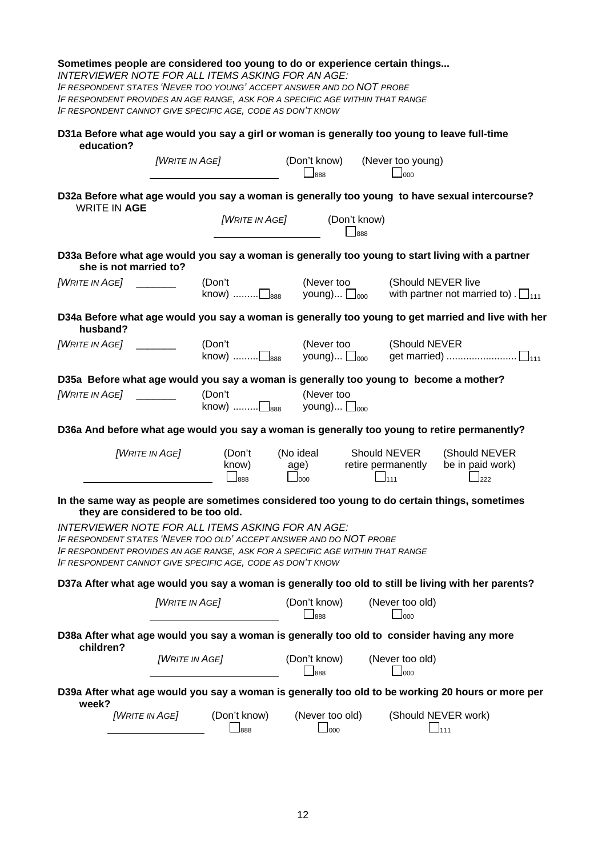|                                       |                        |                                    | Sometimes people are considered too young to do or experience certain things<br><b>INTERVIEWER NOTE FOR ALL ITEMS ASKING FOR AN AGE:</b><br>IF RESPONDENT STATES 'NEVER TOO YOUNG' ACCEPT ANSWER AND DO NOT PROBE<br>IF RESPONDENT PROVIDES AN AGE RANGE, ASK FOR A SPECIFIC AGE WITHIN THAT RANGE<br>IF RESPONDENT CANNOT GIVE SPECIFIC AGE, CODE AS DON'T KNOW |                                   |                                                  |                                 |                                                                                                     |
|---------------------------------------|------------------------|------------------------------------|------------------------------------------------------------------------------------------------------------------------------------------------------------------------------------------------------------------------------------------------------------------------------------------------------------------------------------------------------------------|-----------------------------------|--------------------------------------------------|---------------------------------|-----------------------------------------------------------------------------------------------------|
| education?                            |                        |                                    | D31a Before what age would you say a girl or woman is generally too young to leave full-time                                                                                                                                                                                                                                                                     |                                   |                                                  |                                 |                                                                                                     |
|                                       |                        | <b>[WRITE IN AGE]</b>              |                                                                                                                                                                                                                                                                                                                                                                  | (Don't know)<br>$\Box$ 888        |                                                  | (Never too young)<br>$\Box$ 000 |                                                                                                     |
|                                       | <b>WRITE IN AGE</b>    |                                    |                                                                                                                                                                                                                                                                                                                                                                  |                                   |                                                  |                                 | D32a Before what age would you say a woman is generally too young to have sexual intercourse?       |
|                                       |                        |                                    | [WRITE IN AGE]                                                                                                                                                                                                                                                                                                                                                   |                                   | (Don't know)<br>$\Box$ 888                       |                                 |                                                                                                     |
|                                       | she is not married to? |                                    |                                                                                                                                                                                                                                                                                                                                                                  |                                   |                                                  |                                 | D33a Before what age would you say a woman is generally too young to start living with a partner    |
| [WRITE IN AGE] $\qquad \qquad \qquad$ |                        |                                    | (Don't<br>know) $\ldots$ $\Box$ <sub>888</sub>                                                                                                                                                                                                                                                                                                                   | (Never too<br>young) $\Box_{000}$ |                                                  | (Should NEVER live              | with partner not married to). $\Box_{111}$                                                          |
| husband?                              |                        |                                    |                                                                                                                                                                                                                                                                                                                                                                  |                                   |                                                  |                                 | D34a Before what age would you say a woman is generally too young to get married and live with her  |
| [WRITE IN AGE]                        |                        |                                    | (Don't<br>(Don't<br>know) □ <sub>888</sub>                                                                                                                                                                                                                                                                                                                       | (Never too<br>young) $\Box_{000}$ |                                                  | (Should NEVER                   |                                                                                                     |
| <b>[WRITE IN AGE]</b>                 |                        |                                    | D35a Before what age would you say a woman is generally too young to become a mother?<br>(Don't<br>know) $\Box_{888}$ young) $\Box_{000}$                                                                                                                                                                                                                        | (Never too                        |                                                  |                                 |                                                                                                     |
|                                       |                        |                                    |                                                                                                                                                                                                                                                                                                                                                                  |                                   |                                                  |                                 | D36a And before what age would you say a woman is generally too young to retire permanently?        |
|                                       | [WRITE IN AGE]         |                                    | (Don't<br>know)<br>$\Box$ <sub>888</sub>                                                                                                                                                                                                                                                                                                                         | (No ideal<br>age)<br>$\Box$ 000   | Should NEVER<br>retire permanently<br>$\Box$ 111 |                                 | (Should NEVER<br>be in paid work)<br>$\Box$ 222                                                     |
|                                       |                        | they are considered to be too old. |                                                                                                                                                                                                                                                                                                                                                                  |                                   |                                                  |                                 | In the same way as people are sometimes considered too young to do certain things, sometimes        |
|                                       |                        |                                    | INTERVIEWER NOTE FOR ALL ITEMS ASKING FOR AN AGE:<br>IF RESPONDENT STATES 'NEVER TOO OLD' ACCEPT ANSWER AND DO NOT PROBE<br>IF RESPONDENT PROVIDES AN AGE RANGE, ASK FOR A SPECIFIC AGE WITHIN THAT RANGE<br>IF RESPONDENT CANNOT GIVE SPECIFIC AGE, CODE AS DON'T KNOW                                                                                          |                                   |                                                  |                                 |                                                                                                     |
|                                       |                        |                                    |                                                                                                                                                                                                                                                                                                                                                                  |                                   |                                                  |                                 | D37a After what age would you say a woman is generally too old to still be living with her parents? |
|                                       |                        | <b>[WRITE IN AGE]</b>              |                                                                                                                                                                                                                                                                                                                                                                  | (Don't know)<br>888               |                                                  | (Never too old)<br>Jooo         |                                                                                                     |
| children?                             |                        |                                    | D38a After what age would you say a woman is generally too old to consider having any more                                                                                                                                                                                                                                                                       |                                   |                                                  |                                 |                                                                                                     |
|                                       |                        | [WRITE IN AGE]                     |                                                                                                                                                                                                                                                                                                                                                                  | (Don't know)<br>⊿888              |                                                  | (Never too old)<br>$\Box$ 000   |                                                                                                     |
| week?                                 |                        |                                    |                                                                                                                                                                                                                                                                                                                                                                  |                                   |                                                  |                                 | D39a After what age would you say a woman is generally too old to be working 20 hours or more per   |
|                                       | <b>[WRITE IN AGE]</b>  |                                    | (Don't know)<br>$\mathsf{J}_{888}$                                                                                                                                                                                                                                                                                                                               | (Never too old)<br>looo           |                                                  |                                 | (Should NEVER work)<br>$\Box$ 111                                                                   |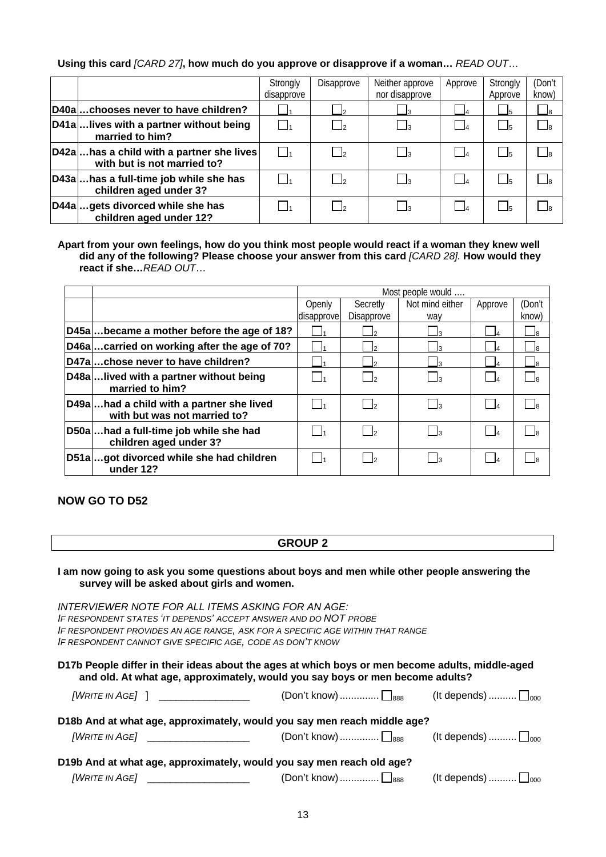## **Using this card** *[CARD 27]***, how much do you approve or disapprove if a woman…** *READ OUT*…

|                                                                         | Strongly<br>disapprove | Disapprove       | Neither approve<br>nor disapprove | Approve           | Strongly<br>Approve        | (Don't<br>know) |
|-------------------------------------------------------------------------|------------------------|------------------|-----------------------------------|-------------------|----------------------------|-----------------|
| D40achooses never to have children?                                     |                        | $\sqcup$         |                                   | $-4$              | $\overline{\phantom{0}}$ 5 | __ 8            |
| D41alives with a partner without being<br>married to him?               |                        | $\vert$          |                                   | $\overline{4}$    | $\Box$ <sub>5</sub>        | __   я          |
| D42ahas a child with a partner she lives<br>with but is not married to? |                        | $\mathsf{I}_2$   |                                   | <sub>4</sub>      |                            |                 |
| D43ahas a full-time job while she has<br>children aged under 3?         |                        | $\mathbf{I}_{2}$ | - 13                              | $\vert$ $\vert_4$ | r Is I                     | - Is            |
| D44agets divorced while she has<br>children aged under 12?              |                        | $\vert$          |                                   | $\overline{A}$    | $\vert$ <sub>5</sub>       |                 |

**Apart from your own feelings, how do you think most people would react if a woman they knew well did any of the following? Please choose your answer from this card** *[CARD 28].* **How would they react if she…***READ OUT*…

|                                                                          |            | Most people would |                 |          |        |  |  |
|--------------------------------------------------------------------------|------------|-------------------|-----------------|----------|--------|--|--|
|                                                                          | Openly     | Secretly          | Not mind either | Approve  | (Don't |  |  |
|                                                                          | disapprove | Disapprove        | way             |          | know)  |  |  |
| D45abecame a mother before the age of 18?                                |            |                   |                 | $\Box$ 4 |        |  |  |
| D46acarried on working after the age of 70?                              |            |                   |                 | 4ـ       |        |  |  |
| D47achose never to have children?                                        |            |                   |                 | $\Box$ 4 |        |  |  |
| D48alived with a partner without being<br>married to him?                |            |                   |                 | $\Box$   |        |  |  |
| D49ahad a child with a partner she lived<br>with but was not married to? |            |                   |                 |          |        |  |  |
| D50ahad a full-time job while she had<br>children aged under 3?          |            |                   |                 |          |        |  |  |
| D51agot divorced while she had children<br>under 12?                     |            |                   |                 | $\Box$   |        |  |  |

**NOW GO TO D52** 

## **GROUP 2**

| I am now going to ask you some questions about boys and men while other people answering the |  |
|----------------------------------------------------------------------------------------------|--|
| survey will be asked about girls and women.                                                  |  |

| INTERVIEWER NOTE FOR ALL ITEMS ASKING FOR AN AGE:                                                                                                                                 |                                                                                                                |                                    |
|-----------------------------------------------------------------------------------------------------------------------------------------------------------------------------------|----------------------------------------------------------------------------------------------------------------|------------------------------------|
| IF RESPONDENT STATES 'IT DEPENDS' ACCEPT ANSWER AND DO NOT PROBE                                                                                                                  |                                                                                                                |                                    |
| IF RESPONDENT PROVIDES AN AGE RANGE. ASK FOR A SPECIFIC AGE WITHIN THAT RANGE                                                                                                     |                                                                                                                |                                    |
| IF RESPONDENT CANNOT GIVE SPECIFIC AGE, CODE AS DON'T KNOW                                                                                                                        |                                                                                                                |                                    |
| D17b People differ in their ideas about the ages at which boys or men become adults, middle-aged<br>and old. At what age, approximately, would you say boys or men become adults? |                                                                                                                |                                    |
| [WRITE IN AGE] ] _________________                                                                                                                                                | (Don't know) $\Box_{888}$ (It depends) $\Box_{000}$                                                            |                                    |
| D18b And at what age, approximately, would you say men reach middle age?                                                                                                          |                                                                                                                |                                    |
| [WRITE IN AGE] ______________________                                                                                                                                             | (Don't know) $\Box_{\text{888}}$                                                                               | (It depends) $\Box$ <sub>000</sub> |
| D19b And at what age, approximately, would you say men reach old age?                                                                                                             | 그 그 사람들은 그 사람들은 그 사람들은 그 사람들을 지르며 그 사람들을 지르며 그 사람들을 지르며 그 사람들을 지르며 그 사람들을 지르며 그 사람들을 지르며 그 사람들을 지르며 그 사람들을 지르며 |                                    |

| 1888<br>, , , , , , , , , , , , , , , |              | 1000                     |
|---------------------------------------|--------------|--------------------------|
|                                       | .Don't know) | <sup>1</sup> It depends) |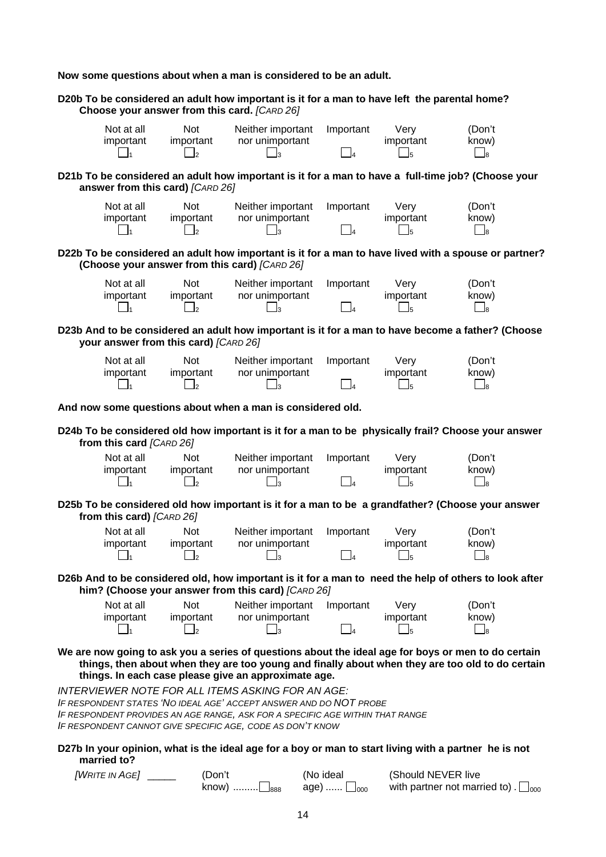**Now some questions about when a man is considered to be an adult.** 

**D20b To be considered an adult how important is it for a man to have left the parental home? Choose your answer from this card.** *[CARD 26]* Not at all important Not important Neither important nor unimportant Important Very important (Don't know) 1 2 3 4 5 8 **D21b To be considered an adult how important is it for a man to have a full-time job? (Choose your answer from this card)** *[CARD 26]* Not at all important Not important Neither important nor unimportant Important Very important (Don't know) 1 2 3 4 5 8 **D22b To be considered an adult how important is it for a man to have lived with a spouse or partner? (Choose your answer from this card)** *[CARD 26]* Not at all important Not important Neither important nor unimportant Important Very important (Don't know) 1 2 3 4 5 8 **D23b And to be considered an adult how important is it for a man to have become a father? (Choose your answer from this card)** *[CARD 26]* Not at all important Not important Neither important nor unimportant Important Very important (Don't know) 1 2 3 4 5 8 **And now some questions about when a man is considered old. D24b To be considered old how important is it for a man to be physically frail? Choose your answer from this card** *[CARD 26]* Not at all important Not important Neither important nor unimportant Important Very important (Don't know) 1 2 3 4 5 8 **D25b To be considered old how important is it for a man to be a grandfather? (Choose your answer from this card)** *[CARD 26]* Not at all important Not important Neither important nor unimportant Important Very important (Don't know) 1 2 3 4 5 8 **D26b And to be considered old, how important is it for a man to need the help of others to look after him? (Choose your answer from this card)** *[CARD 26]* Not at all important Not important Neither important nor unimportant Important Very important (Don't know) 1 2 3 4 5 8 **We are now going to ask you a series of questions about the ideal age for boys or men to do certain things, then about when they are too young and finally about when they are too old to do certain things. In each case please give an approximate age.**  *INTERVIEWER NOTE FOR ALL ITEMS ASKING FOR AN AGE: IF RESPONDENT STATES 'NO IDEAL AGE' ACCEPT ANSWER AND DO NOT PROBE IF RESPONDENT PROVIDES AN AGE RANGE, ASK FOR A SPECIFIC AGE WITHIN THAT RANGE IF RESPONDENT CANNOT GIVE SPECIFIC AGE, CODE AS DON'T KNOW* **D27b In your opinion, what is the ideal age for a boy or man to start living with a partner he is not married to?** 

| [WRITE IN AGE] | 'Don't             | (No ideal             | (Should NEVER live                            |
|----------------|--------------------|-----------------------|-----------------------------------------------|
|                | $know)$<br>____888 | age)  [<br>$\Box$ 000 | with partner not married to). $\square_{000}$ |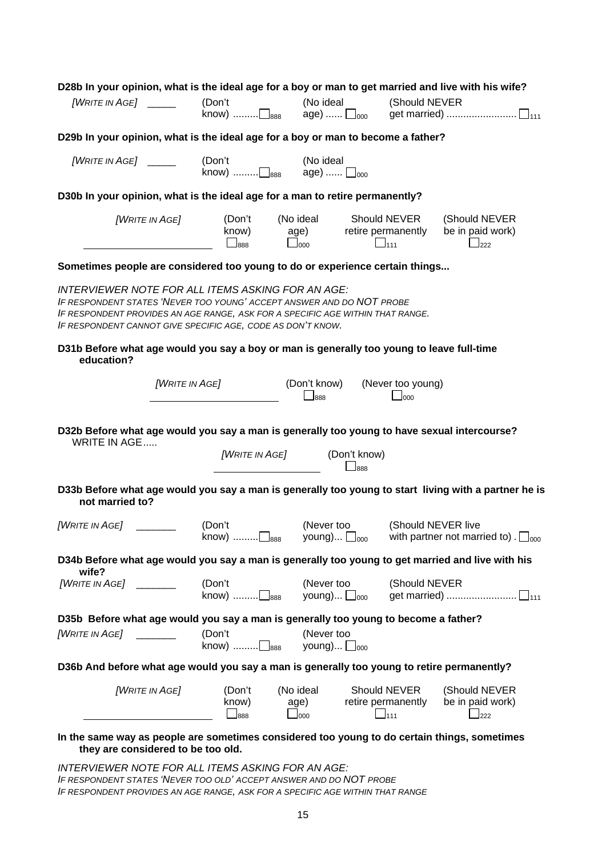| D28b In your opinion, what is the ideal age for a boy or man to get married and live with his wife?                                                                                                                                                                         | (Don't                                | (No ideal                           | (Should NEVER                                         |                                                                     |
|-----------------------------------------------------------------------------------------------------------------------------------------------------------------------------------------------------------------------------------------------------------------------------|---------------------------------------|-------------------------------------|-------------------------------------------------------|---------------------------------------------------------------------|
| D29b In your opinion, what is the ideal age for a boy or man to become a father?                                                                                                                                                                                            |                                       |                                     |                                                       |                                                                     |
| [WRITE IN AGE] $\_\_$                                                                                                                                                                                                                                                       | (Don't<br>know) $\Box$ <sub>888</sub> | (No ideal<br>age)  □ <sub>000</sub> |                                                       |                                                                     |
| D30b In your opinion, what is the ideal age for a man to retire permanently?                                                                                                                                                                                                |                                       |                                     |                                                       |                                                                     |
| [WRITE IN AGE]                                                                                                                                                                                                                                                              | (Don't<br>know)<br>$\Box$ 888         | (No ideal<br>age)<br>$\Box$ 000     | Should NEVER<br>retire permanently<br>$\Box$ 111      | (Should NEVER<br>be in paid work)<br>222                            |
| Sometimes people are considered too young to do or experience certain things                                                                                                                                                                                                |                                       |                                     |                                                       |                                                                     |
| INTERVIEWER NOTE FOR ALL ITEMS ASKING FOR AN AGE:<br>IF RESPONDENT STATES 'NEVER TOO YOUNG' ACCEPT ANSWER AND DO NOT PROBE<br>IF RESPONDENT PROVIDES AN AGE RANGE, ASK FOR A SPECIFIC AGE WITHIN THAT RANGE.<br>IF RESPONDENT CANNOT GIVE SPECIFIC AGE, CODE AS DON'T KNOW. |                                       |                                     |                                                       |                                                                     |
| D31b Before what age would you say a boy or man is generally too young to leave full-time<br>education?                                                                                                                                                                     |                                       |                                     |                                                       |                                                                     |
| [WRITE IN AGE]                                                                                                                                                                                                                                                              |                                       | (Don't know)<br>$\Box$ 888          | (Never too young)<br>$\Box$ 000                       |                                                                     |
| D32b Before what age would you say a man is generally too young to have sexual intercourse?<br><b>WRITE IN AGE</b>                                                                                                                                                          |                                       |                                     |                                                       |                                                                     |
|                                                                                                                                                                                                                                                                             | <b>[WRITE IN AGE]</b>                 |                                     | (Don't know)<br>$\mathsf{\underline{\mathsf{L}}}$ 888 |                                                                     |
| D33b Before what age would you say a man is generally too young to start living with a partner he is<br>not married to?                                                                                                                                                     |                                       |                                     |                                                       |                                                                     |
| <b>[WRITE IN AGE]</b>                                                                                                                                                                                                                                                       | (Don't<br>know) □888                  | (Never too<br>young) $\Box_{000}$   |                                                       | (Should NEVER live<br>with partner not married to). $\square_{000}$ |
| D34b Before what age would you say a man is generally too young to get married and live with his<br>wife?                                                                                                                                                                   |                                       |                                     |                                                       |                                                                     |
| [WarTE INAGE]                                                                                                                                                                                                                                                               | (Don't<br>know) □888                  | (Never too<br>young) $\Box_{000}$   | (Should NEVER                                         |                                                                     |
| D35b Before what age would you say a man is generally too young to become a father?                                                                                                                                                                                         |                                       |                                     |                                                       |                                                                     |
|                                                                                                                                                                                                                                                                             | (Don't<br>know) ………□ <sub>888</sub>   | (Never too<br>young) $\Box_{000}$   |                                                       |                                                                     |
| D36b And before what age would you say a man is generally too young to retire permanently?                                                                                                                                                                                  |                                       |                                     |                                                       |                                                                     |
| [WRITE IN AGE]                                                                                                                                                                                                                                                              | (Don't<br>know)<br>$\Box$ 888         | (No ideal<br>age)<br>$\Box$ 000     | Should NEVER<br>retire permanently<br>$\Box$ 111      | (Should NEVER<br>be in paid work)<br>$\Box$ 222                     |
| In the same way as people are sometimes considered too young to do certain things, sometimes<br>they are considered to be too old.                                                                                                                                          |                                       |                                     |                                                       |                                                                     |

*INTERVIEWER NOTE FOR ALL ITEMS ASKING FOR AN AGE: IF RESPONDENT STATES 'NEVER TOO OLD' ACCEPT ANSWER AND DO NOT PROBE IF RESPONDENT PROVIDES AN AGE RANGE, ASK FOR A SPECIFIC AGE WITHIN THAT RANGE*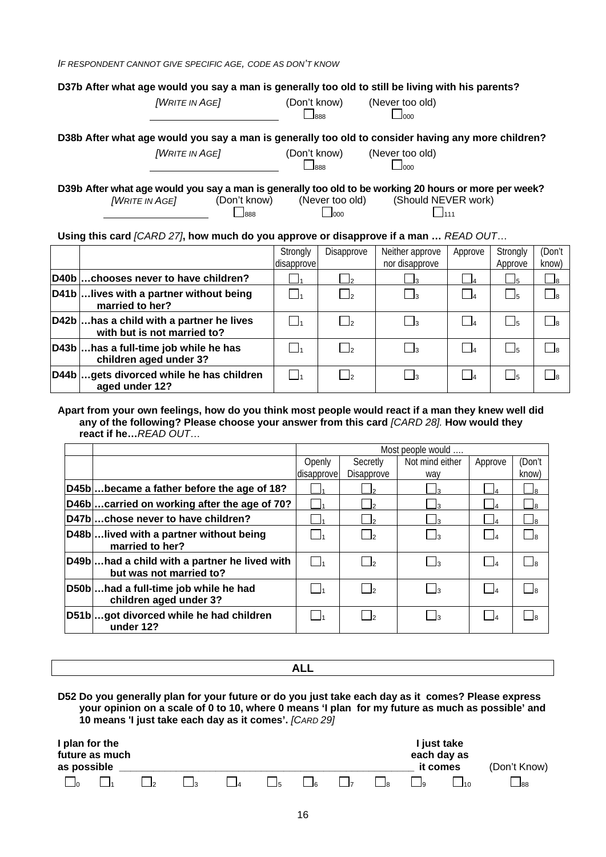*IF RESPONDENT CANNOT GIVE SPECIFIC AGE, CODE AS DON'T KNOW*

| <b>[WRITE IN AGE]</b> | (Don't know)<br>$\Box$ 888                   | (Never too old)<br>$\Box$ 000                                                                         |
|-----------------------|----------------------------------------------|-------------------------------------------------------------------------------------------------------|
|                       |                                              | D38b After what age would you say a man is generally too old to consider having any more children?    |
| <b>[WRITE IN AGE]</b> | (Don't know)<br>$\overline{\phantom{a}}$ 888 | (Never too old)<br>$\Box$ 000                                                                         |
|                       |                                              | D39b After what age would you say a man is generally too old to be working 20 hours or more per week? |

*[WRITE IN AGE]* (Don't know) (Never too old) (Should NEVER work) 888 000 111

## **Using this card** *[CARD 27]***, how much do you approve or disapprove if a man …** *READ OUT*…

|                                                                        | Strongly<br>disapprove | Disapprove               | Neither approve<br>nor disapprove | Approve        | Strongly<br>Approve | (Don't<br>know)          |
|------------------------------------------------------------------------|------------------------|--------------------------|-----------------------------------|----------------|---------------------|--------------------------|
| D40bchooses never to have children?                                    |                        | - 12                     |                                   | $-4$           | - 15                | $\Box$ 8                 |
| D41b  lives with a partner without being<br>married to her?            |                        |                          |                                   |                |                     | $\overline{\phantom{a}}$ |
| D42bhas a child with a partner he lives<br>with but is not married to? |                        |                          |                                   | $\overline{A}$ |                     | ۱я                       |
| D43b  has a full-time job while he has<br>children aged under 3?       |                        | $\overline{\phantom{a}}$ |                                   | $\overline{A}$ |                     | ່ ⊿ຂ                     |
| D44bgets divorced while he has children<br>aged under 12?              |                        |                          |                                   | $\overline{a}$ |                     | ାa                       |

#### **Apart from your own feelings, how do you think most people would react if a man they knew well did any of the following? Please choose your answer from this card** *[CARD 28].* **How would they react if he…***READ OUT*…

|                                                                         |                   | Most people would |                 |                   |        |  |  |  |
|-------------------------------------------------------------------------|-------------------|-------------------|-----------------|-------------------|--------|--|--|--|
|                                                                         | Openly            | Secretly          | Not mind either | Approve           | (Don't |  |  |  |
|                                                                         | disapprove        | Disapprove        | way             |                   | know)  |  |  |  |
| D45bbecame a father before the age of 18?                               |                   |                   |                 | $\Box$ 4          | ⊿8     |  |  |  |
| D46bcarried on working after the age of 70?                             |                   |                   |                 | $\Box$ 4          | ⊿8     |  |  |  |
| D47bchose never to have children?                                       |                   |                   |                 | $\Box$ 4          | ⊿8     |  |  |  |
| D48blived with a partner without being<br>married to her?               |                   | - 12              | <u>— Із</u>     | $\vert$ $\vert$ 4 | _ ls   |  |  |  |
| D49bhad a child with a partner he lived with<br>but was not married to? | $\vert \ \vert_1$ | $\mathsf{I}$      | ∟∃з             | $\Box$            | -la    |  |  |  |
| D50bhad a full-time job while he had<br>children aged under 3?          |                   | $\vert$           | - 13            | $\vert$ $\vert$   | - Is   |  |  |  |
| D51bgot divorced while he had children<br>under 12?                     |                   | $\mathsf{I}$      | - 13            | $\vert$ $\vert$ 4 | — Ів   |  |  |  |

| ╌<br>. |  |
|--------|--|
|        |  |

**D52 Do you generally plan for your future or do you just take each day as it comes? Please express your opinion on a scale of 0 to 10, where 0 means 'I plan for my future as much as possible' and 10 means 'I just take each day as it comes'.** *[CARD 29]* 

| I plan for the<br>future as much<br>as possible |  |  |  |                            |                              |               | I just take<br>each day as<br>it comes | (Don't Know)              |    |           |
|-------------------------------------------------|--|--|--|----------------------------|------------------------------|---------------|----------------------------------------|---------------------------|----|-----------|
|                                                 |  |  |  | $\vert \vert_{\mathsf{E}}$ | $\vert \vert_{\mathfrak{s}}$ | $\vert \vert$ | $\vert$ $\vert$ <sub>2</sub>           | $\mathsf{I}$ $\mathsf{I}$ | 10 | $\Box$ 88 |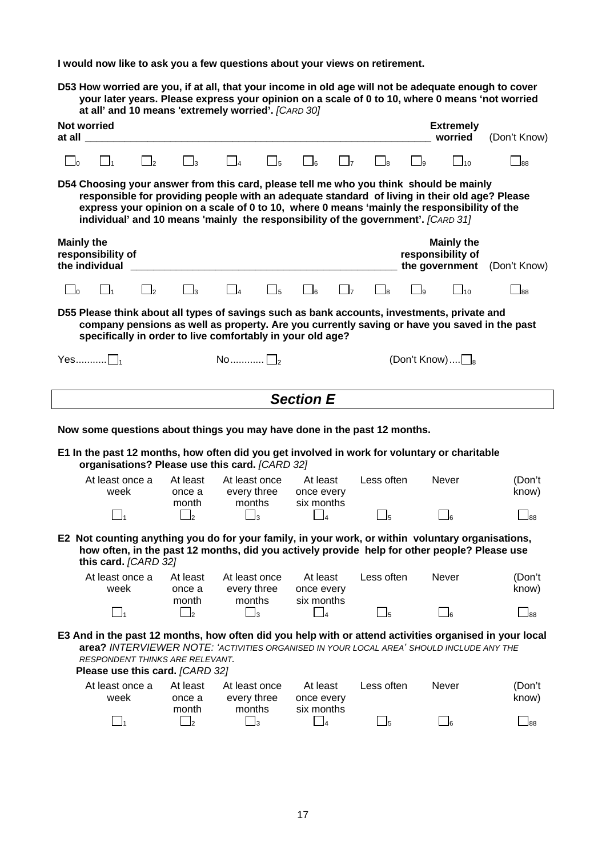**I would now like to ask you a few questions about your views on retirement.** 

**D53 How worried are you, if at all, that your income in old age will not be adequate enough to cover your later years. Please express your opinion on a scale of 0 to 10, where 0 means 'not worried at all' and 10 means 'extremely worried'.** *[CARD 30]*

| <b>Not worried</b><br>at all |                                                                                                                                                                                                                                                                                                                                                                             |          |                             |                                                                                                                                                                                                   |                     |                                      |                |                            |                | <b>Extremely</b><br>worried                              | (Don't Know)                                                                                           |
|------------------------------|-----------------------------------------------------------------------------------------------------------------------------------------------------------------------------------------------------------------------------------------------------------------------------------------------------------------------------------------------------------------------------|----------|-----------------------------|---------------------------------------------------------------------------------------------------------------------------------------------------------------------------------------------------|---------------------|--------------------------------------|----------------|----------------------------|----------------|----------------------------------------------------------|--------------------------------------------------------------------------------------------------------|
| __ ]ი                        | $\mathsf{l}_\mathsf{=}$ 1                                                                                                                                                                                                                                                                                                                                                   | $\Box$ 2 | $\Box_3$                    | $\Box_4$                                                                                                                                                                                          | $\mathsf{J}_5$      | ەك                                   | $\mathsf{I}_7$ | ⊥ls                        | وا             | $\Box$ 10                                                | $\Box$ 88                                                                                              |
|                              | D54 Choosing your answer from this card, please tell me who you think should be mainly<br>responsible for providing people with an adequate standard of living in their old age? Please<br>express your opinion on a scale of 0 to 10, where 0 means 'mainly the responsibility of the<br>individual' and 10 means 'mainly the responsibility of the government'. [CARD 31] |          |                             |                                                                                                                                                                                                   |                     |                                      |                |                            |                |                                                          |                                                                                                        |
| <b>Mainly the</b>            | responsibility of<br>the individual                                                                                                                                                                                                                                                                                                                                         |          |                             |                                                                                                                                                                                                   |                     |                                      |                |                            |                | <b>Mainly the</b><br>responsibility of<br>the government | (Don't Know)                                                                                           |
| $\Box$                       | $\Box$                                                                                                                                                                                                                                                                                                                                                                      | $\Box$ 2 | $\Box_3$                    | $\vert$ 4                                                                                                                                                                                         | $\Box$ <sub>5</sub> | $\mathsf{a}$                         | $\mathbf{I}$   | _ls                        | $\overline{9}$ | $\square$ <sub>10</sub>                                  | $\Box$ 88                                                                                              |
|                              |                                                                                                                                                                                                                                                                                                                                                                             |          |                             | D55 Please think about all types of savings such as bank accounts, investments, private and<br>specifically in order to live comfortably in your old age?                                         |                     |                                      |                |                            |                |                                                          | company pensions as well as property. Are you currently saving or have you saved in the past           |
|                              | $Yes$ $\bigsqcup_1$                                                                                                                                                                                                                                                                                                                                                         |          |                             | $\mathsf{No}\dots\dots\dots\sqcap_\mathsf{2}$                                                                                                                                                     |                     |                                      |                |                            |                | (Don't Know) $\square_8$                                 |                                                                                                        |
|                              | <b>Section E</b>                                                                                                                                                                                                                                                                                                                                                            |          |                             |                                                                                                                                                                                                   |                     |                                      |                |                            |                |                                                          |                                                                                                        |
|                              |                                                                                                                                                                                                                                                                                                                                                                             |          |                             | Now some questions about things you may have done in the past 12 months.                                                                                                                          |                     |                                      |                |                            |                |                                                          |                                                                                                        |
|                              |                                                                                                                                                                                                                                                                                                                                                                             |          |                             | E1 In the past 12 months, how often did you get involved in work for voluntary or charitable<br>organisations? Please use this card. [CARD 32]                                                    |                     |                                      |                |                            |                |                                                          |                                                                                                        |
|                              | At least once a<br>week                                                                                                                                                                                                                                                                                                                                                     |          | At least<br>once a<br>month | At least once<br>every three<br>months                                                                                                                                                            |                     | At least<br>once every<br>six months |                | Less often                 |                | <b>Never</b>                                             | (Don't<br>know)                                                                                        |
|                              | $\Box$                                                                                                                                                                                                                                                                                                                                                                      |          | $\Box$ <sub>2</sub>         | $\mathbf{I}_3$                                                                                                                                                                                    |                     | $\mathsf{L}_{\mathsf{L}_{4}}$        |                | $\_$ 5                     |                | $\Box_6$                                                 | $\Box$ 88                                                                                              |
|                              | this card. [CARD 32]                                                                                                                                                                                                                                                                                                                                                        |          |                             | E2 Not counting anything you do for your family, in your work, or within voluntary organisations,<br>how often, in the past 12 months, did you actively provide help for other people? Please use |                     |                                      |                |                            |                |                                                          |                                                                                                        |
|                              | week                                                                                                                                                                                                                                                                                                                                                                        |          | once a<br>month             | At least once a At least At least once At least<br>every three<br>months                                                                                                                          |                     | once every<br>six months             |                | Less often                 |                | Never                                                    | (Don't<br>know)                                                                                        |
|                              | $\Box_1$                                                                                                                                                                                                                                                                                                                                                                    |          | $\Box$ 2                    | $\Box$ 3                                                                                                                                                                                          |                     | $\Box_4$                             |                | $\overline{\phantom{0}}$ 5 |                | $\Box$ 6                                                 | $\Box$ 88                                                                                              |
|                              | RESPONDENT THINKS ARE RELEVANT.<br>Please use this card. [CARD 32]                                                                                                                                                                                                                                                                                                          |          |                             | area? INTERVIEWER NOTE: 'ACTIVITIES ORGANISED IN YOUR LOCAL AREA' SHOULD INCLUDE ANY THE                                                                                                          |                     |                                      |                |                            |                |                                                          | E3 And in the past 12 months, how often did you help with or attend activities organised in your local |
|                              | At least once a<br>week                                                                                                                                                                                                                                                                                                                                                     |          | At least<br>once a          | At least once<br>every three<br>months                                                                                                                                                            |                     | At least<br>once every<br>six months |                | Less often                 |                | Never                                                    | (Don't<br>know)                                                                                        |
|                              | $\Box_1$                                                                                                                                                                                                                                                                                                                                                                    |          | month<br>$\Box_2$           | $\Box_3$                                                                                                                                                                                          |                     | $\Box_4$                             |                | $\Box_5$                   |                | $\Box_6$                                                 | $\Box$ 88                                                                                              |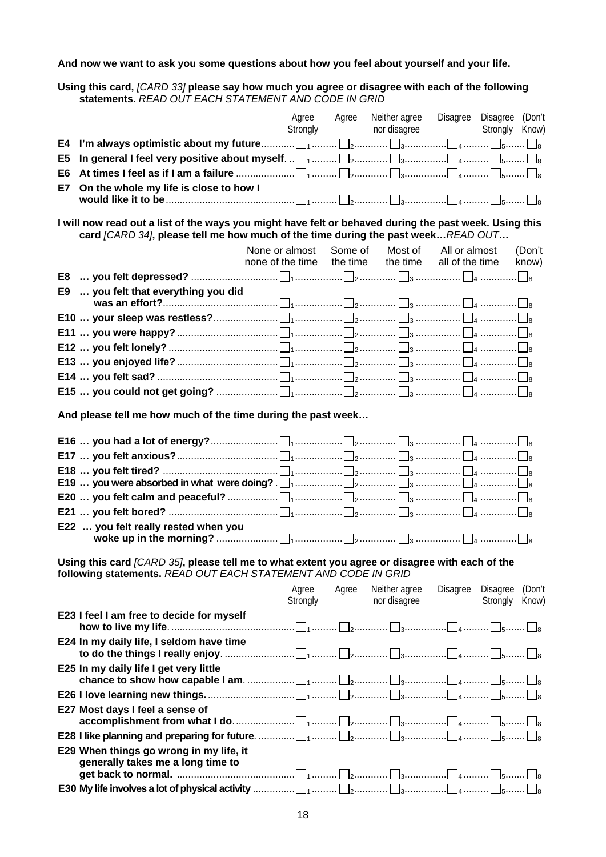## **And now we want to ask you some questions about how you feel about yourself and your life.**

**Using this card,** *[CARD 33]* **please say how much you agree or disagree with each of the following statements.** *READ OUT EACH STATEMENT AND CODE IN GRID*

|     |                                                                                                                                                                                            |                  | Agree | Agree    | Neither agree | Disagree Disagree (Don't |                |        |
|-----|--------------------------------------------------------------------------------------------------------------------------------------------------------------------------------------------|------------------|-------|----------|---------------|--------------------------|----------------|--------|
|     |                                                                                                                                                                                            |                  |       | Strongly | nor disagree  |                          | Strongly Know) |        |
| E4  |                                                                                                                                                                                            |                  |       |          |               |                          |                |        |
| E5  |                                                                                                                                                                                            |                  |       |          |               |                          |                |        |
| E6  |                                                                                                                                                                                            |                  |       |          |               |                          |                |        |
| E7. | On the whole my life is close to how I                                                                                                                                                     |                  |       |          |               |                          |                |        |
|     |                                                                                                                                                                                            |                  |       |          |               |                          |                |        |
|     | I will now read out a list of the ways you might have felt or behaved during the past week. Using this<br>card [CARD 34], please tell me how much of the time during the past weekREAD OUT |                  |       |          |               |                          |                |        |
|     |                                                                                                                                                                                            | None or almost   |       | Some of  |               | Most of All or almost    |                | (Don't |
|     |                                                                                                                                                                                            | none of the time |       | the time | the time      | all of the time          |                | know)  |
|     |                                                                                                                                                                                            |                  |       |          |               |                          |                |        |
|     | E9  you felt that everything you did                                                                                                                                                       |                  |       |          |               |                          |                |        |
|     |                                                                                                                                                                                            |                  |       |          |               |                          |                |        |
|     |                                                                                                                                                                                            |                  |       |          |               |                          |                |        |
|     |                                                                                                                                                                                            |                  |       |          |               |                          |                |        |
|     |                                                                                                                                                                                            |                  |       |          |               |                          |                |        |
|     |                                                                                                                                                                                            |                  |       |          |               |                          |                |        |
|     |                                                                                                                                                                                            |                  |       |          |               |                          |                |        |
|     |                                                                                                                                                                                            |                  |       |          |               |                          |                |        |
|     | And please tell me how much of the time during the past week                                                                                                                               |                  |       |          |               |                          |                |        |
|     |                                                                                                                                                                                            |                  |       |          |               |                          |                |        |
|     |                                                                                                                                                                                            |                  |       |          |               |                          |                |        |
|     |                                                                                                                                                                                            |                  |       |          |               |                          |                |        |
|     |                                                                                                                                                                                            |                  |       |          |               |                          |                |        |
|     |                                                                                                                                                                                            |                  |       |          |               |                          |                |        |
|     | E22  you felt really rested when you                                                                                                                                                       |                  |       |          |               |                          |                |        |
|     |                                                                                                                                                                                            |                  |       |          |               |                          |                |        |
|     | Using this card (CARD 35), please tell me to what extent you agree or disagree with each of the<br>following statements. READ OUT EACH STATEMENT AND CODE IN GRID                          |                  |       |          |               |                          |                |        |
|     |                                                                                                                                                                                            |                  | Agree | Agree    | Neither agree | Disagree                 | Disagree       | (Don't |
|     |                                                                                                                                                                                            |                  |       | Strongly | nor disagree  |                          | Strongly       | Know)  |
|     | E23 I feel I am free to decide for myself                                                                                                                                                  |                  |       |          |               |                          |                |        |
|     | E24 In my daily life, I seldom have time                                                                                                                                                   |                  |       |          |               |                          |                |        |
|     | E25 In my daily life I get very little                                                                                                                                                     |                  |       |          |               |                          |                |        |
|     |                                                                                                                                                                                            |                  |       |          |               |                          |                |        |
|     | E27 Most days I feel a sense of                                                                                                                                                            |                  |       |          |               |                          |                |        |
|     |                                                                                                                                                                                            |                  |       |          |               |                          |                |        |
|     | E29 When things go wrong in my life, it<br>generally takes me a long time to                                                                                                               |                  |       |          |               |                          |                |        |
|     |                                                                                                                                                                                            |                  |       |          |               |                          |                |        |
|     |                                                                                                                                                                                            |                  |       |          |               |                          |                |        |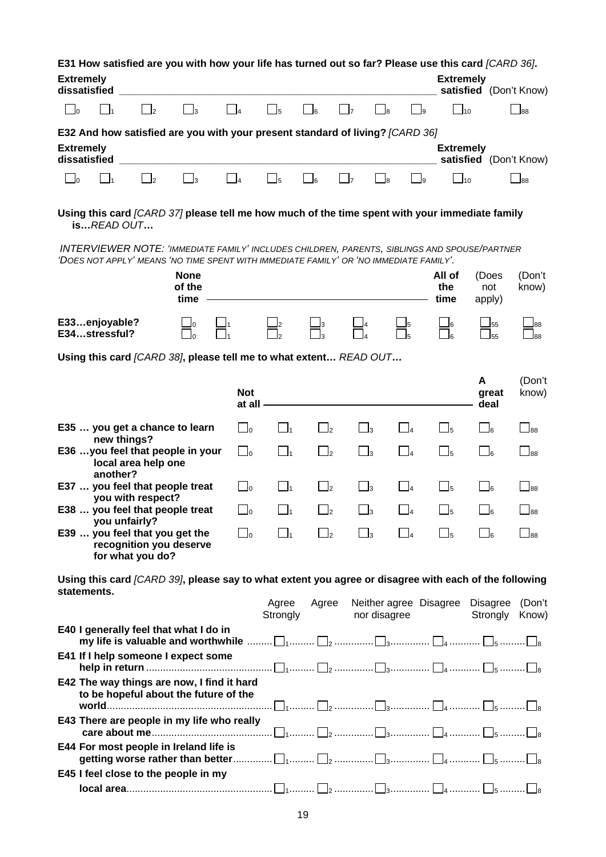| <b>Extremely</b><br><b>Extremely</b><br>dissatisfied<br>satisfied (Don't Know)<br>$\Box$ o<br>$\Box_3$<br>$\Box$ 1<br>$\mathbf{r}_{1}$<br>$\overline{2}$<br>$\mathsf{\overline{\mathsf{5}}}$<br>J6<br>$\mathsf{\overline{\mathsf{1}}_{10}}$<br>$\overline{4}$<br>_l8<br>J9<br>E32 And how satisfied are you with your present standard of living? [CARD 36]<br><b>Extremely</b><br><b>Extremely</b><br>dissatisfied<br>satisfied (Don't Know)<br>$\Box_3$<br>$\Box$ <sub>5</sub><br>$\Box$ 6<br>$\Box$ 7<br>$\lceil \cdot \rceil_0$<br>$\overline{2}$<br>$\overline{4}$ | $\Box$ 88                   |  |  |  |  |  |  |  |
|-------------------------------------------------------------------------------------------------------------------------------------------------------------------------------------------------------------------------------------------------------------------------------------------------------------------------------------------------------------------------------------------------------------------------------------------------------------------------------------------------------------------------------------------------------------------------|-----------------------------|--|--|--|--|--|--|--|
|                                                                                                                                                                                                                                                                                                                                                                                                                                                                                                                                                                         |                             |  |  |  |  |  |  |  |
|                                                                                                                                                                                                                                                                                                                                                                                                                                                                                                                                                                         |                             |  |  |  |  |  |  |  |
|                                                                                                                                                                                                                                                                                                                                                                                                                                                                                                                                                                         |                             |  |  |  |  |  |  |  |
|                                                                                                                                                                                                                                                                                                                                                                                                                                                                                                                                                                         |                             |  |  |  |  |  |  |  |
| $\Box$ 1<br>$\Box$ 10<br>9ل                                                                                                                                                                                                                                                                                                                                                                                                                                                                                                                                             | $\Box$ 88                   |  |  |  |  |  |  |  |
| Using this card [CARD 37] please tell me how much of the time spent with your immediate family<br><b>isREAD OUT</b>                                                                                                                                                                                                                                                                                                                                                                                                                                                     |                             |  |  |  |  |  |  |  |
| <b>INTERVIEWER NOTE: 'IMMEDIATE FAMILY' INCLUDES CHILDREN, PARENTS, SIBLINGS AND SPOUSE/PARTNER</b><br>'DOES NOT APPLY' MEANS 'NO TIME SPENT WITH IMMEDIATE FAMILY' OR 'NO IMMEDIATE FAMILY'.                                                                                                                                                                                                                                                                                                                                                                           |                             |  |  |  |  |  |  |  |
| <b>None</b><br>All of<br>(Does<br>of the<br>the<br>not<br>time<br>time<br>apply)                                                                                                                                                                                                                                                                                                                                                                                                                                                                                        | (Don't<br>know)             |  |  |  |  |  |  |  |
| E33enjoyable?<br>_l0<br><b>_55</b><br>J6<br>E34stressful?<br>$\overline{55}$                                                                                                                                                                                                                                                                                                                                                                                                                                                                                            | 88L<br>_88                  |  |  |  |  |  |  |  |
| Using this card [CARD 38], please tell me to what extent READ OUT                                                                                                                                                                                                                                                                                                                                                                                                                                                                                                       |                             |  |  |  |  |  |  |  |
| A<br><b>Not</b><br>great<br>deal<br>at all -                                                                                                                                                                                                                                                                                                                                                                                                                                                                                                                            | (Don't<br>know)             |  |  |  |  |  |  |  |
| E35  you get a chance to learn<br>$\Box$ o<br>$\Box$ <sub>3</sub><br>$\Box_4$<br>$\Box_5$<br>$\vert$ $\vert_1$<br>$\Box$ 2<br>$\Box_6$                                                                                                                                                                                                                                                                                                                                                                                                                                  | $\overline{\phantom{0}}$ 88 |  |  |  |  |  |  |  |
| new things?<br>E36 you feel that people in your<br>$\Box$ <sub>2</sub><br>$\Box_3$<br>$\Box_1$<br>$\Box$<br>$\Box$ o<br>$\Box_4$<br>$\Box$ 6<br>local area help one                                                                                                                                                                                                                                                                                                                                                                                                     | $\overline{\phantom{0}}$ 88 |  |  |  |  |  |  |  |
| another?<br>E37  you feel that people treat<br>$\Box$ o<br>$\Box$ <sub>2</sub><br>$\Box_3$<br>$\Box$<br>$\Box$ 1<br>$\Box$ 4<br>$\Box$ 6<br>you with respect?                                                                                                                                                                                                                                                                                                                                                                                                           | $\overline{\phantom{0}}$ 88 |  |  |  |  |  |  |  |
| E38  you feel that people treat<br>∟ل<br>l2<br>l3<br>J5<br>you unfairly?                                                                                                                                                                                                                                                                                                                                                                                                                                                                                                | 88                          |  |  |  |  |  |  |  |
| E39  you feel that you get the<br>$\Box$<br>$\mathbf{I}$<br>$\mathsf{I}_2$<br>$\mathsf{I}_3$<br>recognition you deserve<br>for what you do?                                                                                                                                                                                                                                                                                                                                                                                                                             | 88                          |  |  |  |  |  |  |  |
| Using this card [CARD 39], please say to what extent you agree or disagree with each of the following<br>statements.                                                                                                                                                                                                                                                                                                                                                                                                                                                    |                             |  |  |  |  |  |  |  |
| Agree<br>Agree<br>Neither agree Disagree<br><b>Disagree</b><br>Strongly<br>nor disagree<br>Strongly                                                                                                                                                                                                                                                                                                                                                                                                                                                                     | (Don't<br>Know)             |  |  |  |  |  |  |  |
| E40 I generally feel that what I do in<br>my life is valuable and worthwhile $\ldots \ldots \square_1 \ldots \ldots \square_2 \ldots \ldots \square_3 \ldots \ldots \square_4 \ldots \ldots \square_5 \ldots \ldots \square_8$                                                                                                                                                                                                                                                                                                                                          |                             |  |  |  |  |  |  |  |
| E41 If I help someone I expect some                                                                                                                                                                                                                                                                                                                                                                                                                                                                                                                                     |                             |  |  |  |  |  |  |  |
| E42 The way things are now, I find it hard<br>to be hopeful about the future of the                                                                                                                                                                                                                                                                                                                                                                                                                                                                                     |                             |  |  |  |  |  |  |  |
| E43 There are people in my life who really                                                                                                                                                                                                                                                                                                                                                                                                                                                                                                                              |                             |  |  |  |  |  |  |  |
| E44 For most people in Ireland life is                                                                                                                                                                                                                                                                                                                                                                                                                                                                                                                                  |                             |  |  |  |  |  |  |  |
| E45 I feel close to the people in my                                                                                                                                                                                                                                                                                                                                                                                                                                                                                                                                    |                             |  |  |  |  |  |  |  |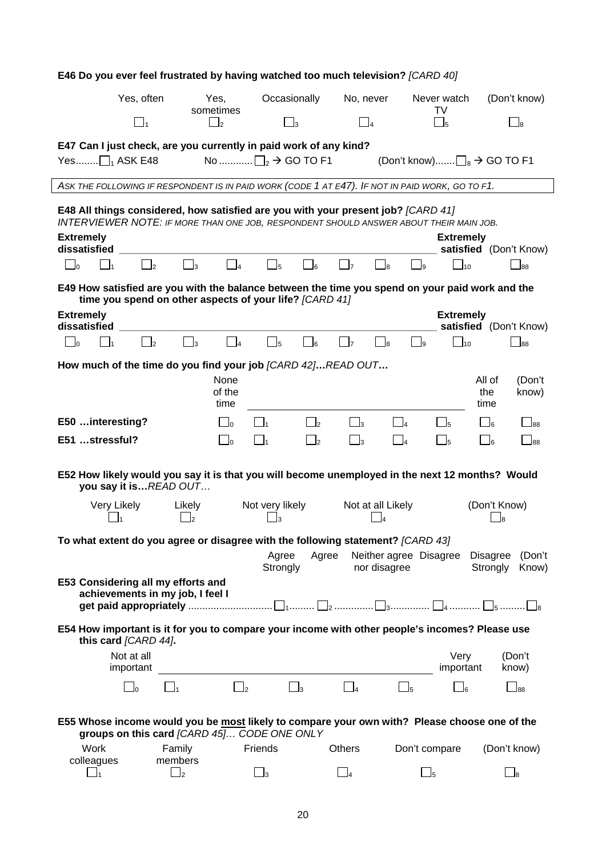| E46 Do you ever feel frustrated by having watched too much television? [CARD 40]                                                                                                         |                                |                                           |                     |                            |           |                   |                        |                                            |              |                        |
|------------------------------------------------------------------------------------------------------------------------------------------------------------------------------------------|--------------------------------|-------------------------------------------|---------------------|----------------------------|-----------|-------------------|------------------------|--------------------------------------------|--------------|------------------------|
| Yes, often                                                                                                                                                                               |                                | Yes,<br>sometimes                         | Occasionally        |                            | No, never |                   |                        | Never watch<br>TV                          |              | (Don't know)           |
| $\begin{bmatrix} 1 \end{bmatrix}$                                                                                                                                                        |                                | $\mathbf{I}_2$                            | $\Box_3$            |                            | $\Box_4$  |                   |                        | $\Box$ 5                                   |              | $\Box$ 8               |
| E47 Can I just check, are you currently in paid work of any kind?                                                                                                                        |                                |                                           |                     |                            |           |                   |                        |                                            |              |                        |
| Yes $\Box_1$ ASK E48                                                                                                                                                                     |                                | No $\Box_2 \rightarrow$ GO TO F1          |                     |                            |           |                   |                        | (Don't know) $\Box_8 \rightarrow$ GO TO F1 |              |                        |
| ASK THE FOLLOWING IF RESPONDENT IS IN PAID WORK (CODE 1 AT E47). IF NOT IN PAID WORK, GO TO F1.                                                                                          |                                |                                           |                     |                            |           |                   |                        |                                            |              |                        |
| E48 All things considered, how satisfied are you with your present job? [CARD 41]<br><b>INTERVIEWER NOTE: IF MORE THAN ONE JOB, RESPONDENT SHOULD ANSWER ABOUT THEIR MAIN JOB.</b>       |                                |                                           |                     |                            |           |                   |                        |                                            |              |                        |
| <b>Extremely</b><br>dissatisfied                                                                                                                                                         |                                |                                           |                     |                            |           |                   |                        | <b>Extremely</b>                           |              | satisfied (Don't Know) |
| $\Box$ 1<br>$\Box$ o<br>$\Box$ 2                                                                                                                                                         | $\Box_3$                       | $\begin{array}{ c c } \hline \end{array}$ | $\Box$ <sub>5</sub> | $\Box$ 6                   | $\Box$    | $\Box$ 8          | $\Box$ <sub>9</sub>    | $\Box$ 10                                  |              | $\Box$ 88              |
| E49 How satisfied are you with the balance between the time you spend on your paid work and the<br>time you spend on other aspects of your life? [CARD 41]                               |                                |                                           |                     |                            |           |                   |                        |                                            |              |                        |
| <b>Extremely</b><br>dissatisfied                                                                                                                                                         |                                |                                           |                     |                            |           |                   |                        | <b>Extremely</b>                           |              | satisfied (Don't Know) |
| $\Box$ <sub>2</sub><br>$\Box$ 1<br>$\Box$                                                                                                                                                | $\square_3$                    | $\Box_4$                                  | $\Box_5$            | $\mathsf{J}_6$             | $\Box$ 7  | _ 8               | وا__                   | $\Box$ <sub>10</sub>                       |              | $\Box$ 88              |
| How much of the time do you find your job [CARD 42]READ OUT                                                                                                                              |                                |                                           |                     |                            |           |                   |                        |                                            |              |                        |
|                                                                                                                                                                                          |                                | None                                      |                     |                            |           |                   |                        |                                            | All of       | (Don't                 |
|                                                                                                                                                                                          |                                | of the<br>time                            |                     |                            |           |                   |                        |                                            | the<br>time  | know)                  |
| E50  interesting?                                                                                                                                                                        |                                | $\Box$ o                                  |                     | $\overline{\phantom{0}}$   | $\Box_3$  | $\Box$ 4          |                        | $\Box$ <sub>5</sub>                        | $\Box_6$     | $\Box$ 88              |
| E51 stressful?                                                                                                                                                                           |                                | $\Box$ 0<br>$\mathbf{I}_1$                |                     | $\overline{\phantom{a}}^2$ | $\Box_3$  | $\Box$ 4          |                        | $\Box$ 5                                   | $\Box$ 6     | $\bigsqcup_{88}$       |
|                                                                                                                                                                                          |                                |                                           |                     |                            |           |                   |                        |                                            |              |                        |
| E52 How likely would you say it is that you will become unemployed in the next 12 months? Would<br>you say it isREAD OUT                                                                 |                                |                                           |                     |                            |           |                   |                        |                                            |              |                        |
| Very Likely                                                                                                                                                                              | Likely                         |                                           | Not very likely     |                            |           | Not at all Likely |                        |                                            | (Don't Know) |                        |
|                                                                                                                                                                                          | $\mathsf{I}_2$                 |                                           | - 13                |                            |           | J4                |                        |                                            | J8           |                        |
| To what extent do you agree or disagree with the following statement? [CARD 43]                                                                                                          |                                |                                           | Agree               | Agree                      |           |                   |                        | Neither agree Disagree Disagree            |              | (Don't                 |
|                                                                                                                                                                                          |                                |                                           | Strongly            |                            |           | nor disagree      |                        |                                            | Strongly     | Know)                  |
| E53 Considering all my efforts and<br>achievements in my job, I feel I                                                                                                                   |                                |                                           |                     |                            |           |                   |                        |                                            |              |                        |
| get paid appropriately $\ldots$ $\ldots$ $\ldots$ $\ldots$ $\ldots$ $\ldots$ $\ldots$ $\ldots$ $\ldots$ $\ldots$ $\ldots$ $\ldots$ $\ldots$ $\ldots$ $\ldots$ $\ldots$ $\ldots$ $\ldots$ |                                |                                           |                     |                            |           |                   |                        |                                            |              |                        |
| E54 How important is it for you to compare your income with other people's incomes? Please use<br>this card [CARD 44].                                                                   |                                |                                           |                     |                            |           |                   |                        |                                            |              |                        |
| Not at all<br>important                                                                                                                                                                  |                                |                                           |                     |                            |           |                   |                        | Very<br>important                          |              | (Don't<br>know)        |
| $\Box$ 0                                                                                                                                                                                 | $\Box_1$                       | $\Box$ 2                                  | $\Box$ <sub>3</sub> |                            | $\Box$ 4  |                   | $\square_5$            | $\Box$ 6                                   |              | $\Box$ 88              |
|                                                                                                                                                                                          |                                |                                           |                     |                            |           |                   |                        |                                            |              |                        |
| E55 Whose income would you be most likely to compare your own with? Please choose one of the<br>groups on this card [CARD 45] CODE ONE ONLY                                              |                                |                                           |                     |                            |           |                   |                        |                                            |              |                        |
| Work                                                                                                                                                                                     | Family                         | Friends                                   |                     |                            | Others    |                   | Don't compare          |                                            |              | (Don't know)           |
| colleagues<br>$\vert$ 1                                                                                                                                                                  | members<br>$\Box$ <sub>2</sub> |                                           | $\Box_3$            |                            | $\Box_4$  |                   | $\square$ <sub>5</sub> |                                            |              | $\Box_{8}$             |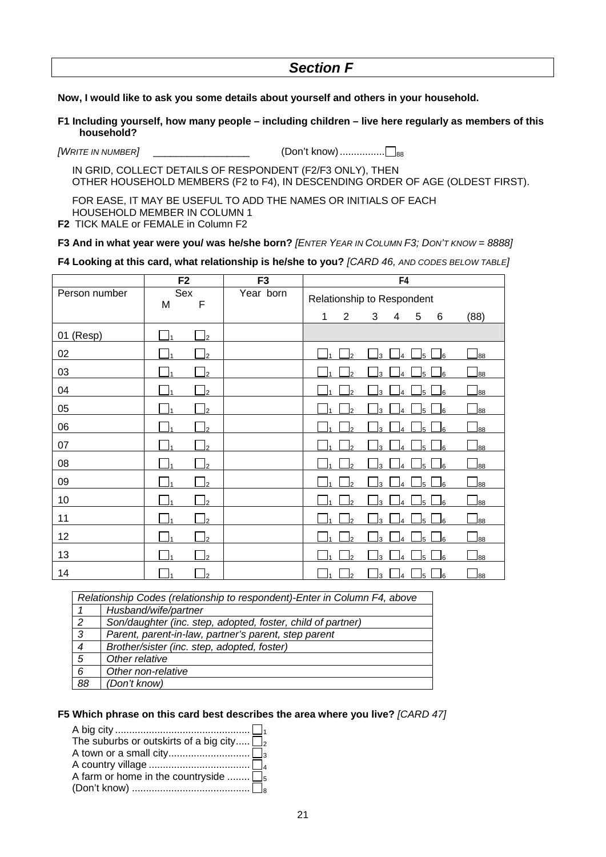# *Section F*

## **Now, I would like to ask you some details about yourself and others in your household.**

**F1 Including yourself, how many people – including children – live here regularly as members of this household?** 

*[WRITE IN NUMBER]* \_\_\_\_\_\_\_\_\_\_\_\_\_\_\_\_\_ (Don't know)................ 88

 IN GRID, COLLECT DETAILS OF RESPONDENT (F2/F3 ONLY), THEN OTHER HOUSEHOLD MEMBERS (F2 to F4), IN DESCENDING ORDER OF AGE (OLDEST FIRST).

 FOR EASE, IT MAY BE USEFUL TO ADD THE NAMES OR INITIALS OF EACH HOUSEHOLD MEMBER IN COLUMN 1

**F2** TICK MALE or FEMALE in Column F2

#### **F3 And in what year were you/ was he/she born?** *[ENTER YEAR IN COLUMN F3; DON'T KNOW = 8888]*

#### **F4 Looking at this card, what relationship is he/she to you?** *[CARD 46, AND CODES BELOW TABLE]*

|               | F <sub>2</sub>          | F <sub>3</sub> |                            |                |    | F4                   |                |     |                             |
|---------------|-------------------------|----------------|----------------------------|----------------|----|----------------------|----------------|-----|-----------------------------|
| Person number | Sex<br>$\mathsf F$<br>M | Year born      | Relationship to Respondent |                |    |                      |                |     |                             |
|               |                         |                | 1                          | $\overline{2}$ | 3  | 4                    | 5              | 6   | (88)                        |
| 01 (Resp)     | I۱<br>l2                |                |                            |                |    |                      |                |     |                             |
| 02            | I1<br>$\overline{2}$    |                |                            | l2             | 3  | 4                    | J5 I           | 6∟  | $\mathsf{I}_{88}$           |
| 03            | I1<br>$\overline{2}$    |                |                            | 2              | 3  | 4                    | l5 -           | J6  | $_{88}$                     |
| 04            | $\overline{2}$          |                |                            | $\overline{2}$ | 3  | $\Delta$             | l5             | J6  | 188                         |
| 05            | $\overline{2}$          |                |                            | $\mathfrak{p}$ | 3  | 4                    | l5.            | J6  | 188                         |
| 06            | 2                       |                |                            | 2              | 3  |                      | l5             | J6  | $\overline{\phantom{1}}$ 88 |
| 07            | $\overline{2}$<br>۱۹    |                |                            | b              | 3  | 4                    | $\mathsf{I}_5$ | _l6 | 88                          |
| 08            | $\overline{2}$          |                |                            | C              | κ  | Δ                    | l5             | J6  | 88                          |
| 09            | I۰<br>2                 |                |                            | $\overline{2}$ | l3 | 4                    | l5             | _l6 | 88                          |
| 10            | $\overline{2}$          |                |                            | $\overline{2}$ | 3  | $\overline{\Lambda}$ | l5 I           | _l6 | 88                          |
| 11            | I1<br>$\overline{2}$    |                |                            | $\overline{2}$ | 3  | 4                    | l5             | _l6 | 88                          |
| 12            | $\overline{2}$          |                |                            | $\overline{2}$ | 3  | 4                    | l5.            | J6  | $_{88}$                     |
| 13            | $\mathcal{P}$           |                |                            | っ              | 3  |                      | l5             | J6  | $\mathsf{I}$ 88             |
| 14            | $\mathcal{P}$           |                |                            | $\overline{2}$ | 3  | 4                    | J5.            | _l6 | 88                          |

|                  | Relationship Codes (relationship to respondent)-Enter in Column F4, above |
|------------------|---------------------------------------------------------------------------|
|                  | Husband/wife/partner                                                      |
| 2                | Son/daughter (inc. step, adopted, foster, child of partner)               |
| $\mathbf{3}$     | Parent, parent-in-law, partner's parent, step parent                      |
| $\boldsymbol{4}$ | Brother/sister (inc. step, adopted, foster)                               |
| 5                | Other relative                                                            |
| 6                | Other non-relative                                                        |
| 88               | (Don't know)                                                              |

#### **F5 Which phrase on this card best describes the area where you live?** *[CARD 47]*

| The suburbs or outskirts of a big city $\square$ |  |
|--------------------------------------------------|--|
|                                                  |  |
|                                                  |  |
| A farm or home in the countryside $\Box_5$       |  |
|                                                  |  |
|                                                  |  |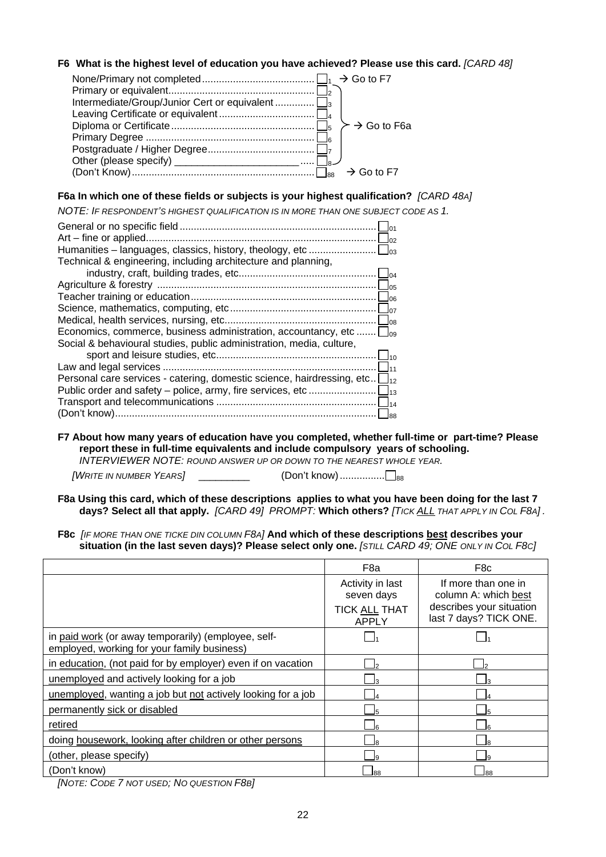## **F6 What is the highest level of education you have achieved? Please use this card.** *[CARD 48]*

|                                                      | $\rightarrow$ Go to F6a |
|------------------------------------------------------|-------------------------|
|                                                      |                         |
|                                                      |                         |
| Other (please specify) _____________________________ |                         |
|                                                      |                         |

## **F6a In which one of these fields or subjects is your highest qualification?** *[CARD 48A]*

*NOTE: IF RESPONDENT'S HIGHEST QUALIFICATION IS IN MORE THAN ONE SUBJECT CODE AS 1.* 

|                                                                                    | $\overline{01}$<br>Jo2 |
|------------------------------------------------------------------------------------|------------------------|
|                                                                                    |                        |
| Technical & engineering, including architecture and planning,                      |                        |
|                                                                                    |                        |
|                                                                                    | 05م                    |
|                                                                                    | $\log$                 |
|                                                                                    | $\Box$ 07              |
|                                                                                    |                        |
| Economics, commerce, business administration, accountancy, etc                     | $\Box$ 09              |
| Social & behavioural studies, public administration, media, culture,               |                        |
|                                                                                    | $\Box$ 10              |
|                                                                                    | 111                    |
| Personal care services - catering, domestic science, hairdressing, etc $\Box_{12}$ |                        |
|                                                                                    |                        |
|                                                                                    |                        |
|                                                                                    | lss                    |
|                                                                                    |                        |

**F7 About how many years of education have you completed, whether full-time or part-time? Please report these in full-time equivalents and include compulsory years of schooling.**  *INTERVIEWER NOTE: ROUND ANSWER UP OR DOWN TO THE NEAREST WHOLE YEAR.* 

 *[WRITE IN NUMBER YEARS]* \_\_\_\_\_\_\_\_\_\_\_ (Don't know)............................

- **F8a Using this card, which of these descriptions applies to what you have been doing for the last 7 days? Select all that apply.** *[CARD 49]**PROMPT:* **Which others?** *[TICK ALL THAT APPLY IN COL F8A] .*
- **F8c** *[IF MORE THAN ONE TICKE DIN COLUMN F8A]* **And which of these descriptions best describes your situation (in the last seven days)? Please select only one.** *[STILL CARD 49; ONE ONLY IN COL F8C]*

|                                                                                                    | F <sub>8</sub> a                                                | F <sub>8</sub> c                                                                                  |
|----------------------------------------------------------------------------------------------------|-----------------------------------------------------------------|---------------------------------------------------------------------------------------------------|
|                                                                                                    | Activity in last<br>seven days<br><b>TICK ALL THAT</b><br>APPLY | If more than one in<br>column A: which best<br>describes your situation<br>last 7 days? TICK ONE. |
| in paid work (or away temporarily) (employee, self-<br>employed, working for your family business) |                                                                 |                                                                                                   |
| in education, (not paid for by employer) even if on vacation                                       |                                                                 |                                                                                                   |
| unemployed and actively looking for a job                                                          |                                                                 |                                                                                                   |
| unemployed, wanting a job but not actively looking for a job                                       |                                                                 |                                                                                                   |
| permanently sick or disabled                                                                       |                                                                 |                                                                                                   |
| retired                                                                                            |                                                                 |                                                                                                   |
| doing housework, looking after children or other persons                                           | R                                                               | 18                                                                                                |
| (other, please specify)                                                                            |                                                                 |                                                                                                   |
| (Don't know)                                                                                       |                                                                 | l88                                                                                               |

*[NOTE: CODE 7 NOT USED; NO QUESTION F8B]*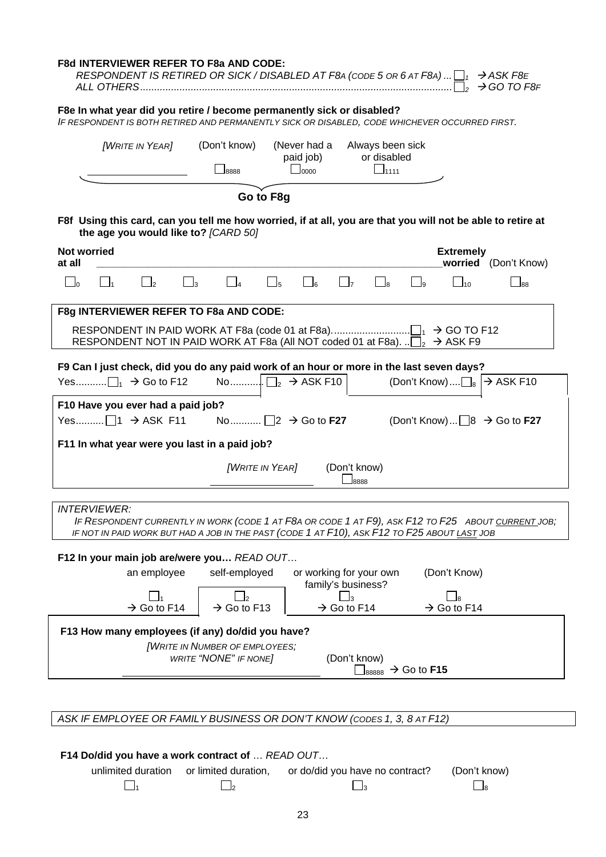| F8e In what year did you retire / become permanently sick or disabled?<br>IF RESPONDENT IS BOTH RETIRED AND PERMANENTLY SICK OR DISABLED, CODE WHICHEVER OCCURRED FIRST.<br><b>[WRITE IN YEAR]</b><br>(Don't know)<br>(Never had a<br>Always been sick<br>or disabled<br>paid job)<br>$\Box$ 1111<br>$\mathsf{J0000}$<br>18888<br>Go to F8g<br>F8f Using this card, can you tell me how worried, if at all, you are that you will not be able to retire at<br>the age you would like to? [CARD 50]<br><b>Not worried</b><br><b>Extremely</b><br>worried (Don't Know)<br>at all<br>$\Box$ 4<br>$\square_6$<br>$\Box_3$<br>$\Box$ <sub>5</sub><br>$\Box$<br>$\bigcup_{0}$<br>$\Box$<br>$\Box$ 10<br>$\mathsf{L}$<br>$\overline{\phantom{a}}$<br>$\Box$ 9<br>$\overline{\phantom{0}}$ 88<br>F8g INTERVIEWER REFER TO F8a AND CODE:<br>RESPONDENT NOT IN PAID WORK AT F8a (All NOT coded 01 at F8a). $\Box$ $\rightarrow$ ASK F9<br>F9 Can I just check, did you do any paid work of an hour or more in the last seven days?<br>(Don't Know) $\Box$ <sub>8</sub> $\rightarrow$ ASK F10<br>F10 Have you ever had a paid job?<br>(Don't Know) $\Box$ 8 $\rightarrow$ Go to F27 |
|--------------------------------------------------------------------------------------------------------------------------------------------------------------------------------------------------------------------------------------------------------------------------------------------------------------------------------------------------------------------------------------------------------------------------------------------------------------------------------------------------------------------------------------------------------------------------------------------------------------------------------------------------------------------------------------------------------------------------------------------------------------------------------------------------------------------------------------------------------------------------------------------------------------------------------------------------------------------------------------------------------------------------------------------------------------------------------------------------------------------------------------------------------------------------|
|                                                                                                                                                                                                                                                                                                                                                                                                                                                                                                                                                                                                                                                                                                                                                                                                                                                                                                                                                                                                                                                                                                                                                                          |
|                                                                                                                                                                                                                                                                                                                                                                                                                                                                                                                                                                                                                                                                                                                                                                                                                                                                                                                                                                                                                                                                                                                                                                          |
|                                                                                                                                                                                                                                                                                                                                                                                                                                                                                                                                                                                                                                                                                                                                                                                                                                                                                                                                                                                                                                                                                                                                                                          |
|                                                                                                                                                                                                                                                                                                                                                                                                                                                                                                                                                                                                                                                                                                                                                                                                                                                                                                                                                                                                                                                                                                                                                                          |
|                                                                                                                                                                                                                                                                                                                                                                                                                                                                                                                                                                                                                                                                                                                                                                                                                                                                                                                                                                                                                                                                                                                                                                          |
|                                                                                                                                                                                                                                                                                                                                                                                                                                                                                                                                                                                                                                                                                                                                                                                                                                                                                                                                                                                                                                                                                                                                                                          |
|                                                                                                                                                                                                                                                                                                                                                                                                                                                                                                                                                                                                                                                                                                                                                                                                                                                                                                                                                                                                                                                                                                                                                                          |
| F11 In what year were you last in a paid job?                                                                                                                                                                                                                                                                                                                                                                                                                                                                                                                                                                                                                                                                                                                                                                                                                                                                                                                                                                                                                                                                                                                            |
| <b>[WRITE IN YEAR]</b><br>(Don't know)<br>8888                                                                                                                                                                                                                                                                                                                                                                                                                                                                                                                                                                                                                                                                                                                                                                                                                                                                                                                                                                                                                                                                                                                           |
| <b>INTERVIEWER:</b><br>IF RESPONDENT CURRENTLY IN WORK (CODE 1 AT F8A OR CODE 1 AT F9), ASK F12 TO F25 ABOUT CURRENT JOB;<br>IF NOT IN PAID WORK BUT HAD A JOB IN THE PAST (CODE 1 AT F10), ASK F12 TO F25 ABOUT LAST JOB                                                                                                                                                                                                                                                                                                                                                                                                                                                                                                                                                                                                                                                                                                                                                                                                                                                                                                                                                |
| F12 In your main job are/were you READ OUT<br>self-employed<br>(Don't Know)<br>an employee<br>or working for your own<br>family's business?<br>$\rightarrow$ Go to F13<br>$\rightarrow$ Go to F14<br>$\rightarrow$ Go to F14<br>$\rightarrow$ Go to F14                                                                                                                                                                                                                                                                                                                                                                                                                                                                                                                                                                                                                                                                                                                                                                                                                                                                                                                  |
| F13 How many employees (if any) do/did you have?<br><b>[WRITE IN NUMBER OF EMPLOYEES;</b><br>(Don't know)<br><b>WRITE "NONE" IF NONE]</b><br>$\vert_{88888} \rightarrow$ Go to F15                                                                                                                                                                                                                                                                                                                                                                                                                                                                                                                                                                                                                                                                                                                                                                                                                                                                                                                                                                                       |
| ASK IF EMPLOYEE OR FAMILY BUSINESS OR DON'T KNOW (CODES 1, 3, 8 AT F12)                                                                                                                                                                                                                                                                                                                                                                                                                                                                                                                                                                                                                                                                                                                                                                                                                                                                                                                                                                                                                                                                                                  |

 **F14 Do/did you have a work contract of** … *READ OUT*… unlimited duration or limited duration, or do/did you have no contract? (Don't know)<br> $\Box_1$   $\Box_2$ 1 and  $\Box$  2 and  $\Box$  3 and  $\Box$  8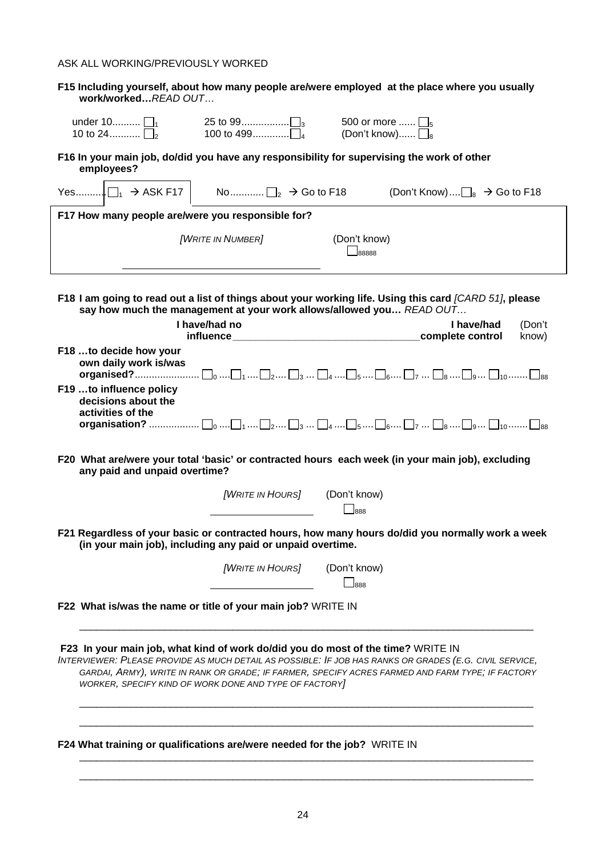## ASK ALL WORKING/PREVIOUSLY WORKED

| work/workedREAD OUT                                                       |                                                                                                                                                                                                                                                    | F15 Including yourself, about how many people are/were employed at the place where you usually                                                                                                                                                                                                  |
|---------------------------------------------------------------------------|----------------------------------------------------------------------------------------------------------------------------------------------------------------------------------------------------------------------------------------------------|-------------------------------------------------------------------------------------------------------------------------------------------------------------------------------------------------------------------------------------------------------------------------------------------------|
| under $10$ $\Box$<br>10 to 24 $\Box$                                      |                                                                                                                                                                                                                                                    | 500 or more $\Box_5$<br>(Don't know) $\Box$ <sub>8</sub>                                                                                                                                                                                                                                        |
| employees?                                                                |                                                                                                                                                                                                                                                    | F16 In your main job, do/did you have any responsibility for supervising the work of other                                                                                                                                                                                                      |
| Yes $\Box_1 \rightarrow$ ASK F17                                          |                                                                                                                                                                                                                                                    |                                                                                                                                                                                                                                                                                                 |
| F17 How many people are/were you responsible for?                         |                                                                                                                                                                                                                                                    |                                                                                                                                                                                                                                                                                                 |
|                                                                           | [WRITE IN NUMBER]                                                                                                                                                                                                                                  | (Don't know)<br>$\Box$ 88888                                                                                                                                                                                                                                                                    |
|                                                                           | I have/had no                                                                                                                                                                                                                                      | F18 I am going to read out a list of things about your working life. Using this card [CARD 51], please<br>say how much the management at your work allows/allowed you READ OUT<br>I have/had<br>(Don't                                                                                          |
|                                                                           | <b>influence <i>notation notation</i> <b><i>notation notation</i> <b><i>notation notation notation</i> <b><i>notation notation</i> <b><i>notation notation notation notation</i> <b><i>notation notation notation nota</i></b></b></b></b></b></b> | complete control<br>know)                                                                                                                                                                                                                                                                       |
| F18 to decide how your<br>own daily work is/was                           |                                                                                                                                                                                                                                                    |                                                                                                                                                                                                                                                                                                 |
| F19 to influence policy<br>decisions about the<br>activities of the       |                                                                                                                                                                                                                                                    |                                                                                                                                                                                                                                                                                                 |
| any paid and unpaid overtime?                                             |                                                                                                                                                                                                                                                    | F20 What are/were your total 'basic' or contracted hours each week (in your main job), excluding                                                                                                                                                                                                |
|                                                                           | [WRITE IN HOURS]                                                                                                                                                                                                                                   | (Don't know)<br>$\Box$                                                                                                                                                                                                                                                                          |
|                                                                           | (in your main job), including any paid or unpaid overtime.                                                                                                                                                                                         | F21 Regardless of your basic or contracted hours, how many hours do/did you normally work a week                                                                                                                                                                                                |
|                                                                           | [WRITE IN HOURS]                                                                                                                                                                                                                                   | (Don't know)<br>$\Box$ <sub>888</sub>                                                                                                                                                                                                                                                           |
| F22 What is/was the name or title of your main job? WRITE IN              |                                                                                                                                                                                                                                                    |                                                                                                                                                                                                                                                                                                 |
|                                                                           | WORKER, SPECIFY KIND OF WORK DONE AND TYPE OF FACTORY]                                                                                                                                                                                             | F23 In your main job, what kind of work do/did you do most of the time? WRITE IN<br>INTERVIEWER: PLEASE PROVIDE AS MUCH DETAIL AS POSSIBLE: IF JOB HAS RANKS OR GRADES (E.G. CIVIL SERVICE,<br>GARDAI, ARMY), WRITE IN RANK OR GRADE; IF FARMER, SPECIFY ACRES FARMED AND FARM TYPE; IF FACTORY |
| F24 What training or qualifications are/were needed for the job? WRITE IN |                                                                                                                                                                                                                                                    |                                                                                                                                                                                                                                                                                                 |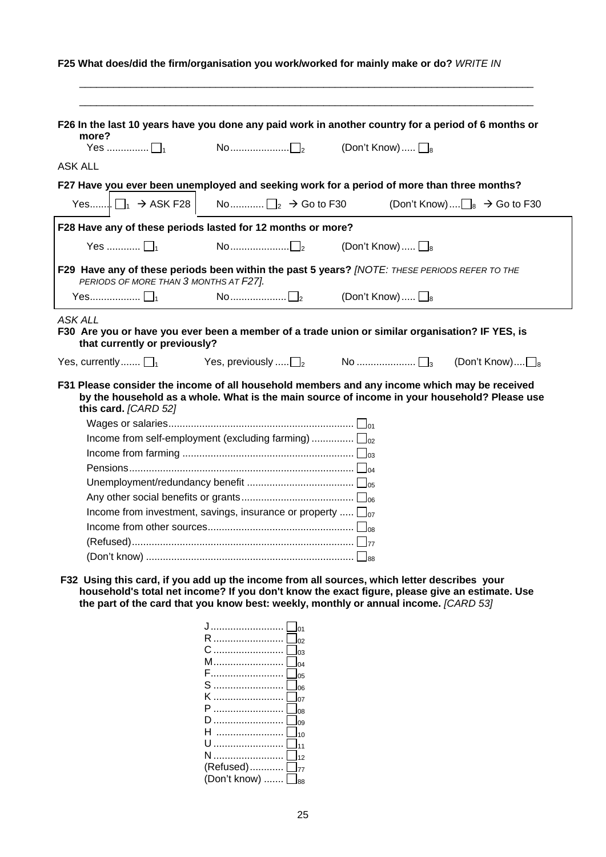| more?                                                       |                                                                       | F26 In the last 10 years have you done any paid work in another country for a period of 6 months or                                                                                                                      |
|-------------------------------------------------------------|-----------------------------------------------------------------------|--------------------------------------------------------------------------------------------------------------------------------------------------------------------------------------------------------------------------|
| Yes $\Box$                                                  |                                                                       | (Don't Know) $\square_8$                                                                                                                                                                                                 |
| ASK ALL                                                     |                                                                       |                                                                                                                                                                                                                          |
|                                                             |                                                                       | F27 Have you ever been unemployed and seeking work for a period of more than three months?                                                                                                                               |
| Yes $\Box_1 \rightarrow$ ASK F28                            | No $\Box$ $\Box$ $\rightarrow$ Go to F30                              | (Don't Know) $\Box_8 \rightarrow$ Go to F30                                                                                                                                                                              |
| F28 Have any of these periods lasted for 12 months or more? |                                                                       |                                                                                                                                                                                                                          |
| Yes $\Box$                                                  | $\mathsf{No}\dots\dots\dots\dots\dots\dots\blacksquare$               | (Don't Know) $\Box$ <sub>8</sub>                                                                                                                                                                                         |
| PERIODS OF MORE THAN 3 MONTHS AT F27].                      |                                                                       | F29 Have any of these periods been within the past 5 years? [NOTE: THESE PERIODS REFER TO THE                                                                                                                            |
| Yes $\Box$                                                  | $\mathsf{No}\dots\dots\dots\dots\dots\sqcap_\mathsf{2}$               |                                                                                                                                                                                                                          |
| ASK ALL                                                     |                                                                       | (Don't Know) $\Box_8$                                                                                                                                                                                                    |
| that currently or previously?                               |                                                                       | F30 Are you or have you ever been a member of a trade union or similar organisation? IF YES, is                                                                                                                          |
| this card. [CARD 52]                                        | Yes, previously $\ldots$ $\Box$ <sub>2</sub>                          | (Don't Know) $\square_8$<br>F31 Please consider the income of all household members and any income which may be received<br>by the household as a whole. What is the main source of income in your household? Please use |
|                                                             |                                                                       |                                                                                                                                                                                                                          |
|                                                             | Income from self-employment (excluding farming) $\Box_{02}$           |                                                                                                                                                                                                                          |
| Yes, currently $\Box$ <sub>1</sub>                          |                                                                       |                                                                                                                                                                                                                          |
|                                                             |                                                                       |                                                                                                                                                                                                                          |
|                                                             |                                                                       |                                                                                                                                                                                                                          |
|                                                             | Income from investment, savings, insurance or property $\square_{07}$ |                                                                                                                                                                                                                          |
|                                                             |                                                                       |                                                                                                                                                                                                                          |
|                                                             |                                                                       |                                                                                                                                                                                                                          |

**household's total net income? If you don't know the exact figure, please give an estimate. Use the part of the card that you know best: weekly, monthly or annual income.** *[CARD 53]* 

| 02                      |
|-------------------------|
| 03                      |
| 04                      |
| 05                      |
| S<br>06                 |
| ĸ<br>07                 |
| 08                      |
| 09                      |
| 10                      |
|                         |
| 12                      |
| $(Refused)$ $\Box_{77}$ |
| (Don't know)  □88       |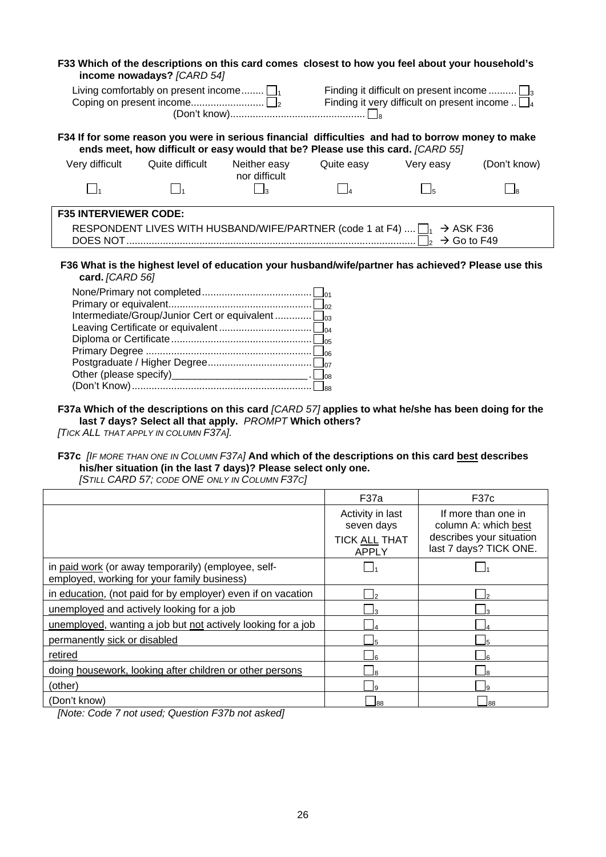|                                                                                                                        | income nowadays? [CARD 54]                                                                                                                                                           | F33 Which of the descriptions on this card comes closest to how you feel about your household's                                                                 |            |                     |              |  |  |  |  |
|------------------------------------------------------------------------------------------------------------------------|--------------------------------------------------------------------------------------------------------------------------------------------------------------------------------------|-----------------------------------------------------------------------------------------------------------------------------------------------------------------|------------|---------------------|--------------|--|--|--|--|
| Living comfortably on present income $\Box_1$ Finding it difficult on present income $\Box_3$                          |                                                                                                                                                                                      |                                                                                                                                                                 |            |                     |              |  |  |  |  |
|                                                                                                                        | F34 If for some reason you were in serious financial difficulties and had to borrow money to make<br>ends meet, how difficult or easy would that be? Please use this card. [CARD 55] |                                                                                                                                                                 |            |                     |              |  |  |  |  |
| Very difficult                                                                                                         | Quite difficult                                                                                                                                                                      | Neither easy<br>nor difficult                                                                                                                                   | Quite easy | Very easy           | (Don't know) |  |  |  |  |
| $\Box$                                                                                                                 | $\Box_1$                                                                                                                                                                             | $\Box$ <sub>3</sub>                                                                                                                                             | $\Box$     | $\Box$ <sub>5</sub> | L la         |  |  |  |  |
| <b>F35 INTERVIEWER CODE:</b><br>RESPONDENT LIVES WITH HUSBAND/WIFE/PARTNER (code 1 at F4) $\Box_1 \rightarrow$ ASK F36 |                                                                                                                                                                                      |                                                                                                                                                                 |            |                     |              |  |  |  |  |
| F36 What is the highest level of education your husband/wife/partner has achieved? Please use this<br>card. [CARD 56]  |                                                                                                                                                                                      |                                                                                                                                                                 |            |                     |              |  |  |  |  |
|                                                                                                                        |                                                                                                                                                                                      |                                                                                                                                                                 |            |                     |              |  |  |  |  |
|                                                                                                                        |                                                                                                                                                                                      | Intermediate/Group/Junior Cert or equivalent $\square_{03}$                                                                                                     |            |                     |              |  |  |  |  |
|                                                                                                                        |                                                                                                                                                                                      |                                                                                                                                                                 |            |                     |              |  |  |  |  |
|                                                                                                                        |                                                                                                                                                                                      |                                                                                                                                                                 |            |                     |              |  |  |  |  |
|                                                                                                                        |                                                                                                                                                                                      |                                                                                                                                                                 |            |                     |              |  |  |  |  |
|                                                                                                                        |                                                                                                                                                                                      |                                                                                                                                                                 |            |                     |              |  |  |  |  |
|                                                                                                                        |                                                                                                                                                                                      | Other (please specify)____________________________. L_los                                                                                                       |            |                     |              |  |  |  |  |
|                                                                                                                        |                                                                                                                                                                                      |                                                                                                                                                                 |            |                     |              |  |  |  |  |
|                                                                                                                        |                                                                                                                                                                                      | F37a Which of the descriptions on this card [CARD 57] applies to what he/she has been doing for the<br>last 7 days? Select all that apply. PROMPT Which others? |            |                     |              |  |  |  |  |

*[TICK ALL THAT APPLY IN COLUMN F37A].*

# **F37c** *[IF MORE THAN ONE IN COLUMN F37A]* **And which of the descriptions on this card best describes his/her situation (in the last 7 days)? Please select only one.**

|                                                                                                    | F37a                                                                   | F37c                                                                                              |
|----------------------------------------------------------------------------------------------------|------------------------------------------------------------------------|---------------------------------------------------------------------------------------------------|
|                                                                                                    | Activity in last<br>seven days<br><b>TICK ALL THAT</b><br><b>APPLY</b> | If more than one in<br>column A: which best<br>describes your situation<br>last 7 days? TICK ONE. |
| in paid work (or away temporarily) (employee, self-<br>employed, working for your family business) |                                                                        |                                                                                                   |
| in education, (not paid for by employer) even if on vacation                                       |                                                                        |                                                                                                   |
| unemployed and actively looking for a job                                                          |                                                                        |                                                                                                   |
| unemployed, wanting a job but not actively looking for a job                                       |                                                                        |                                                                                                   |
| permanently sick or disabled                                                                       |                                                                        |                                                                                                   |
| retired                                                                                            |                                                                        |                                                                                                   |
| doing housework, looking after children or other persons                                           |                                                                        |                                                                                                   |
| (other)                                                                                            |                                                                        |                                                                                                   |
| (Don't know)<br>$- - - -$                                                                          | 88                                                                     | 88                                                                                                |

*[STILL CARD 57; CODE ONE ONLY IN COLUMN F37C]*

*[Note: Code 7 not used; Question F37b not asked]*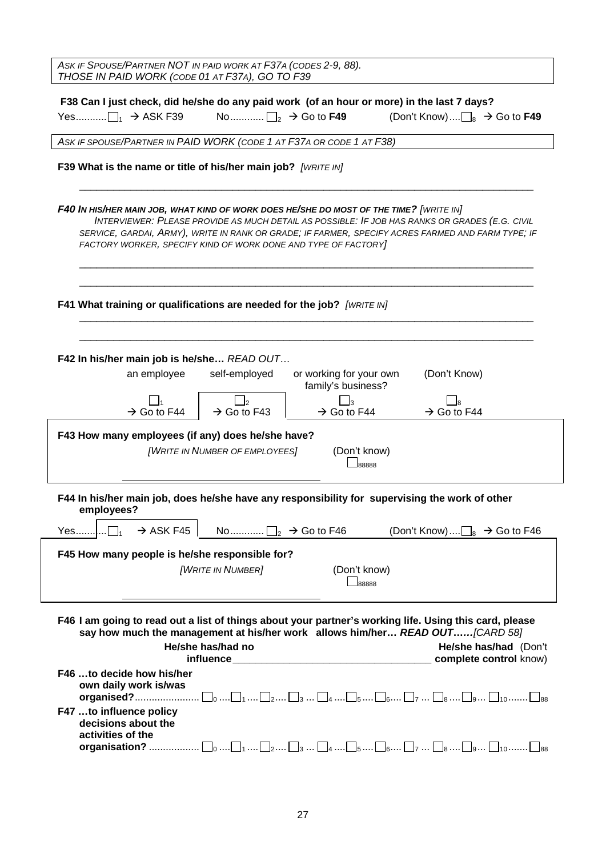| ASK IF SPOUSE/PARTNER NOT IN PAID WORK AT F37A (CODES 2-9, 88).<br>THOSE IN PAID WORK (CODE 01 AT F37A), GO TO F39                                       |                                   |                                               |                                                                                                                                                                                                     |  |
|----------------------------------------------------------------------------------------------------------------------------------------------------------|-----------------------------------|-----------------------------------------------|-----------------------------------------------------------------------------------------------------------------------------------------------------------------------------------------------------|--|
| F38 Can I just check, did he/she do any paid work (of an hour or more) in the last 7 days?                                                               |                                   |                                               |                                                                                                                                                                                                     |  |
|                                                                                                                                                          |                                   |                                               | (Don't Know) $\Box_8 \rightarrow$ Go to F49                                                                                                                                                         |  |
|                                                                                                                                                          |                                   |                                               |                                                                                                                                                                                                     |  |
| ASK IF SPOUSE/PARTNER IN PAID WORK (CODE 1 AT F37A OR CODE 1 AT F38)                                                                                     |                                   |                                               |                                                                                                                                                                                                     |  |
| F39 What is the name or title of his/her main job? [WRITE IN]                                                                                            |                                   |                                               |                                                                                                                                                                                                     |  |
|                                                                                                                                                          |                                   |                                               |                                                                                                                                                                                                     |  |
| F40 IN HIS/HER MAIN JOB, WHAT KIND OF WORK DOES HE/SHE DO MOST OF THE TIME? [WRITE IN]<br>FACTORY WORKER, SPECIFY KIND OF WORK DONE AND TYPE OF FACTORY] |                                   |                                               | INTERVIEWER: PLEASE PROVIDE AS MUCH DETAIL AS POSSIBLE: IF JOB HAS RANKS OR GRADES (E.G. CIVIL<br>SERVICE, GARDAI, ARMY), WRITE IN RANK OR GRADE; IF FARMER, SPECIFY ACRES FARMED AND FARM TYPE; IF |  |
| F41 What training or qualifications are needed for the job? [WRITE IN]                                                                                   |                                   |                                               |                                                                                                                                                                                                     |  |
| F42 In his/her main job is he/she READ OUT<br>an employee                                                                                                | self-employed                     | or working for your own<br>family's business? | (Don't Know)                                                                                                                                                                                        |  |
|                                                                                                                                                          | $\mathbf{L}_{2}$                  |                                               |                                                                                                                                                                                                     |  |
| $\rightarrow$ Go to F44                                                                                                                                  | $\rightarrow$ Go to F43           | $\rightarrow$ Go to F44                       | $\rightarrow$ Go to F44                                                                                                                                                                             |  |
| F43 How many employees (if any) does he/she have?                                                                                                        |                                   |                                               |                                                                                                                                                                                                     |  |
|                                                                                                                                                          | [WRITE IN NUMBER OF EMPLOYEES]    | (Don't know)<br>88888                         |                                                                                                                                                                                                     |  |
|                                                                                                                                                          |                                   |                                               |                                                                                                                                                                                                     |  |
| F44 In his/her main job, does he/she have any responsibility for supervising the work of other<br>employees?                                             |                                   |                                               |                                                                                                                                                                                                     |  |
| $\rightarrow$ ASK F45<br>Yes]                                                                                                                            | No $\Box$ $\rightarrow$ Go to F46 |                                               | (Don't Know) $\Box_8 \rightarrow$ Go to F46                                                                                                                                                         |  |
| F45 How many people is he/she responsible for?                                                                                                           |                                   |                                               |                                                                                                                                                                                                     |  |
|                                                                                                                                                          | [WRITE IN NUMBER]                 | (Don't know)                                  |                                                                                                                                                                                                     |  |
|                                                                                                                                                          |                                   | $\Box$ 88888                                  |                                                                                                                                                                                                     |  |
| F46 I am going to read out a list of things about your partner's working life. Using this card, please                                                   | He/she has/had no                 |                                               | say how much the management at his/her work allows him/her READ OUT[CARD 58]<br>He/she has/had (Don't                                                                                               |  |
|                                                                                                                                                          |                                   |                                               | complete control know)                                                                                                                                                                              |  |
| F46 to decide how his/her<br>own daily work is/was                                                                                                       |                                   |                                               |                                                                                                                                                                                                     |  |
| F47 to influence policy<br>decisions about the                                                                                                           |                                   |                                               |                                                                                                                                                                                                     |  |
| activities of the                                                                                                                                        |                                   |                                               | <b>organisation?</b> $\Box_0$ $\Box_1$ $\Box_2$ $\Box_3$ $\Box_4$ $\Box_5$ $\Box_6$ $\Box_8$ $\Box_9$ $\Box_{10}$ $\Box_{88}$                                                                       |  |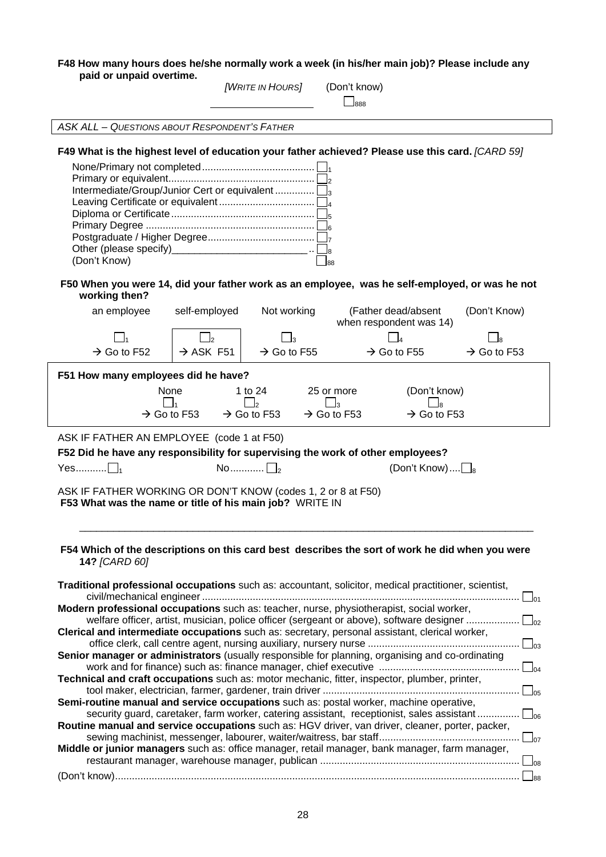#### **F48 How many hours does he/she normally work a week (in his/her main job)? Please include any paid or unpaid overtime.**  *[WRITE IN HOURS]* (Don't know)

|                                                                                                                                                                                                                                                                                                                                                                               |                                      |                         | $\_$ 888                                                                                                                                                                                                                                                                                                                                                                                                                                                                                                                                                                                                                                                                                                                                                                                                                                                                                                                                                                                                                                                                                                            |                         |
|-------------------------------------------------------------------------------------------------------------------------------------------------------------------------------------------------------------------------------------------------------------------------------------------------------------------------------------------------------------------------------|--------------------------------------|-------------------------|---------------------------------------------------------------------------------------------------------------------------------------------------------------------------------------------------------------------------------------------------------------------------------------------------------------------------------------------------------------------------------------------------------------------------------------------------------------------------------------------------------------------------------------------------------------------------------------------------------------------------------------------------------------------------------------------------------------------------------------------------------------------------------------------------------------------------------------------------------------------------------------------------------------------------------------------------------------------------------------------------------------------------------------------------------------------------------------------------------------------|-------------------------|
| <b>ASK ALL - QUESTIONS ABOUT RESPONDENT'S FATHER</b>                                                                                                                                                                                                                                                                                                                          |                                      |                         |                                                                                                                                                                                                                                                                                                                                                                                                                                                                                                                                                                                                                                                                                                                                                                                                                                                                                                                                                                                                                                                                                                                     |                         |
| Intermediate/Group/Junior Cert or equivalent<br>Other (please specify)____________________________<br>(Don't Know)                                                                                                                                                                                                                                                            |                                      |                         | F49 What is the highest level of education your father achieved? Please use this card. [CARD 59]<br>88<br>F50 When you were 14, did your father work as an employee, was he self-employed, or was he not                                                                                                                                                                                                                                                                                                                                                                                                                                                                                                                                                                                                                                                                                                                                                                                                                                                                                                            |                         |
| working then?<br>an employee                                                                                                                                                                                                                                                                                                                                                  | self-employed                        | Not working             | (Father dead/absent                                                                                                                                                                                                                                                                                                                                                                                                                                                                                                                                                                                                                                                                                                                                                                                                                                                                                                                                                                                                                                                                                                 | (Don't Know)            |
|                                                                                                                                                                                                                                                                                                                                                                               |                                      |                         | when respondent was 14)                                                                                                                                                                                                                                                                                                                                                                                                                                                                                                                                                                                                                                                                                                                                                                                                                                                                                                                                                                                                                                                                                             |                         |
|                                                                                                                                                                                                                                                                                                                                                                               |                                      |                         |                                                                                                                                                                                                                                                                                                                                                                                                                                                                                                                                                                                                                                                                                                                                                                                                                                                                                                                                                                                                                                                                                                                     |                         |
| $\rightarrow$ Go to F52                                                                                                                                                                                                                                                                                                                                                       | $\rightarrow$ ASK F51                | $\rightarrow$ Go to F55 | $\rightarrow$ Go to F55                                                                                                                                                                                                                                                                                                                                                                                                                                                                                                                                                                                                                                                                                                                                                                                                                                                                                                                                                                                                                                                                                             | $\rightarrow$ Go to F53 |
| F51 How many employees did he have?<br>None<br>$\blacksquare$<br>$\rightarrow$ Go to F53<br>ASK IF FATHER AN EMPLOYEE (code 1 at F50)<br>F52 Did he have any responsibility for supervising the work of other employees?<br>$Yes$ $\vert \vert_1$<br>ASK IF FATHER WORKING OR DON'T KNOW (codes 1, 2 or 8 at F50)<br>F53 What was the name or title of his main job? WRITE IN | $\rightarrow$ Go to F53<br>No $\Box$ | 1 to 24<br>$\vert$      | (Don't know)<br>25 or more<br>$\Box$ 3<br>$\rightarrow$ Go to F53<br>$\rightarrow$ Go to F53<br>(Don't Know) $\Box_8$                                                                                                                                                                                                                                                                                                                                                                                                                                                                                                                                                                                                                                                                                                                                                                                                                                                                                                                                                                                               |                         |
| 14? [CARD 60]                                                                                                                                                                                                                                                                                                                                                                 |                                      |                         | F54 Which of the descriptions on this card best describes the sort of work he did when you were<br>Traditional professional occupations such as: accountant, solicitor, medical practitioner, scientist,<br>Modern professional occupations such as: teacher, nurse, physiotherapist, social worker,<br>welfare officer, artist, musician, police officer (sergeant or above), software designer<br>Clerical and intermediate occupations such as: secretary, personal assistant, clerical worker,<br>Senior manager or administrators (usually responsible for planning, organising and co-ordinating<br>Technical and craft occupations such as: motor mechanic, fitter, inspector, plumber, printer,<br>Semi-routine manual and service occupations such as: postal worker, machine operative,<br>security guard, caretaker, farm worker, catering assistant, receptionist, sales assistant $\square_{06}$<br>Routine manual and service occupations such as: HGV driver, van driver, cleaner, porter, packer,<br>Middle or junior managers such as: office manager, retail manager, bank manager, farm manager, |                         |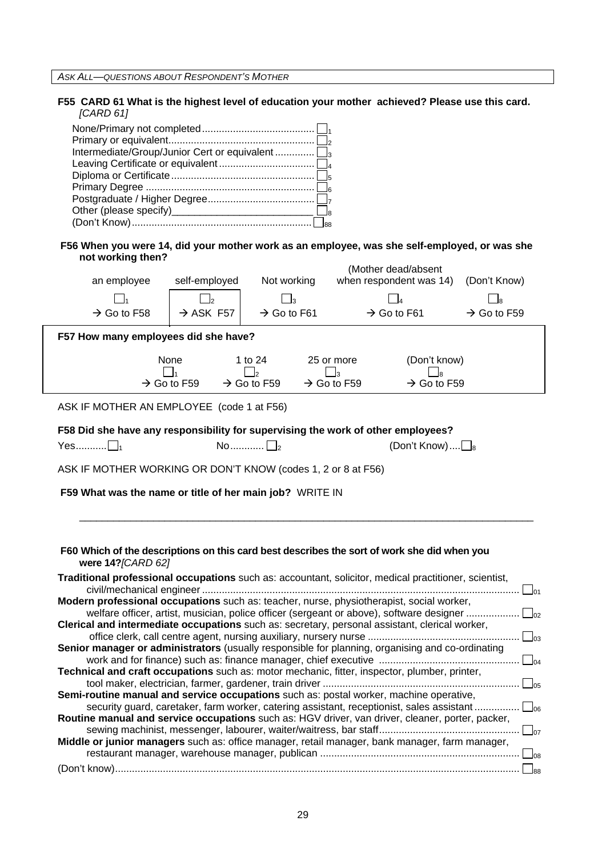*ASK ALL—QUESTIONS ABOUT RESPONDENT'S MOTHER*

#### **F55 CARD 61 What is the highest level of education your mother achieved? Please use this card.**  *[CARD 61]*

#### **F56 When you were 14, did your mother work as an employee, was she self-employed, or was she not working then?**  (Mother dead/absent

|                                                              |                         |                       |                                                |                                         | (Mother dead/absent)                                                                                                                                                                               |                         |
|--------------------------------------------------------------|-------------------------|-----------------------|------------------------------------------------|-----------------------------------------|----------------------------------------------------------------------------------------------------------------------------------------------------------------------------------------------------|-------------------------|
| an employee                                                  |                         | self-employed         | Not working                                    |                                         | when respondent was 14)                                                                                                                                                                            | (Don't Know)            |
|                                                              |                         | $\frac{1}{2}$         | $\mathbf{I}_3$                                 |                                         |                                                                                                                                                                                                    |                         |
| $\rightarrow$ Go to F58                                      |                         | $\rightarrow$ ASK F57 | $\rightarrow$ Go to F61                        |                                         | $\rightarrow$ Go to F61                                                                                                                                                                            | $\rightarrow$ Go to F59 |
| F57 How many employees did she have?                         |                         |                       |                                                |                                         |                                                                                                                                                                                                    |                         |
|                                                              | None                    |                       | 1 to 24                                        | 25 or more                              | (Don't know)                                                                                                                                                                                       |                         |
|                                                              | $\rightarrow$ Go to F59 |                       | $\Box$ <sub>2</sub><br>$\rightarrow$ Go to F59 | $\mathbf{a}$<br>$\rightarrow$ Go to F59 | lя<br>$\rightarrow$ Go to F59                                                                                                                                                                      |                         |
|                                                              |                         |                       |                                                |                                         |                                                                                                                                                                                                    |                         |
| ASK IF MOTHER AN EMPLOYEE (code 1 at F56)                    |                         |                       |                                                |                                         |                                                                                                                                                                                                    |                         |
|                                                              |                         |                       |                                                |                                         | F58 Did she have any responsibility for supervising the work of other employees?                                                                                                                   |                         |
| Yes $\Box$                                                   |                         |                       | No $\Box$                                      |                                         | (Don't Know) $\Box$ <sub>8</sub>                                                                                                                                                                   |                         |
| ASK IF MOTHER WORKING OR DON'T KNOW (codes 1, 2 or 8 at F56) |                         |                       |                                                |                                         |                                                                                                                                                                                                    |                         |
|                                                              |                         |                       |                                                |                                         | F60 Which of the descriptions on this card best describes the sort of work she did when you                                                                                                        |                         |
| were 14? [CARD 62]                                           |                         |                       |                                                |                                         |                                                                                                                                                                                                    |                         |
|                                                              |                         |                       |                                                |                                         | Traditional professional occupations such as: accountant, solicitor, medical practitioner, scientist,                                                                                              |                         |
|                                                              |                         |                       |                                                |                                         | Modern professional occupations such as: teacher, nurse, physiotherapist, social worker,                                                                                                           |                         |
|                                                              |                         |                       |                                                |                                         | welfare officer, artist, musician, police officer (sergeant or above), software designer<br>Clerical and intermediate occupations such as: secretary, personal assistant, clerical worker,         |                         |
|                                                              |                         |                       |                                                |                                         |                                                                                                                                                                                                    |                         |
|                                                              |                         |                       |                                                |                                         | Senior manager or administrators (usually responsible for planning, organising and co-ordinating                                                                                                   |                         |
|                                                              |                         |                       |                                                |                                         | Technical and craft occupations such as: motor mechanic, fitter, inspector, plumber, printer,                                                                                                      |                         |
|                                                              |                         |                       |                                                |                                         |                                                                                                                                                                                                    |                         |
|                                                              |                         |                       |                                                |                                         | Semi-routine manual and service occupations such as: postal worker, machine operative,<br>security guard, caretaker, farm worker, catering assistant, receptionist, sales assistant $\square_{06}$ |                         |
|                                                              |                         |                       |                                                |                                         | Routine manual and service occupations such as: HGV driver, van driver, cleaner, porter, packer,                                                                                                   |                         |
|                                                              |                         |                       |                                                |                                         |                                                                                                                                                                                                    |                         |
|                                                              |                         |                       |                                                |                                         | Middle or junior managers such as: office manager, retail manager, bank manager, farm manager,                                                                                                     |                         |
|                                                              |                         |                       |                                                |                                         |                                                                                                                                                                                                    |                         |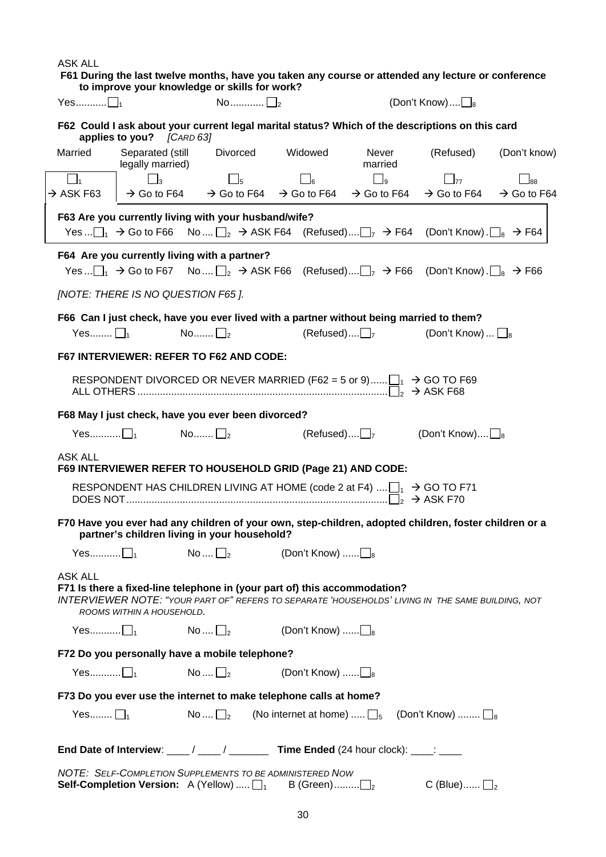ASK ALL  **F61 During the last twelve months, have you taken any course or attended any lecture or conference to improve your knowledge or skills for work?**  Yes........... 1 No............ 2 (Don't Know).... 8 **F62 Could I ask about your current legal marital status? Which of the descriptions on this card applies to you?** *[CARD 63]* Married Separated (still legally married) Divorced Widowed Never married (Refused) (Don't know) 1 3 5 6 9 77 88  $\rightarrow$  ASK F63  $\,$   $\,$   $\rightarrow$  Go to F64  $\,$   $\rightarrow$  Go to F64  $\,$   $\rightarrow$  Go to F64  $\,$   $\rightarrow$  Go to F64  $\,$   $\rightarrow$  Go to F64  $\,$   $\rightarrow$  Go to F64  $\,$ **F63 Are you currently living with your husband/wife?**  Yes ...  $\Box_1 \rightarrow$  Go to F66 No ....  $\Box_2 \rightarrow$  ASK F64 (Refused)....  $\Box_7 \rightarrow$  F64 (Don't Know) .  $\Box_8 \rightarrow$  F64 **F64 Are you currently living with a partner?**  Yes ...  $\Box_1 \rightarrow$  Go to F67 No ....  $\Box_2 \rightarrow$  ASK F66 (Refused)....  $\Box_7 \rightarrow$  F66 (Don't Know) .  $\Box_8 \rightarrow$  F66 *[NOTE: THERE IS NO QUESTION F65 ].*  **F66 Can I just check, have you ever lived with a partner without being married to them?**   $Y$ es........  $\Box_1$   $\Box_2$  (Refused).... $\Box_7$  (Don't Know)...  $\Box_8$ **F67 INTERVIEWER: REFER TO F62 AND CODE:**  RESPONDENT DIVORCED OR NEVER MARRIED (F62 = 5 or 9)...... $\Box_1 \rightarrow$  GO TO F69 ALL OTHERS ......................................................................................... <sup>2</sup> Æ ASK F68 **F68 May I just check, have you ever been divorced?**  Yes............ $\Box_1$  No........  $\Box_2$  (Refused).... $\Box_7$  (Don't Know)....  $\Box_8$ ASK ALL **F69 INTERVIEWER REFER TO HOUSEHOLD GRID (Page 21) AND CODE:**  RESPONDENT HAS CHILDREN LIVING AT HOME (code 2 at F4)  $\ldots$   $\Box$   $\rightarrow$  GO TO F71 DOES NOT............................................................................................. <sup>2</sup> Æ ASK F70 **F70 Have you ever had any children of your own, step-children, adopted children, foster children or a partner's children living in your household?**   $Yes...$   $\Box_1$   $No... \Box_2$  (Don't Know)  $.... \Box_8$ ASK ALL **F71 Is there a fixed-line telephone in (your part of) this accommodation?**  *INTERVIEWER NOTE: "YOUR PART OF" REFERS TO SEPARATE 'HOUSEHOLDS' LIVING IN THE SAME BUILDING, NOT ROOMS WITHIN A HOUSEHOLD.*   $Yes...$   $\Box_1$   $No... \Box_2$  (Don't Know)  $.... \Box_8$ **F72 Do you personally have a mobile telephone?**  Yes........... 1 No .... 2 (Don't Know) ...... 8 **F73 Do you ever use the internet to make telephone calls at home?**  Yes........ 1 No .... 2 (No internet at home) ..... 5 (Don't Know) ........ 8 **End Date of Interview: \_\_\_\_ / \_\_\_\_ / \_\_\_\_\_\_\_\_ Time Ended** (24 hour clock): \_\_\_\_: \_\_\_ *NOTE: SELF-COMPLETION SUPPLEMENTS TO BE ADMINISTERED NOW*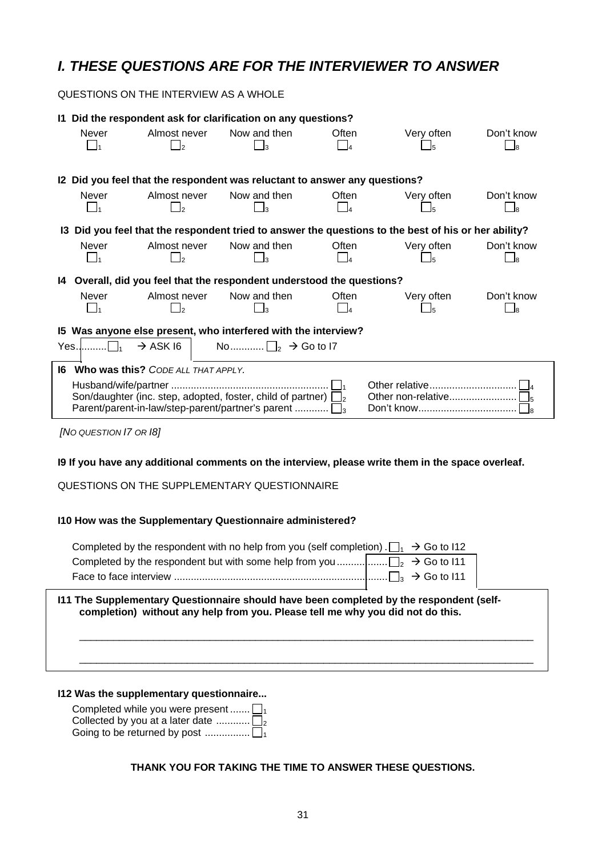# *I. THESE QUESTIONS ARE FOR THE INTERVIEWER TO ANSWER*

QUESTIONS ON THE INTERVIEW AS A WHOLE

| 11.  | Did the respondent ask for clarification on any questions?                                                                                                                                       |                                    |                                                                     |       |                                                                                                      |                            |  |  |  |  |
|------|--------------------------------------------------------------------------------------------------------------------------------------------------------------------------------------------------|------------------------------------|---------------------------------------------------------------------|-------|------------------------------------------------------------------------------------------------------|----------------------------|--|--|--|--|
|      | <b>Never</b><br>$\mathbf{I}$                                                                                                                                                                     | Almost never<br>$\vert$ 2          | Now and then<br>l3                                                  | Often | Very often<br>5                                                                                      | Don't know<br>l8           |  |  |  |  |
|      | Did you feel that the respondent was reluctant to answer any questions?<br>12 <sup>2</sup>                                                                                                       |                                    |                                                                     |       |                                                                                                      |                            |  |  |  |  |
|      | Never                                                                                                                                                                                            | Almost never<br>$\overline{2}$     | Now and then<br>lз                                                  | Often | Very often<br>5                                                                                      | Don't know<br>$\mathsf{R}$ |  |  |  |  |
|      |                                                                                                                                                                                                  |                                    |                                                                     |       | 13 Did you feel that the respondent tried to answer the questions to the best of his or her ability? |                            |  |  |  |  |
|      | <b>Never</b>                                                                                                                                                                                     | Almost never<br>$\overline{2}$     | Now and then<br>l3                                                  | Often | Very often<br>5                                                                                      | Don't know<br>Jя           |  |  |  |  |
| 14.  |                                                                                                                                                                                                  |                                    | Overall, did you feel that the respondent understood the questions? |       |                                                                                                      |                            |  |  |  |  |
|      | <b>Never</b>                                                                                                                                                                                     | Almost never<br>l2                 | Now and then<br>lз                                                  | Often | Very often<br>15                                                                                     | Don't know<br>l8           |  |  |  |  |
|      |                                                                                                                                                                                                  |                                    | 15 Was anyone else present, who interfered with the interview?      |       |                                                                                                      |                            |  |  |  |  |
|      | Yes.l<br>. 1 - 14 -                                                                                                                                                                              | $\rightarrow$ ASK I6 I             | No $\Box_2 \rightarrow$ Go to 17                                    |       |                                                                                                      |                            |  |  |  |  |
| 16 I |                                                                                                                                                                                                  | Who was this? CODE ALL THAT APPLY. |                                                                     |       |                                                                                                      |                            |  |  |  |  |
|      | Other relative<br>Son/daughter (inc. step, adopted, foster, child of partner) $\Box$ <sub>2</sub><br>Other non-relative<br>Parent/parent-in-law/step-parent/partner's parent $\Box$ <sub>3</sub> |                                    |                                                                     |       |                                                                                                      |                            |  |  |  |  |

*[NO QUESTION I7 OR I8]* 

#### **I9 If you have any additional comments on the interview, please write them in the space overleaf.**

QUESTIONS ON THE SUPPLEMENTARY QUESTIONNAIRE

#### **I10 How was the Supplementary Questionnaire administered?**

| I44 The Cunnlementery Questionneire abould hous hean completed by the recognizant (cel |                                                                                                     |  |  |  |  |  |
|----------------------------------------------------------------------------------------|-----------------------------------------------------------------------------------------------------|--|--|--|--|--|
|                                                                                        |                                                                                                     |  |  |  |  |  |
|                                                                                        |                                                                                                     |  |  |  |  |  |
|                                                                                        | Completed by the respondent with no help from you (self completion). $\Box_1 \rightarrow$ Go to 112 |  |  |  |  |  |

#### **I11 The Supplementary Questionnaire should have been completed by the respondent (selfcompletion) without any help from you. Please tell me why you did not do this.**

 $\mathcal{L}_\text{max}$  , and the contribution of the contribution of the contribution of the contribution of the contribution of the contribution of the contribution of the contribution of the contribution of the contribution of t

 $\mathcal{L}_\text{max}$  , and the contribution of the contribution of the contribution of the contribution of the contribution of the contribution of the contribution of the contribution of the contribution of the contribution of t

#### **I12 Was the supplementary questionnaire...**

| Completed while you were present $\Box$ <sub>1</sub> |  |
|------------------------------------------------------|--|
| Collected by you at a later date $\Box$ <sub>2</sub> |  |
|                                                      |  |

**THANK YOU FOR TAKING THE TIME TO ANSWER THESE QUESTIONS.**